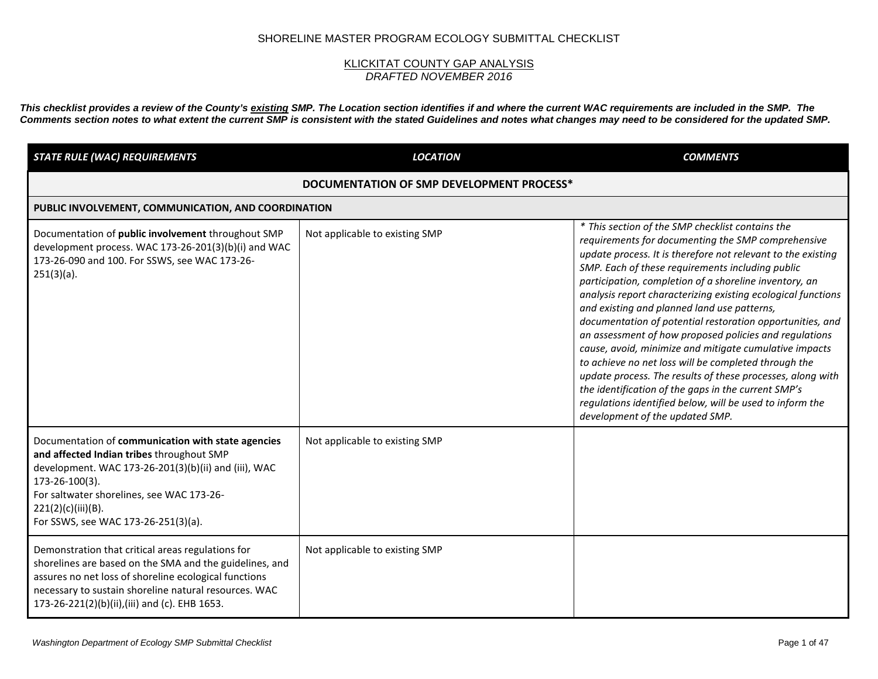## SHORELINE MASTER PROGRAM ECOLOGY SUBMITTAL CHECKLIST

## <u>KLICKITAT COUNTY GAP ANALYSIS</u> *DRAFTED NOVEMBER 2016*

*This checklist provides a review of the County's existing SMP. The Location section identifies if and where the current WAC requirements are included in the SMP. The Comments section notes to what extent the current SMP is consistent with the stated Guidelines and notes what changes may need to be considered for the updated SMP.* 

| <b>STATE RULE (WAC) REQUIREMENTS</b>                                                                                                                                                                                                                                                | <b>LOCATION</b>                | <b>COMMENTS</b>                                                                                                                                                                                                                                                                                                                                                                                                                                                                                                                                                                                                                                                                                                                                                                                                                                                  |
|-------------------------------------------------------------------------------------------------------------------------------------------------------------------------------------------------------------------------------------------------------------------------------------|--------------------------------|------------------------------------------------------------------------------------------------------------------------------------------------------------------------------------------------------------------------------------------------------------------------------------------------------------------------------------------------------------------------------------------------------------------------------------------------------------------------------------------------------------------------------------------------------------------------------------------------------------------------------------------------------------------------------------------------------------------------------------------------------------------------------------------------------------------------------------------------------------------|
| DOCUMENTATION OF SMP DEVELOPMENT PROCESS*                                                                                                                                                                                                                                           |                                |                                                                                                                                                                                                                                                                                                                                                                                                                                                                                                                                                                                                                                                                                                                                                                                                                                                                  |
| PUBLIC INVOLVEMENT, COMMUNICATION, AND COORDINATION                                                                                                                                                                                                                                 |                                |                                                                                                                                                                                                                                                                                                                                                                                                                                                                                                                                                                                                                                                                                                                                                                                                                                                                  |
| Documentation of public involvement throughout SMP<br>development process. WAC 173-26-201(3)(b)(i) and WAC<br>173-26-090 and 100. For SSWS, see WAC 173-26-<br>$251(3)(a)$ .                                                                                                        | Not applicable to existing SMP | * This section of the SMP checklist contains the<br>requirements for documenting the SMP comprehensive<br>update process. It is therefore not relevant to the existing<br>SMP. Each of these requirements including public<br>participation, completion of a shoreline inventory, an<br>analysis report characterizing existing ecological functions<br>and existing and planned land use patterns,<br>documentation of potential restoration opportunities, and<br>an assessment of how proposed policies and regulations<br>cause, avoid, minimize and mitigate cumulative impacts<br>to achieve no net loss will be completed through the<br>update process. The results of these processes, along with<br>the identification of the gaps in the current SMP's<br>regulations identified below, will be used to inform the<br>development of the updated SMP. |
| Documentation of communication with state agencies<br>and affected Indian tribes throughout SMP<br>development. WAC 173-26-201(3)(b)(ii) and (iii), WAC<br>173-26-100(3).<br>For saltwater shorelines, see WAC 173-26-<br>221(2)(c)(iii)(B).<br>For SSWS, see WAC 173-26-251(3)(a). | Not applicable to existing SMP |                                                                                                                                                                                                                                                                                                                                                                                                                                                                                                                                                                                                                                                                                                                                                                                                                                                                  |
| Demonstration that critical areas regulations for<br>shorelines are based on the SMA and the guidelines, and<br>assures no net loss of shoreline ecological functions<br>necessary to sustain shoreline natural resources. WAC<br>173-26-221(2)(b)(ii),(iii) and (c). EHB 1653.     | Not applicable to existing SMP |                                                                                                                                                                                                                                                                                                                                                                                                                                                                                                                                                                                                                                                                                                                                                                                                                                                                  |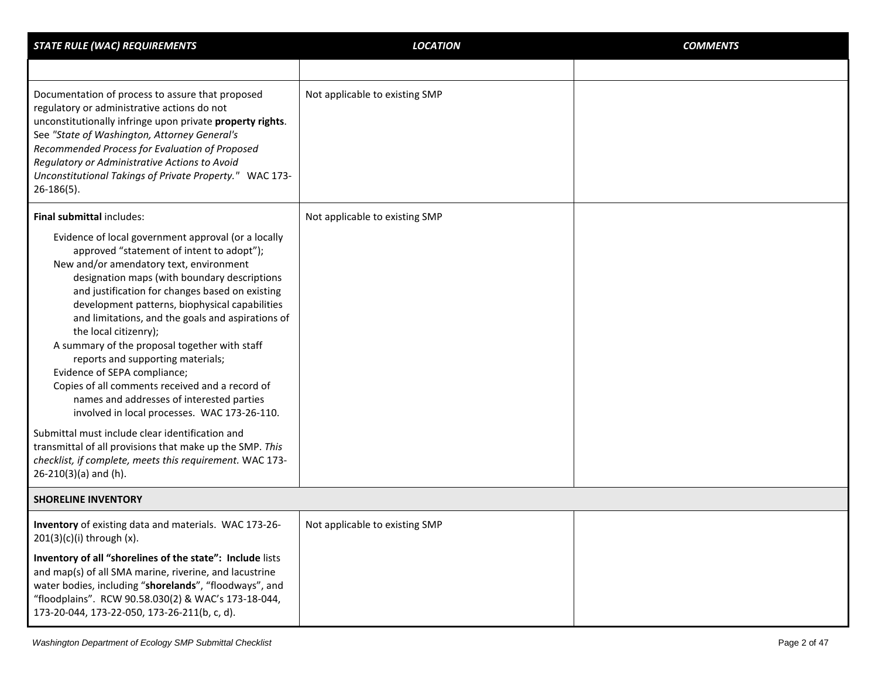| <b>STATE RULE (WAC) REQUIREMENTS</b>                                                                                                                                                                                                                                                                                                                                                                                                                                                                                                                                                                                                                                                                                                                                                                                            | <b>LOCATION</b>                | <b>COMMENTS</b> |
|---------------------------------------------------------------------------------------------------------------------------------------------------------------------------------------------------------------------------------------------------------------------------------------------------------------------------------------------------------------------------------------------------------------------------------------------------------------------------------------------------------------------------------------------------------------------------------------------------------------------------------------------------------------------------------------------------------------------------------------------------------------------------------------------------------------------------------|--------------------------------|-----------------|
|                                                                                                                                                                                                                                                                                                                                                                                                                                                                                                                                                                                                                                                                                                                                                                                                                                 |                                |                 |
| Documentation of process to assure that proposed<br>regulatory or administrative actions do not<br>unconstitutionally infringe upon private property rights.<br>See "State of Washington, Attorney General's<br>Recommended Process for Evaluation of Proposed<br>Regulatory or Administrative Actions to Avoid<br>Unconstitutional Takings of Private Property." WAC 173-<br>$26-186(5)$ .                                                                                                                                                                                                                                                                                                                                                                                                                                     | Not applicable to existing SMP |                 |
| Final submittal includes:                                                                                                                                                                                                                                                                                                                                                                                                                                                                                                                                                                                                                                                                                                                                                                                                       | Not applicable to existing SMP |                 |
| Evidence of local government approval (or a locally<br>approved "statement of intent to adopt");<br>New and/or amendatory text, environment<br>designation maps (with boundary descriptions<br>and justification for changes based on existing<br>development patterns, biophysical capabilities<br>and limitations, and the goals and aspirations of<br>the local citizenry);<br>A summary of the proposal together with staff<br>reports and supporting materials;<br>Evidence of SEPA compliance;<br>Copies of all comments received and a record of<br>names and addresses of interested parties<br>involved in local processes. WAC 173-26-110.<br>Submittal must include clear identification and<br>transmittal of all provisions that make up the SMP. This<br>checklist, if complete, meets this requirement. WAC 173- |                                |                 |
| $26-210(3)(a)$ and (h).                                                                                                                                                                                                                                                                                                                                                                                                                                                                                                                                                                                                                                                                                                                                                                                                         |                                |                 |
| <b>SHORELINE INVENTORY</b>                                                                                                                                                                                                                                                                                                                                                                                                                                                                                                                                                                                                                                                                                                                                                                                                      |                                |                 |
| Inventory of existing data and materials. WAC 173-26-<br>$201(3)(c)(i)$ through $(x)$ .                                                                                                                                                                                                                                                                                                                                                                                                                                                                                                                                                                                                                                                                                                                                         | Not applicable to existing SMP |                 |
| Inventory of all "shorelines of the state": Include lists<br>and map(s) of all SMA marine, riverine, and lacustrine<br>water bodies, including "shorelands", "floodways", and<br>"floodplains". RCW 90.58.030(2) & WAC's 173-18-044,<br>173-20-044, 173-22-050, 173-26-211(b, c, d).                                                                                                                                                                                                                                                                                                                                                                                                                                                                                                                                            |                                |                 |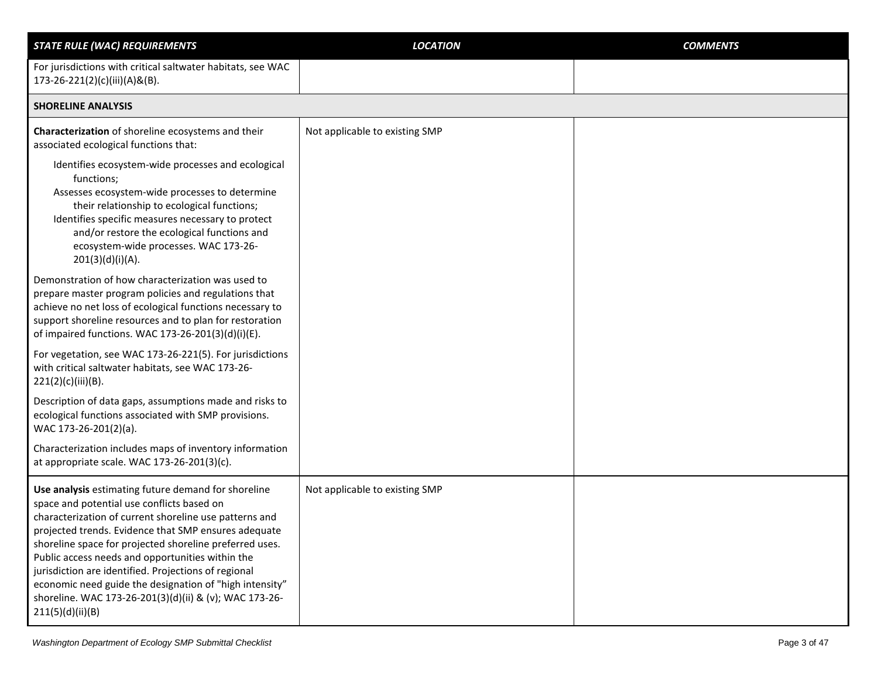| <b>STATE RULE (WAC) REQUIREMENTS</b>                                                                                                                                                                                                                                                                                                                                                                                                                                                                                                | <b>LOCATION</b>                | <b>COMMENTS</b> |
|-------------------------------------------------------------------------------------------------------------------------------------------------------------------------------------------------------------------------------------------------------------------------------------------------------------------------------------------------------------------------------------------------------------------------------------------------------------------------------------------------------------------------------------|--------------------------------|-----------------|
| For jurisdictions with critical saltwater habitats, see WAC<br>173-26-221(2)(c)(iii)(A)&(B).                                                                                                                                                                                                                                                                                                                                                                                                                                        |                                |                 |
| <b>SHORELINE ANALYSIS</b>                                                                                                                                                                                                                                                                                                                                                                                                                                                                                                           |                                |                 |
| Characterization of shoreline ecosystems and their<br>associated ecological functions that:                                                                                                                                                                                                                                                                                                                                                                                                                                         | Not applicable to existing SMP |                 |
| Identifies ecosystem-wide processes and ecological<br>functions;<br>Assesses ecosystem-wide processes to determine<br>their relationship to ecological functions;<br>Identifies specific measures necessary to protect<br>and/or restore the ecological functions and<br>ecosystem-wide processes. WAC 173-26-<br>201(3)(d)(i)(A).                                                                                                                                                                                                  |                                |                 |
| Demonstration of how characterization was used to<br>prepare master program policies and regulations that<br>achieve no net loss of ecological functions necessary to<br>support shoreline resources and to plan for restoration<br>of impaired functions. WAC 173-26-201(3)(d)(i)(E).                                                                                                                                                                                                                                              |                                |                 |
| For vegetation, see WAC 173-26-221(5). For jurisdictions<br>with critical saltwater habitats, see WAC 173-26-<br>221(2)(c)(iii)(B).                                                                                                                                                                                                                                                                                                                                                                                                 |                                |                 |
| Description of data gaps, assumptions made and risks to<br>ecological functions associated with SMP provisions.<br>WAC 173-26-201(2)(a).                                                                                                                                                                                                                                                                                                                                                                                            |                                |                 |
| Characterization includes maps of inventory information<br>at appropriate scale. WAC 173-26-201(3)(c).                                                                                                                                                                                                                                                                                                                                                                                                                              |                                |                 |
| Use analysis estimating future demand for shoreline<br>space and potential use conflicts based on<br>characterization of current shoreline use patterns and<br>projected trends. Evidence that SMP ensures adequate<br>shoreline space for projected shoreline preferred uses.<br>Public access needs and opportunities within the<br>jurisdiction are identified. Projections of regional<br>economic need guide the designation of "high intensity"<br>shoreline. WAC 173-26-201(3)(d)(ii) & (v); WAC 173-26-<br>211(5)(d)(ii)(B) | Not applicable to existing SMP |                 |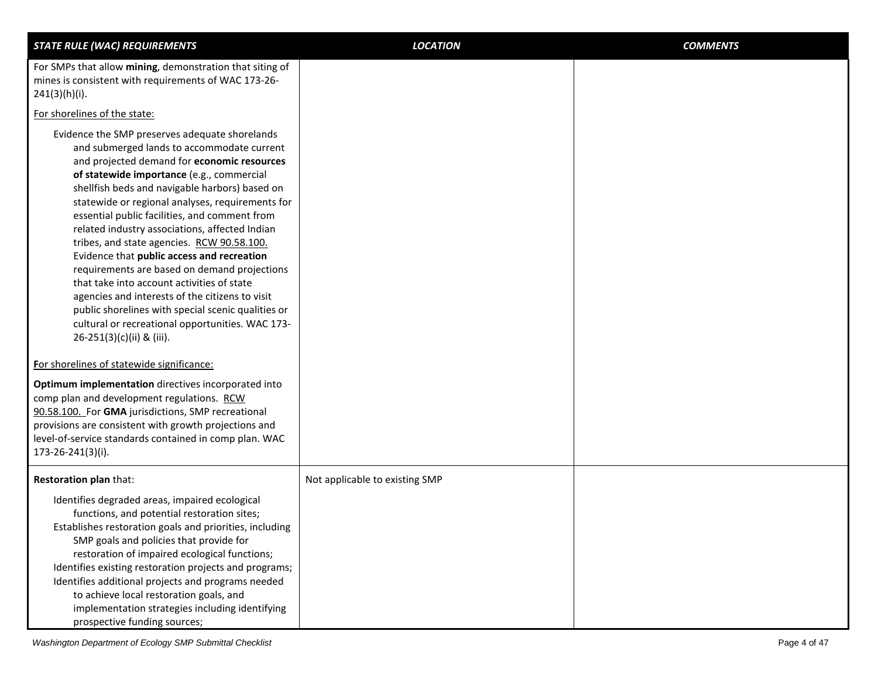| <b>STATE RULE (WAC) REQUIREMENTS</b>                                                                                                                                                                                                                                                                                                                                                                                                                                                                                                                                                                                                                                                                                                                                                  | <b>LOCATION</b>                | <b>COMMENTS</b> |
|---------------------------------------------------------------------------------------------------------------------------------------------------------------------------------------------------------------------------------------------------------------------------------------------------------------------------------------------------------------------------------------------------------------------------------------------------------------------------------------------------------------------------------------------------------------------------------------------------------------------------------------------------------------------------------------------------------------------------------------------------------------------------------------|--------------------------------|-----------------|
| For SMPs that allow mining, demonstration that siting of<br>mines is consistent with requirements of WAC 173-26-<br>241(3)(h)(i).                                                                                                                                                                                                                                                                                                                                                                                                                                                                                                                                                                                                                                                     |                                |                 |
| For shorelines of the state:                                                                                                                                                                                                                                                                                                                                                                                                                                                                                                                                                                                                                                                                                                                                                          |                                |                 |
| Evidence the SMP preserves adequate shorelands<br>and submerged lands to accommodate current<br>and projected demand for economic resources<br>of statewide importance (e.g., commercial<br>shellfish beds and navigable harbors) based on<br>statewide or regional analyses, requirements for<br>essential public facilities, and comment from<br>related industry associations, affected Indian<br>tribes, and state agencies. RCW 90.58.100.<br>Evidence that public access and recreation<br>requirements are based on demand projections<br>that take into account activities of state<br>agencies and interests of the citizens to visit<br>public shorelines with special scenic qualities or<br>cultural or recreational opportunities. WAC 173-<br>26-251(3)(c)(ii) & (iii). |                                |                 |
| For shorelines of statewide significance:                                                                                                                                                                                                                                                                                                                                                                                                                                                                                                                                                                                                                                                                                                                                             |                                |                 |
| Optimum implementation directives incorporated into<br>comp plan and development regulations. RCW<br>90.58.100. For GMA jurisdictions, SMP recreational<br>provisions are consistent with growth projections and<br>level-of-service standards contained in comp plan. WAC<br>173-26-241(3)(i).                                                                                                                                                                                                                                                                                                                                                                                                                                                                                       |                                |                 |
| Restoration plan that:                                                                                                                                                                                                                                                                                                                                                                                                                                                                                                                                                                                                                                                                                                                                                                | Not applicable to existing SMP |                 |
| Identifies degraded areas, impaired ecological<br>functions, and potential restoration sites;<br>Establishes restoration goals and priorities, including<br>SMP goals and policies that provide for<br>restoration of impaired ecological functions;<br>Identifies existing restoration projects and programs;<br>Identifies additional projects and programs needed<br>to achieve local restoration goals, and<br>implementation strategies including identifying<br>prospective funding sources;                                                                                                                                                                                                                                                                                    |                                |                 |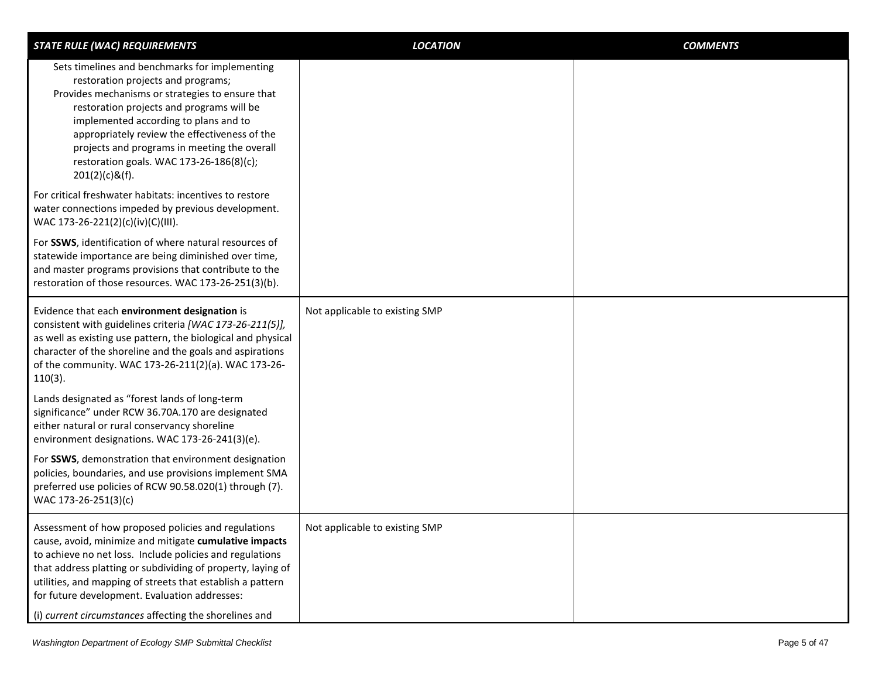| <b>STATE RULE (WAC) REQUIREMENTS</b>                                                                                                                                                                                                                                                                                                                                                                              | <b>LOCATION</b>                | <b>COMMENTS</b> |
|-------------------------------------------------------------------------------------------------------------------------------------------------------------------------------------------------------------------------------------------------------------------------------------------------------------------------------------------------------------------------------------------------------------------|--------------------------------|-----------------|
| Sets timelines and benchmarks for implementing<br>restoration projects and programs;<br>Provides mechanisms or strategies to ensure that<br>restoration projects and programs will be<br>implemented according to plans and to<br>appropriately review the effectiveness of the<br>projects and programs in meeting the overall<br>restoration goals. WAC 173-26-186(8)(c);<br>$201(2)(c)$ &(f).                  |                                |                 |
| For critical freshwater habitats: incentives to restore<br>water connections impeded by previous development.<br>WAC 173-26-221(2)(c)(iv)(C)(III).                                                                                                                                                                                                                                                                |                                |                 |
| For SSWS, identification of where natural resources of<br>statewide importance are being diminished over time,<br>and master programs provisions that contribute to the<br>restoration of those resources. WAC 173-26-251(3)(b).                                                                                                                                                                                  |                                |                 |
| Evidence that each environment designation is<br>consistent with guidelines criteria [WAC 173-26-211(5)],<br>as well as existing use pattern, the biological and physical<br>character of the shoreline and the goals and aspirations<br>of the community. WAC 173-26-211(2)(a). WAC 173-26-<br>$110(3)$ .                                                                                                        | Not applicable to existing SMP |                 |
| Lands designated as "forest lands of long-term<br>significance" under RCW 36.70A.170 are designated<br>either natural or rural conservancy shoreline<br>environment designations. WAC 173-26-241(3)(e).                                                                                                                                                                                                           |                                |                 |
| For SSWS, demonstration that environment designation<br>policies, boundaries, and use provisions implement SMA<br>preferred use policies of RCW 90.58.020(1) through (7).<br>WAC 173-26-251(3)(c)                                                                                                                                                                                                                 |                                |                 |
| Assessment of how proposed policies and regulations<br>cause, avoid, minimize and mitigate cumulative impacts<br>to achieve no net loss. Include policies and regulations<br>that address platting or subdividing of property, laying of<br>utilities, and mapping of streets that establish a pattern<br>for future development. Evaluation addresses:<br>(i) current circumstances affecting the shorelines and | Not applicable to existing SMP |                 |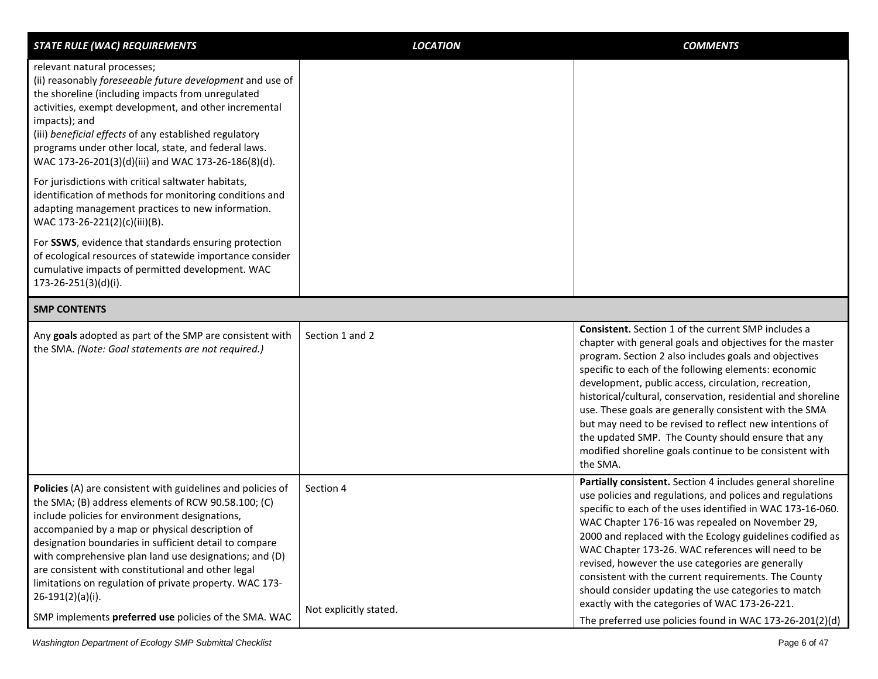| <b>STATE RULE (WAC) REQUIREMENTS</b>                                                                                                                                                                                                                                                                                                                                                                                                                                                                                                        | <b>LOCATION</b>                     | <b>COMMENTS</b>                                                                                                                                                                                                                                                                                                                                                                                                                                                                                                                                                                                                                                |
|---------------------------------------------------------------------------------------------------------------------------------------------------------------------------------------------------------------------------------------------------------------------------------------------------------------------------------------------------------------------------------------------------------------------------------------------------------------------------------------------------------------------------------------------|-------------------------------------|------------------------------------------------------------------------------------------------------------------------------------------------------------------------------------------------------------------------------------------------------------------------------------------------------------------------------------------------------------------------------------------------------------------------------------------------------------------------------------------------------------------------------------------------------------------------------------------------------------------------------------------------|
| relevant natural processes;<br>(ii) reasonably foreseeable future development and use of<br>the shoreline (including impacts from unregulated<br>activities, exempt development, and other incremental<br>impacts); and<br>(iii) beneficial effects of any established regulatory<br>programs under other local, state, and federal laws.<br>WAC 173-26-201(3)(d)(iii) and WAC 173-26-186(8)(d).                                                                                                                                            |                                     |                                                                                                                                                                                                                                                                                                                                                                                                                                                                                                                                                                                                                                                |
| For jurisdictions with critical saltwater habitats,<br>identification of methods for monitoring conditions and<br>adapting management practices to new information.<br>WAC 173-26-221(2)(c)(iii)(B).                                                                                                                                                                                                                                                                                                                                        |                                     |                                                                                                                                                                                                                                                                                                                                                                                                                                                                                                                                                                                                                                                |
| For SSWS, evidence that standards ensuring protection<br>of ecological resources of statewide importance consider<br>cumulative impacts of permitted development. WAC<br>$173 - 26 - 251(3)(d)(i).$                                                                                                                                                                                                                                                                                                                                         |                                     |                                                                                                                                                                                                                                                                                                                                                                                                                                                                                                                                                                                                                                                |
| <b>SMP CONTENTS</b>                                                                                                                                                                                                                                                                                                                                                                                                                                                                                                                         |                                     |                                                                                                                                                                                                                                                                                                                                                                                                                                                                                                                                                                                                                                                |
| Any goals adopted as part of the SMP are consistent with<br>the SMA. (Note: Goal statements are not required.)                                                                                                                                                                                                                                                                                                                                                                                                                              | Section 1 and 2                     | <b>Consistent.</b> Section 1 of the current SMP includes a<br>chapter with general goals and objectives for the master<br>program. Section 2 also includes goals and objectives<br>specific to each of the following elements: economic<br>development, public access, circulation, recreation,<br>historical/cultural, conservation, residential and shoreline<br>use. These goals are generally consistent with the SMA<br>but may need to be revised to reflect new intentions of<br>the updated SMP. The County should ensure that any<br>modified shoreline goals continue to be consistent with<br>the SMA.                              |
| Policies (A) are consistent with guidelines and policies of<br>the SMA; (B) address elements of RCW 90.58.100; (C)<br>include policies for environment designations,<br>accompanied by a map or physical description of<br>designation boundaries in sufficient detail to compare<br>with comprehensive plan land use designations; and (D)<br>are consistent with constitutional and other legal<br>limitations on regulation of private property. WAC 173-<br>$26-191(2)(a)(i).$<br>SMP implements preferred use policies of the SMA. WAC | Section 4<br>Not explicitly stated. | Partially consistent. Section 4 includes general shoreline<br>use policies and regulations, and polices and regulations<br>specific to each of the uses identified in WAC 173-16-060.<br>WAC Chapter 176-16 was repealed on November 29,<br>2000 and replaced with the Ecology guidelines codified as<br>WAC Chapter 173-26. WAC references will need to be<br>revised, however the use categories are generally<br>consistent with the current requirements. The County<br>should consider updating the use categories to match<br>exactly with the categories of WAC 173-26-221.<br>The preferred use policies found in WAC 173-26-201(2)(d) |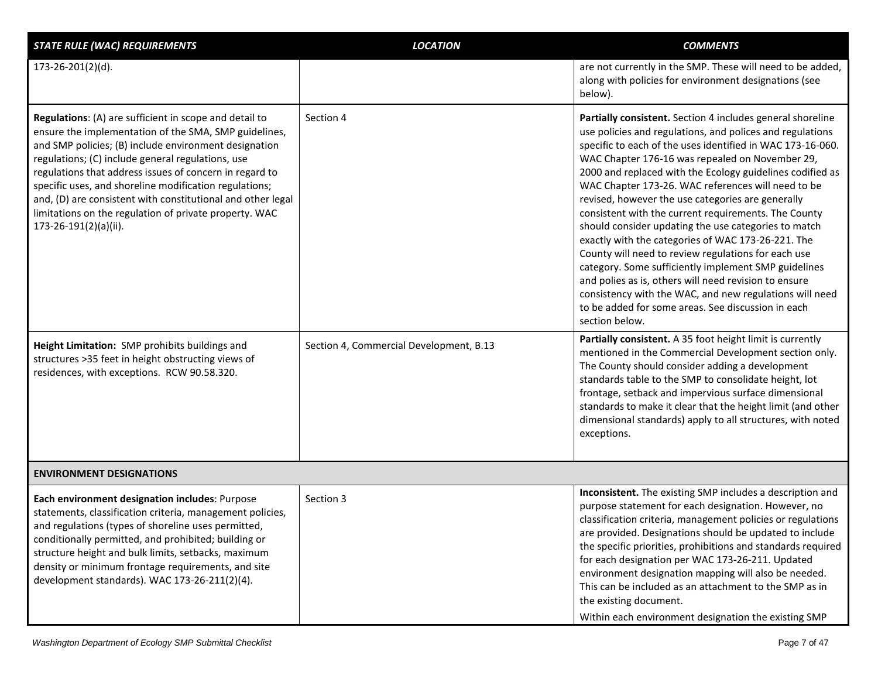| <b>STATE RULE (WAC) REQUIREMENTS</b>                                                                                                                                                                                                                                                                                                                                                                                                                                                                 | <b>LOCATION</b>                         | <b>COMMENTS</b>                                                                                                                                                                                                                                                                                                                                                                                                                                                                                                                                                                                                                                                                                                                                                                                                                                                                                   |
|------------------------------------------------------------------------------------------------------------------------------------------------------------------------------------------------------------------------------------------------------------------------------------------------------------------------------------------------------------------------------------------------------------------------------------------------------------------------------------------------------|-----------------------------------------|---------------------------------------------------------------------------------------------------------------------------------------------------------------------------------------------------------------------------------------------------------------------------------------------------------------------------------------------------------------------------------------------------------------------------------------------------------------------------------------------------------------------------------------------------------------------------------------------------------------------------------------------------------------------------------------------------------------------------------------------------------------------------------------------------------------------------------------------------------------------------------------------------|
| 173-26-201(2)(d).                                                                                                                                                                                                                                                                                                                                                                                                                                                                                    |                                         | are not currently in the SMP. These will need to be added,<br>along with policies for environment designations (see<br>below).                                                                                                                                                                                                                                                                                                                                                                                                                                                                                                                                                                                                                                                                                                                                                                    |
| Regulations: (A) are sufficient in scope and detail to<br>ensure the implementation of the SMA, SMP guidelines,<br>and SMP policies; (B) include environment designation<br>regulations; (C) include general regulations, use<br>regulations that address issues of concern in regard to<br>specific uses, and shoreline modification regulations;<br>and, (D) are consistent with constitutional and other legal<br>limitations on the regulation of private property. WAC<br>173-26-191(2)(a)(ii). | Section 4                               | Partially consistent. Section 4 includes general shoreline<br>use policies and regulations, and polices and regulations<br>specific to each of the uses identified in WAC 173-16-060.<br>WAC Chapter 176-16 was repealed on November 29,<br>2000 and replaced with the Ecology guidelines codified as<br>WAC Chapter 173-26. WAC references will need to be<br>revised, however the use categories are generally<br>consistent with the current requirements. The County<br>should consider updating the use categories to match<br>exactly with the categories of WAC 173-26-221. The<br>County will need to review regulations for each use<br>category. Some sufficiently implement SMP guidelines<br>and polies as is, others will need revision to ensure<br>consistency with the WAC, and new regulations will need<br>to be added for some areas. See discussion in each<br>section below. |
| Height Limitation: SMP prohibits buildings and<br>structures >35 feet in height obstructing views of<br>residences, with exceptions. RCW 90.58.320.                                                                                                                                                                                                                                                                                                                                                  | Section 4, Commercial Development, B.13 | Partially consistent. A 35 foot height limit is currently<br>mentioned in the Commercial Development section only.<br>The County should consider adding a development<br>standards table to the SMP to consolidate height, lot<br>frontage, setback and impervious surface dimensional<br>standards to make it clear that the height limit (and other<br>dimensional standards) apply to all structures, with noted<br>exceptions.                                                                                                                                                                                                                                                                                                                                                                                                                                                                |
| <b>ENVIRONMENT DESIGNATIONS</b>                                                                                                                                                                                                                                                                                                                                                                                                                                                                      |                                         |                                                                                                                                                                                                                                                                                                                                                                                                                                                                                                                                                                                                                                                                                                                                                                                                                                                                                                   |
| Each environment designation includes: Purpose<br>statements, classification criteria, management policies,<br>and regulations (types of shoreline uses permitted,<br>conditionally permitted, and prohibited; building or<br>structure height and bulk limits, setbacks, maximum<br>density or minimum frontage requirements, and site<br>development standards). WAC 173-26-211(2)(4).                                                                                                             | Section 3                               | Inconsistent. The existing SMP includes a description and<br>purpose statement for each designation. However, no<br>classification criteria, management policies or regulations<br>are provided. Designations should be updated to include<br>the specific priorities, prohibitions and standards required<br>for each designation per WAC 173-26-211. Updated<br>environment designation mapping will also be needed.<br>This can be included as an attachment to the SMP as in<br>the existing document.<br>Within each environment designation the existing SMP                                                                                                                                                                                                                                                                                                                                |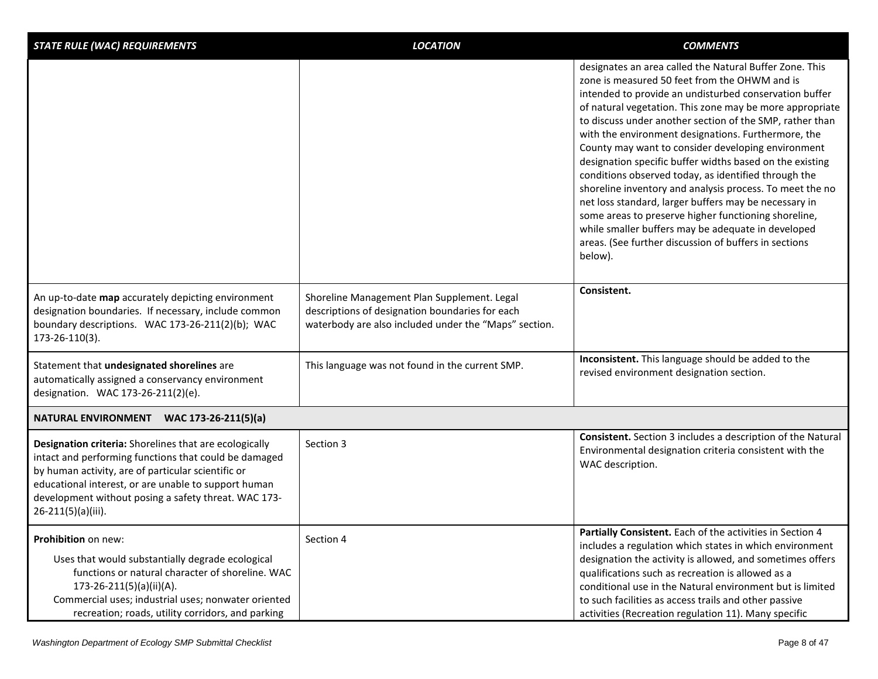| designates an area called the Natural Buffer Zone. This<br>zone is measured 50 feet from the OHWM and is<br>intended to provide an undisturbed conservation buffer<br>of natural vegetation. This zone may be more appropriate<br>to discuss under another section of the SMP, rather than<br>with the environment designations. Furthermore, the<br>County may want to consider developing environment                 |
|-------------------------------------------------------------------------------------------------------------------------------------------------------------------------------------------------------------------------------------------------------------------------------------------------------------------------------------------------------------------------------------------------------------------------|
| designation specific buffer widths based on the existing<br>conditions observed today, as identified through the<br>shoreline inventory and analysis process. To meet the no<br>net loss standard, larger buffers may be necessary in<br>some areas to preserve higher functioning shoreline,<br>while smaller buffers may be adequate in developed<br>areas. (See further discussion of buffers in sections<br>below). |
| Consistent.<br>Shoreline Management Plan Supplement. Legal<br>descriptions of designation boundaries for each<br>waterbody are also included under the "Maps" section.                                                                                                                                                                                                                                                  |
| Inconsistent. This language should be added to the<br>This language was not found in the current SMP.<br>revised environment designation section.                                                                                                                                                                                                                                                                       |
|                                                                                                                                                                                                                                                                                                                                                                                                                         |
| Consistent. Section 3 includes a description of the Natural<br>Environmental designation criteria consistent with the<br>WAC description.                                                                                                                                                                                                                                                                               |
| Partially Consistent. Each of the activities in Section 4<br>includes a regulation which states in which environment<br>designation the activity is allowed, and sometimes offers<br>qualifications such as recreation is allowed as a<br>conditional use in the Natural environment but is limited<br>to such facilities as access trails and other passive<br>activities (Recreation regulation 11). Many specific    |
|                                                                                                                                                                                                                                                                                                                                                                                                                         |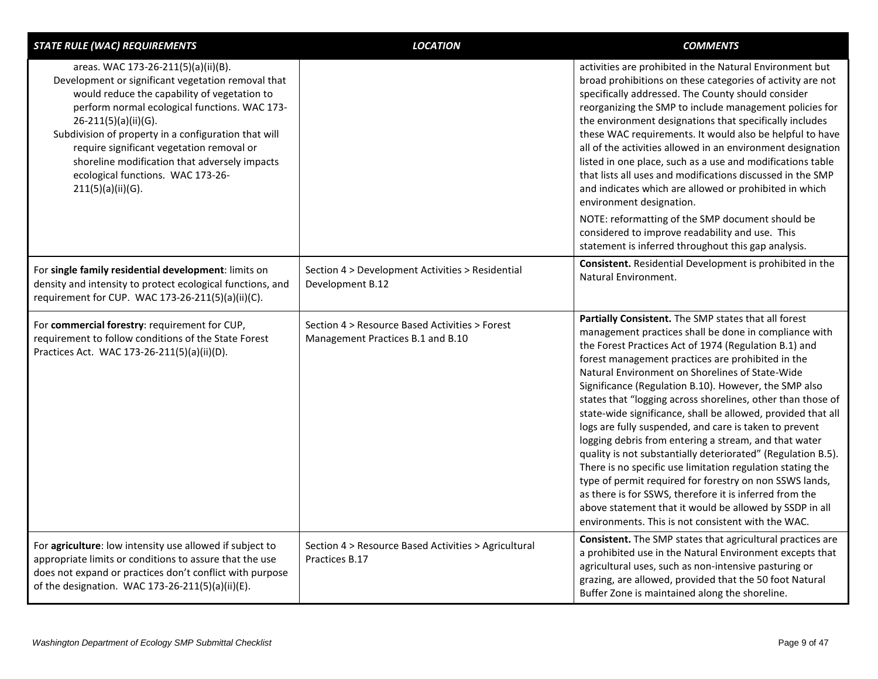| <b>STATE RULE (WAC) REQUIREMENTS</b>                                                                                                                                                                                                                                                                                                                                                                                               | <b>LOCATION</b>                                                                     | <b>COMMENTS</b>                                                                                                                                                                                                                                                                                                                                                                                                                                                                                                                                                                                                                                                                                                                                                                                                                                                                                                                                                |
|------------------------------------------------------------------------------------------------------------------------------------------------------------------------------------------------------------------------------------------------------------------------------------------------------------------------------------------------------------------------------------------------------------------------------------|-------------------------------------------------------------------------------------|----------------------------------------------------------------------------------------------------------------------------------------------------------------------------------------------------------------------------------------------------------------------------------------------------------------------------------------------------------------------------------------------------------------------------------------------------------------------------------------------------------------------------------------------------------------------------------------------------------------------------------------------------------------------------------------------------------------------------------------------------------------------------------------------------------------------------------------------------------------------------------------------------------------------------------------------------------------|
| areas. WAC 173-26-211(5)(a)(ii)(B).<br>Development or significant vegetation removal that<br>would reduce the capability of vegetation to<br>perform normal ecological functions. WAC 173-<br>26-211(5)(a)(ii)(G).<br>Subdivision of property in a configuration that will<br>require significant vegetation removal or<br>shoreline modification that adversely impacts<br>ecological functions. WAC 173-26-<br>211(5)(a)(ii)(G). |                                                                                     | activities are prohibited in the Natural Environment but<br>broad prohibitions on these categories of activity are not<br>specifically addressed. The County should consider<br>reorganizing the SMP to include management policies for<br>the environment designations that specifically includes<br>these WAC requirements. It would also be helpful to have<br>all of the activities allowed in an environment designation<br>listed in one place, such as a use and modifications table<br>that lists all uses and modifications discussed in the SMP<br>and indicates which are allowed or prohibited in which<br>environment designation.                                                                                                                                                                                                                                                                                                                |
|                                                                                                                                                                                                                                                                                                                                                                                                                                    |                                                                                     | NOTE: reformatting of the SMP document should be<br>considered to improve readability and use. This<br>statement is inferred throughout this gap analysis.                                                                                                                                                                                                                                                                                                                                                                                                                                                                                                                                                                                                                                                                                                                                                                                                     |
| For single family residential development: limits on<br>density and intensity to protect ecological functions, and<br>requirement for CUP. WAC 173-26-211(5)(a)(ii)(C).                                                                                                                                                                                                                                                            | Section 4 > Development Activities > Residential<br>Development B.12                | <b>Consistent.</b> Residential Development is prohibited in the<br>Natural Environment.                                                                                                                                                                                                                                                                                                                                                                                                                                                                                                                                                                                                                                                                                                                                                                                                                                                                        |
| For commercial forestry: requirement for CUP,<br>requirement to follow conditions of the State Forest<br>Practices Act. WAC 173-26-211(5)(a)(ii)(D).                                                                                                                                                                                                                                                                               | Section 4 > Resource Based Activities > Forest<br>Management Practices B.1 and B.10 | Partially Consistent. The SMP states that all forest<br>management practices shall be done in compliance with<br>the Forest Practices Act of 1974 (Regulation B.1) and<br>forest management practices are prohibited in the<br>Natural Environment on Shorelines of State-Wide<br>Significance (Regulation B.10). However, the SMP also<br>states that "logging across shorelines, other than those of<br>state-wide significance, shall be allowed, provided that all<br>logs are fully suspended, and care is taken to prevent<br>logging debris from entering a stream, and that water<br>quality is not substantially deteriorated" (Regulation B.5).<br>There is no specific use limitation regulation stating the<br>type of permit required for forestry on non SSWS lands,<br>as there is for SSWS, therefore it is inferred from the<br>above statement that it would be allowed by SSDP in all<br>environments. This is not consistent with the WAC. |
| For agriculture: low intensity use allowed if subject to<br>appropriate limits or conditions to assure that the use<br>does not expand or practices don't conflict with purpose<br>of the designation. WAC 173-26-211(5)(a)(ii)(E).                                                                                                                                                                                                | Section 4 > Resource Based Activities > Agricultural<br>Practices B.17              | <b>Consistent.</b> The SMP states that agricultural practices are<br>a prohibited use in the Natural Environment excepts that<br>agricultural uses, such as non-intensive pasturing or<br>grazing, are allowed, provided that the 50 foot Natural<br>Buffer Zone is maintained along the shoreline.                                                                                                                                                                                                                                                                                                                                                                                                                                                                                                                                                                                                                                                            |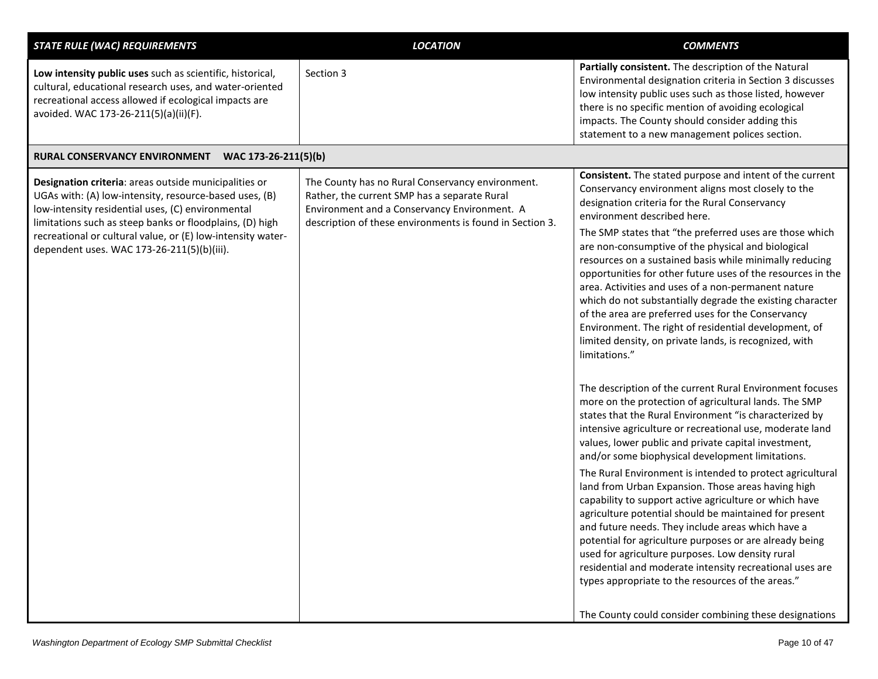| <b>LOCATION</b>                                                                                                                                  | <b>COMMENTS</b>                                                                                                                                                                                                                                                                                                                                                                                                                                                                                                                                                                                                                                                                                                                                                                                                                                                                                                                           |
|--------------------------------------------------------------------------------------------------------------------------------------------------|-------------------------------------------------------------------------------------------------------------------------------------------------------------------------------------------------------------------------------------------------------------------------------------------------------------------------------------------------------------------------------------------------------------------------------------------------------------------------------------------------------------------------------------------------------------------------------------------------------------------------------------------------------------------------------------------------------------------------------------------------------------------------------------------------------------------------------------------------------------------------------------------------------------------------------------------|
| Section 3                                                                                                                                        | Partially consistent. The description of the Natural<br>Environmental designation criteria in Section 3 discusses<br>low intensity public uses such as those listed, however<br>there is no specific mention of avoiding ecological<br>impacts. The County should consider adding this<br>statement to a new management polices section.                                                                                                                                                                                                                                                                                                                                                                                                                                                                                                                                                                                                  |
| WAC 173-26-211(5)(b)                                                                                                                             |                                                                                                                                                                                                                                                                                                                                                                                                                                                                                                                                                                                                                                                                                                                                                                                                                                                                                                                                           |
| The County has no Rural Conservancy environment.<br>Rather, the current SMP has a separate Rural<br>Environment and a Conservancy Environment. A | <b>Consistent.</b> The stated purpose and intent of the current<br>Conservancy environment aligns most closely to the<br>designation criteria for the Rural Conservancy<br>environment described here.                                                                                                                                                                                                                                                                                                                                                                                                                                                                                                                                                                                                                                                                                                                                    |
|                                                                                                                                                  | The SMP states that "the preferred uses are those which<br>are non-consumptive of the physical and biological<br>resources on a sustained basis while minimally reducing<br>opportunities for other future uses of the resources in the<br>area. Activities and uses of a non-permanent nature<br>which do not substantially degrade the existing character<br>of the area are preferred uses for the Conservancy<br>Environment. The right of residential development, of<br>limited density, on private lands, is recognized, with<br>limitations."                                                                                                                                                                                                                                                                                                                                                                                     |
|                                                                                                                                                  | The description of the current Rural Environment focuses<br>more on the protection of agricultural lands. The SMP<br>states that the Rural Environment "is characterized by<br>intensive agriculture or recreational use, moderate land<br>values, lower public and private capital investment,<br>and/or some biophysical development limitations.<br>The Rural Environment is intended to protect agricultural<br>land from Urban Expansion. Those areas having high<br>capability to support active agriculture or which have<br>agriculture potential should be maintained for present<br>and future needs. They include areas which have a<br>potential for agriculture purposes or are already being<br>used for agriculture purposes. Low density rural<br>residential and moderate intensity recreational uses are<br>types appropriate to the resources of the areas."<br>The County could consider combining these designations |
|                                                                                                                                                  | description of these environments is found in Section 3.                                                                                                                                                                                                                                                                                                                                                                                                                                                                                                                                                                                                                                                                                                                                                                                                                                                                                  |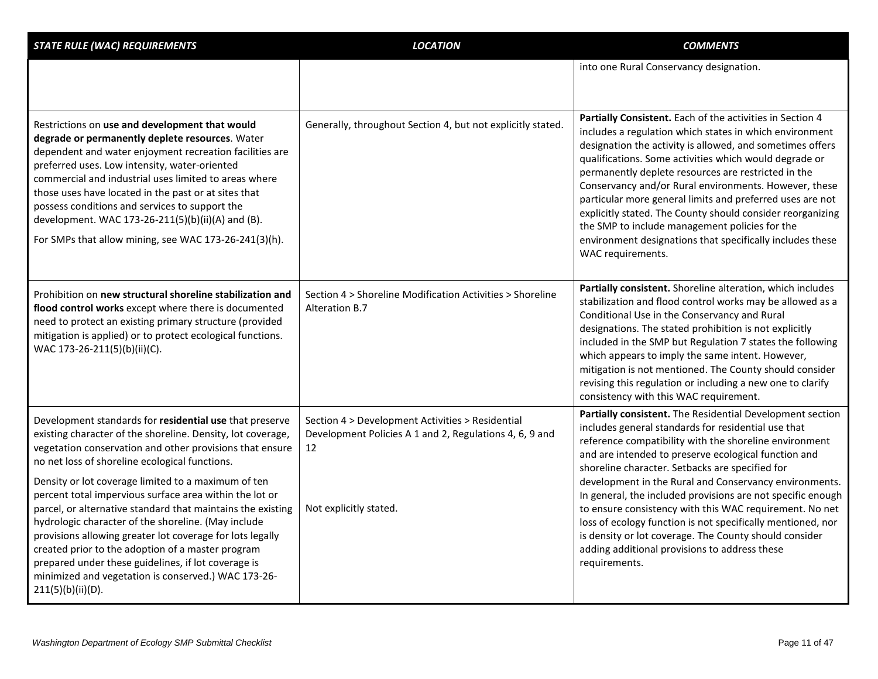| <b>STATE RULE (WAC) REQUIREMENTS</b>                                                                                                                                                                                                                                                                                                                                                                                                                                                           | <b>LOCATION</b>                                                                                                   | <b>COMMENTS</b>                                                                                                                                                                                                                                                                                                                                                                                                                                                                                                                                                                                                            |
|------------------------------------------------------------------------------------------------------------------------------------------------------------------------------------------------------------------------------------------------------------------------------------------------------------------------------------------------------------------------------------------------------------------------------------------------------------------------------------------------|-------------------------------------------------------------------------------------------------------------------|----------------------------------------------------------------------------------------------------------------------------------------------------------------------------------------------------------------------------------------------------------------------------------------------------------------------------------------------------------------------------------------------------------------------------------------------------------------------------------------------------------------------------------------------------------------------------------------------------------------------------|
|                                                                                                                                                                                                                                                                                                                                                                                                                                                                                                |                                                                                                                   | into one Rural Conservancy designation.                                                                                                                                                                                                                                                                                                                                                                                                                                                                                                                                                                                    |
| Restrictions on use and development that would<br>degrade or permanently deplete resources. Water<br>dependent and water enjoyment recreation facilities are<br>preferred uses. Low intensity, water-oriented<br>commercial and industrial uses limited to areas where<br>those uses have located in the past or at sites that<br>possess conditions and services to support the<br>development. WAC 173-26-211(5)(b)(ii)(A) and (B).<br>For SMPs that allow mining, see WAC 173-26-241(3)(h). | Generally, throughout Section 4, but not explicitly stated.                                                       | Partially Consistent. Each of the activities in Section 4<br>includes a regulation which states in which environment<br>designation the activity is allowed, and sometimes offers<br>qualifications. Some activities which would degrade or<br>permanently deplete resources are restricted in the<br>Conservancy and/or Rural environments. However, these<br>particular more general limits and preferred uses are not<br>explicitly stated. The County should consider reorganizing<br>the SMP to include management policies for the<br>environment designations that specifically includes these<br>WAC requirements. |
| Prohibition on new structural shoreline stabilization and<br>flood control works except where there is documented<br>need to protect an existing primary structure (provided<br>mitigation is applied) or to protect ecological functions.<br>WAC 173-26-211(5)(b)(ii)(C).                                                                                                                                                                                                                     | Section 4 > Shoreline Modification Activities > Shoreline<br>Alteration B.7                                       | Partially consistent. Shoreline alteration, which includes<br>stabilization and flood control works may be allowed as a<br>Conditional Use in the Conservancy and Rural<br>designations. The stated prohibition is not explicitly<br>included in the SMP but Regulation 7 states the following<br>which appears to imply the same intent. However,<br>mitigation is not mentioned. The County should consider<br>revising this regulation or including a new one to clarify<br>consistency with this WAC requirement.                                                                                                      |
| Development standards for residential use that preserve<br>existing character of the shoreline. Density, lot coverage,<br>vegetation conservation and other provisions that ensure<br>no net loss of shoreline ecological functions.<br>Density or lot coverage limited to a maximum of ten                                                                                                                                                                                                    | Section 4 > Development Activities > Residential<br>Development Policies A 1 and 2, Regulations 4, 6, 9 and<br>12 | Partially consistent. The Residential Development section<br>includes general standards for residential use that<br>reference compatibility with the shoreline environment<br>and are intended to preserve ecological function and<br>shoreline character. Setbacks are specified for<br>development in the Rural and Conservancy environments.                                                                                                                                                                                                                                                                            |
| percent total impervious surface area within the lot or<br>parcel, or alternative standard that maintains the existing<br>hydrologic character of the shoreline. (May include<br>provisions allowing greater lot coverage for lots legally<br>created prior to the adoption of a master program<br>prepared under these guidelines, if lot coverage is<br>minimized and vegetation is conserved.) WAC 173-26-<br>211(5)(b)(ii)(D).                                                             | Not explicitly stated.                                                                                            | In general, the included provisions are not specific enough<br>to ensure consistency with this WAC requirement. No net<br>loss of ecology function is not specifically mentioned, nor<br>is density or lot coverage. The County should consider<br>adding additional provisions to address these<br>requirements.                                                                                                                                                                                                                                                                                                          |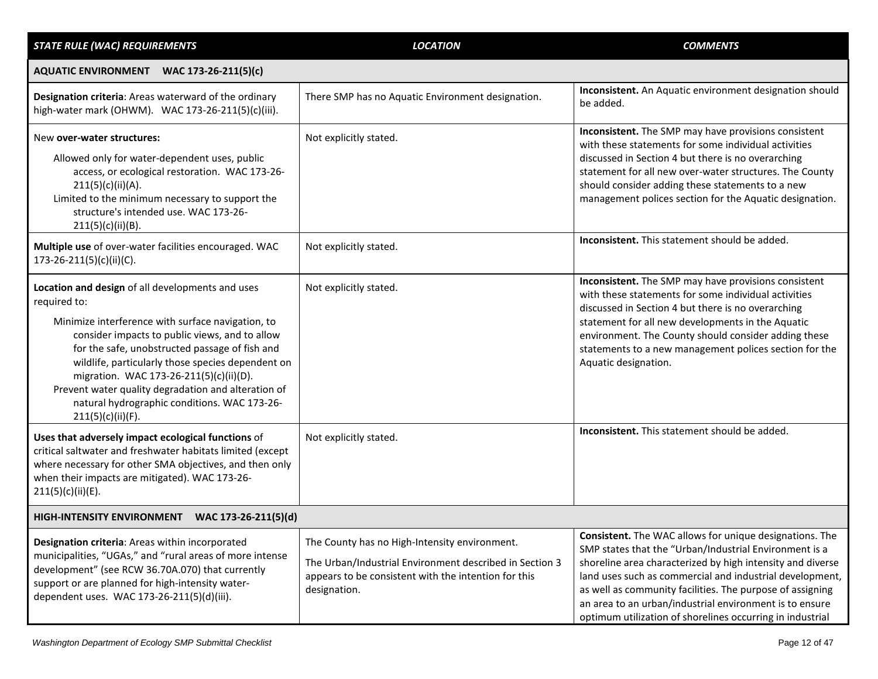| <b>STATE RULE (WAC) REQUIREMENTS</b>                                                                                                                                                                                                                                                                                                                                                                                                                  | <b>LOCATION</b>                                                                                                                                                                  | <b>COMMENTS</b>                                                                                                                                                                                                                                                                                                                                                                                                                         |
|-------------------------------------------------------------------------------------------------------------------------------------------------------------------------------------------------------------------------------------------------------------------------------------------------------------------------------------------------------------------------------------------------------------------------------------------------------|----------------------------------------------------------------------------------------------------------------------------------------------------------------------------------|-----------------------------------------------------------------------------------------------------------------------------------------------------------------------------------------------------------------------------------------------------------------------------------------------------------------------------------------------------------------------------------------------------------------------------------------|
| AQUATIC ENVIRONMENT WAC 173-26-211(5)(c)                                                                                                                                                                                                                                                                                                                                                                                                              |                                                                                                                                                                                  |                                                                                                                                                                                                                                                                                                                                                                                                                                         |
| Designation criteria: Areas waterward of the ordinary<br>high-water mark (OHWM). WAC 173-26-211(5)(c)(iii).                                                                                                                                                                                                                                                                                                                                           | There SMP has no Aquatic Environment designation.                                                                                                                                | Inconsistent. An Aquatic environment designation should<br>be added.                                                                                                                                                                                                                                                                                                                                                                    |
| New over-water structures:<br>Allowed only for water-dependent uses, public<br>access, or ecological restoration. WAC 173-26-<br>211(5)(c)(ii)(A).<br>Limited to the minimum necessary to support the<br>structure's intended use. WAC 173-26-<br>211(5)(c)(ii)(B).                                                                                                                                                                                   | Not explicitly stated.                                                                                                                                                           | Inconsistent. The SMP may have provisions consistent<br>with these statements for some individual activities<br>discussed in Section 4 but there is no overarching<br>statement for all new over-water structures. The County<br>should consider adding these statements to a new<br>management polices section for the Aquatic designation.                                                                                            |
| Multiple use of over-water facilities encouraged. WAC<br>173-26-211(5)(c)(ii)(C).                                                                                                                                                                                                                                                                                                                                                                     | Not explicitly stated.                                                                                                                                                           | Inconsistent. This statement should be added.                                                                                                                                                                                                                                                                                                                                                                                           |
| Location and design of all developments and uses<br>required to:<br>Minimize interference with surface navigation, to<br>consider impacts to public views, and to allow<br>for the safe, unobstructed passage of fish and<br>wildlife, particularly those species dependent on<br>migration. WAC 173-26-211(5)(c)(ii)(D).<br>Prevent water quality degradation and alteration of<br>natural hydrographic conditions. WAC 173-26-<br>211(5)(c)(ii)(F). | Not explicitly stated.                                                                                                                                                           | Inconsistent. The SMP may have provisions consistent<br>with these statements for some individual activities<br>discussed in Section 4 but there is no overarching<br>statement for all new developments in the Aquatic<br>environment. The County should consider adding these<br>statements to a new management polices section for the<br>Aquatic designation.                                                                       |
| Uses that adversely impact ecological functions of<br>critical saltwater and freshwater habitats limited (except<br>where necessary for other SMA objectives, and then only<br>when their impacts are mitigated). WAC 173-26-<br>211(5)(c)(ii)(E).                                                                                                                                                                                                    | Not explicitly stated.                                                                                                                                                           | Inconsistent. This statement should be added.                                                                                                                                                                                                                                                                                                                                                                                           |
| HIGH-INTENSITY ENVIRONMENT WAC 173-26-211(5)(d)                                                                                                                                                                                                                                                                                                                                                                                                       |                                                                                                                                                                                  |                                                                                                                                                                                                                                                                                                                                                                                                                                         |
| Designation criteria: Areas within incorporated<br>municipalities, "UGAs," and "rural areas of more intense<br>development" (see RCW 36.70A.070) that currently<br>support or are planned for high-intensity water-<br>dependent uses. WAC 173-26-211(5)(d)(iii).                                                                                                                                                                                     | The County has no High-Intensity environment.<br>The Urban/Industrial Environment described in Section 3<br>appears to be consistent with the intention for this<br>designation. | <b>Consistent.</b> The WAC allows for unique designations. The<br>SMP states that the "Urban/Industrial Environment is a<br>shoreline area characterized by high intensity and diverse<br>land uses such as commercial and industrial development,<br>as well as community facilities. The purpose of assigning<br>an area to an urban/industrial environment is to ensure<br>optimum utilization of shorelines occurring in industrial |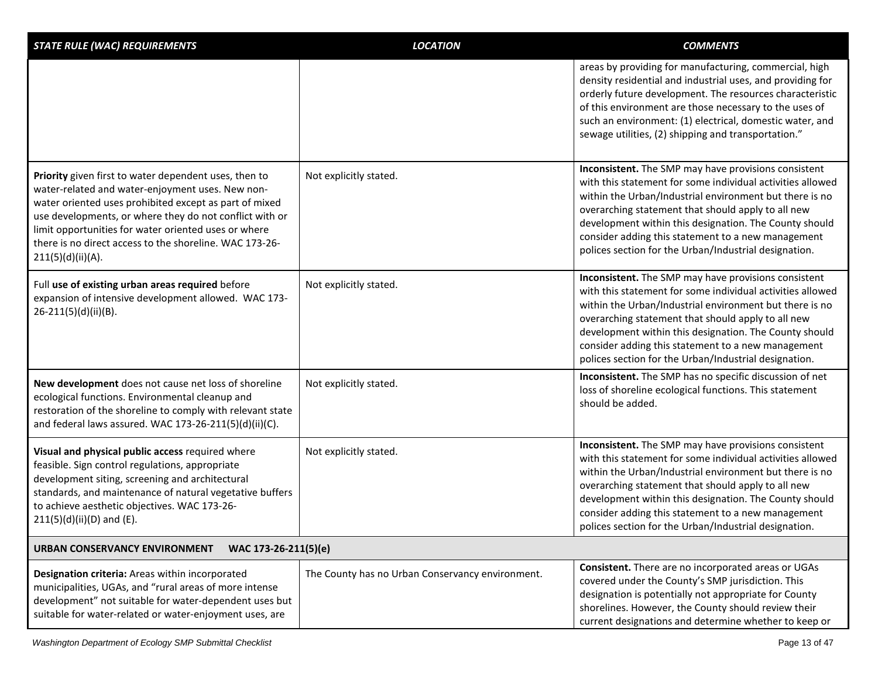| <b>STATE RULE (WAC) REQUIREMENTS</b>                                                                                                                                                                                                                                                                                                                                   | <b>LOCATION</b>                                  | <b>COMMENTS</b>                                                                                                                                                                                                                                                                                                                                                                                              |
|------------------------------------------------------------------------------------------------------------------------------------------------------------------------------------------------------------------------------------------------------------------------------------------------------------------------------------------------------------------------|--------------------------------------------------|--------------------------------------------------------------------------------------------------------------------------------------------------------------------------------------------------------------------------------------------------------------------------------------------------------------------------------------------------------------------------------------------------------------|
|                                                                                                                                                                                                                                                                                                                                                                        |                                                  | areas by providing for manufacturing, commercial, high<br>density residential and industrial uses, and providing for<br>orderly future development. The resources characteristic<br>of this environment are those necessary to the uses of<br>such an environment: (1) electrical, domestic water, and<br>sewage utilities, (2) shipping and transportation."                                                |
| Priority given first to water dependent uses, then to<br>water-related and water-enjoyment uses. New non-<br>water oriented uses prohibited except as part of mixed<br>use developments, or where they do not conflict with or<br>limit opportunities for water oriented uses or where<br>there is no direct access to the shoreline. WAC 173-26-<br>211(5)(d)(ii)(A). | Not explicitly stated.                           | Inconsistent. The SMP may have provisions consistent<br>with this statement for some individual activities allowed<br>within the Urban/Industrial environment but there is no<br>overarching statement that should apply to all new<br>development within this designation. The County should<br>consider adding this statement to a new management<br>polices section for the Urban/Industrial designation. |
| Full use of existing urban areas required before<br>expansion of intensive development allowed. WAC 173-<br>26-211(5)(d)(ii)(B).                                                                                                                                                                                                                                       | Not explicitly stated.                           | Inconsistent. The SMP may have provisions consistent<br>with this statement for some individual activities allowed<br>within the Urban/Industrial environment but there is no<br>overarching statement that should apply to all new<br>development within this designation. The County should<br>consider adding this statement to a new management<br>polices section for the Urban/Industrial designation. |
| New development does not cause net loss of shoreline<br>ecological functions. Environmental cleanup and<br>restoration of the shoreline to comply with relevant state<br>and federal laws assured. WAC 173-26-211(5)(d)(ii)(C).                                                                                                                                        | Not explicitly stated.                           | Inconsistent. The SMP has no specific discussion of net<br>loss of shoreline ecological functions. This statement<br>should be added.                                                                                                                                                                                                                                                                        |
| Visual and physical public access required where<br>feasible. Sign control regulations, appropriate<br>development siting, screening and architectural<br>standards, and maintenance of natural vegetative buffers<br>to achieve aesthetic objectives. WAC 173-26-<br>$211(5)(d)(ii)(D)$ and (E).                                                                      | Not explicitly stated.                           | Inconsistent. The SMP may have provisions consistent<br>with this statement for some individual activities allowed<br>within the Urban/Industrial environment but there is no<br>overarching statement that should apply to all new<br>development within this designation. The County should<br>consider adding this statement to a new management<br>polices section for the Urban/Industrial designation. |
| <b>URBAN CONSERVANCY ENVIRONMENT</b><br>WAC 173-26-211(5)(e)                                                                                                                                                                                                                                                                                                           |                                                  |                                                                                                                                                                                                                                                                                                                                                                                                              |
| Designation criteria: Areas within incorporated<br>municipalities, UGAs, and "rural areas of more intense<br>development" not suitable for water-dependent uses but<br>suitable for water-related or water-enjoyment uses, are                                                                                                                                         | The County has no Urban Conservancy environment. | Consistent. There are no incorporated areas or UGAs<br>covered under the County's SMP jurisdiction. This<br>designation is potentially not appropriate for County<br>shorelines. However, the County should review their<br>current designations and determine whether to keep or                                                                                                                            |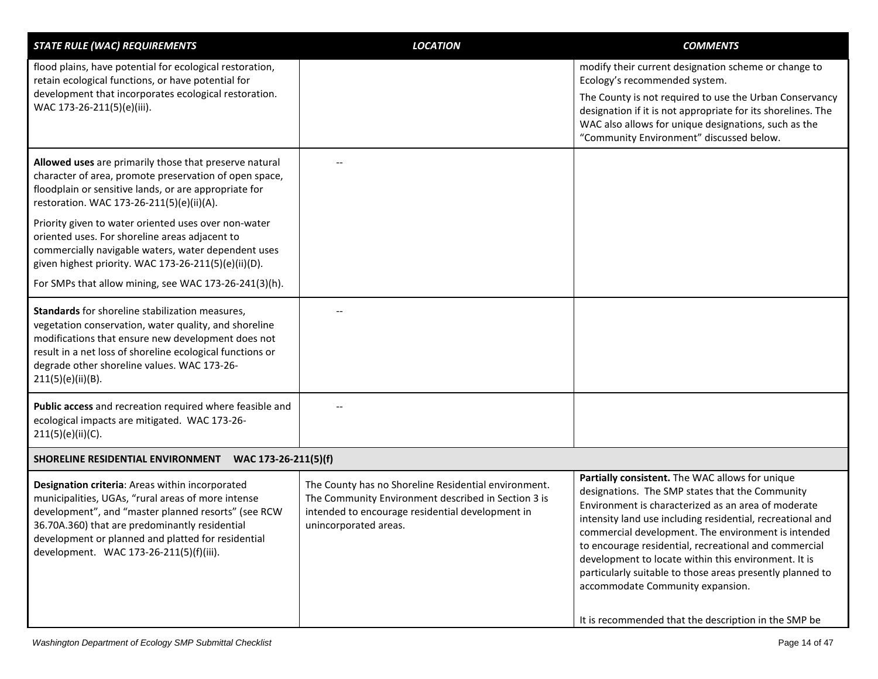| <b>STATE RULE (WAC) REQUIREMENTS</b>                                                                                                                                                                                                                                                                            | <b>LOCATION</b>                                                                                                                                                                          | <b>COMMENTS</b>                                                                                                                                                                                                                                                                                                                                                                                                                                                                                  |
|-----------------------------------------------------------------------------------------------------------------------------------------------------------------------------------------------------------------------------------------------------------------------------------------------------------------|------------------------------------------------------------------------------------------------------------------------------------------------------------------------------------------|--------------------------------------------------------------------------------------------------------------------------------------------------------------------------------------------------------------------------------------------------------------------------------------------------------------------------------------------------------------------------------------------------------------------------------------------------------------------------------------------------|
| flood plains, have potential for ecological restoration,<br>retain ecological functions, or have potential for                                                                                                                                                                                                  |                                                                                                                                                                                          | modify their current designation scheme or change to<br>Ecology's recommended system.                                                                                                                                                                                                                                                                                                                                                                                                            |
| development that incorporates ecological restoration.<br>WAC 173-26-211(5)(e)(iii).                                                                                                                                                                                                                             |                                                                                                                                                                                          | The County is not required to use the Urban Conservancy<br>designation if it is not appropriate for its shorelines. The<br>WAC also allows for unique designations, such as the<br>"Community Environment" discussed below.                                                                                                                                                                                                                                                                      |
| Allowed uses are primarily those that preserve natural<br>character of area, promote preservation of open space,<br>floodplain or sensitive lands, or are appropriate for<br>restoration. WAC 173-26-211(5)(e)(ii)(A).                                                                                          |                                                                                                                                                                                          |                                                                                                                                                                                                                                                                                                                                                                                                                                                                                                  |
| Priority given to water oriented uses over non-water<br>oriented uses. For shoreline areas adjacent to<br>commercially navigable waters, water dependent uses<br>given highest priority. WAC 173-26-211(5)(e)(ii)(D).                                                                                           |                                                                                                                                                                                          |                                                                                                                                                                                                                                                                                                                                                                                                                                                                                                  |
| For SMPs that allow mining, see WAC 173-26-241(3)(h).                                                                                                                                                                                                                                                           |                                                                                                                                                                                          |                                                                                                                                                                                                                                                                                                                                                                                                                                                                                                  |
| Standards for shoreline stabilization measures,<br>vegetation conservation, water quality, and shoreline<br>modifications that ensure new development does not<br>result in a net loss of shoreline ecological functions or<br>degrade other shoreline values. WAC 173-26-<br>211(5)(e)(ii)(B).                 |                                                                                                                                                                                          |                                                                                                                                                                                                                                                                                                                                                                                                                                                                                                  |
| Public access and recreation required where feasible and<br>ecological impacts are mitigated. WAC 173-26-<br>211(5)(e)(ii)(C).                                                                                                                                                                                  |                                                                                                                                                                                          |                                                                                                                                                                                                                                                                                                                                                                                                                                                                                                  |
| WAC 173-26-211(5)(f)<br>SHORELINE RESIDENTIAL ENVIRONMENT                                                                                                                                                                                                                                                       |                                                                                                                                                                                          |                                                                                                                                                                                                                                                                                                                                                                                                                                                                                                  |
| Designation criteria: Areas within incorporated<br>municipalities, UGAs, "rural areas of more intense<br>development", and "master planned resorts" (see RCW<br>36.70A.360) that are predominantly residential<br>development or planned and platted for residential<br>development. WAC 173-26-211(5)(f)(iii). | The County has no Shoreline Residential environment.<br>The Community Environment described in Section 3 is<br>intended to encourage residential development in<br>unincorporated areas. | Partially consistent. The WAC allows for unique<br>designations. The SMP states that the Community<br>Environment is characterized as an area of moderate<br>intensity land use including residential, recreational and<br>commercial development. The environment is intended<br>to encourage residential, recreational and commercial<br>development to locate within this environment. It is<br>particularly suitable to those areas presently planned to<br>accommodate Community expansion. |
|                                                                                                                                                                                                                                                                                                                 |                                                                                                                                                                                          | It is recommended that the description in the SMP be                                                                                                                                                                                                                                                                                                                                                                                                                                             |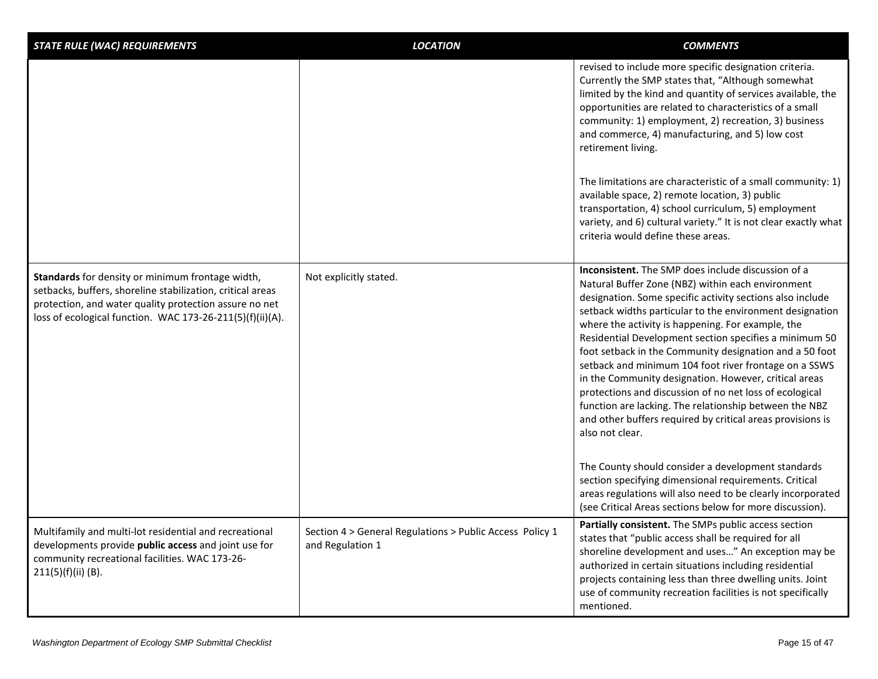| <b>STATE RULE (WAC) REQUIREMENTS</b>                                                                                                                                                                                                  | <b>LOCATION</b>                                                              | <b>COMMENTS</b>                                                                                                                                                                                                                                                                                                                                                                                                                                                                                                                                                                                                                                                                                                                    |
|---------------------------------------------------------------------------------------------------------------------------------------------------------------------------------------------------------------------------------------|------------------------------------------------------------------------------|------------------------------------------------------------------------------------------------------------------------------------------------------------------------------------------------------------------------------------------------------------------------------------------------------------------------------------------------------------------------------------------------------------------------------------------------------------------------------------------------------------------------------------------------------------------------------------------------------------------------------------------------------------------------------------------------------------------------------------|
|                                                                                                                                                                                                                                       |                                                                              | revised to include more specific designation criteria.<br>Currently the SMP states that, "Although somewhat<br>limited by the kind and quantity of services available, the<br>opportunities are related to characteristics of a small<br>community: 1) employment, 2) recreation, 3) business<br>and commerce, 4) manufacturing, and 5) low cost<br>retirement living.                                                                                                                                                                                                                                                                                                                                                             |
|                                                                                                                                                                                                                                       |                                                                              | The limitations are characteristic of a small community: 1)<br>available space, 2) remote location, 3) public<br>transportation, 4) school curriculum, 5) employment<br>variety, and 6) cultural variety." It is not clear exactly what<br>criteria would define these areas.                                                                                                                                                                                                                                                                                                                                                                                                                                                      |
| Standards for density or minimum frontage width,<br>setbacks, buffers, shoreline stabilization, critical areas<br>protection, and water quality protection assure no net<br>loss of ecological function. WAC 173-26-211(5)(f)(ii)(A). | Not explicitly stated.                                                       | Inconsistent. The SMP does include discussion of a<br>Natural Buffer Zone (NBZ) within each environment<br>designation. Some specific activity sections also include<br>setback widths particular to the environment designation<br>where the activity is happening. For example, the<br>Residential Development section specifies a minimum 50<br>foot setback in the Community designation and a 50 foot<br>setback and minimum 104 foot river frontage on a SSWS<br>in the Community designation. However, critical areas<br>protections and discussion of no net loss of ecological<br>function are lacking. The relationship between the NBZ<br>and other buffers required by critical areas provisions is<br>also not clear. |
|                                                                                                                                                                                                                                       |                                                                              | The County should consider a development standards<br>section specifying dimensional requirements. Critical<br>areas regulations will also need to be clearly incorporated<br>(see Critical Areas sections below for more discussion).                                                                                                                                                                                                                                                                                                                                                                                                                                                                                             |
| Multifamily and multi-lot residential and recreational<br>developments provide public access and joint use for<br>community recreational facilities. WAC 173-26-<br>211(5)(f)(ii)(B).                                                 | Section 4 > General Regulations > Public Access Policy 1<br>and Regulation 1 | Partially consistent. The SMPs public access section<br>states that "public access shall be required for all<br>shoreline development and uses" An exception may be<br>authorized in certain situations including residential<br>projects containing less than three dwelling units. Joint<br>use of community recreation facilities is not specifically<br>mentioned.                                                                                                                                                                                                                                                                                                                                                             |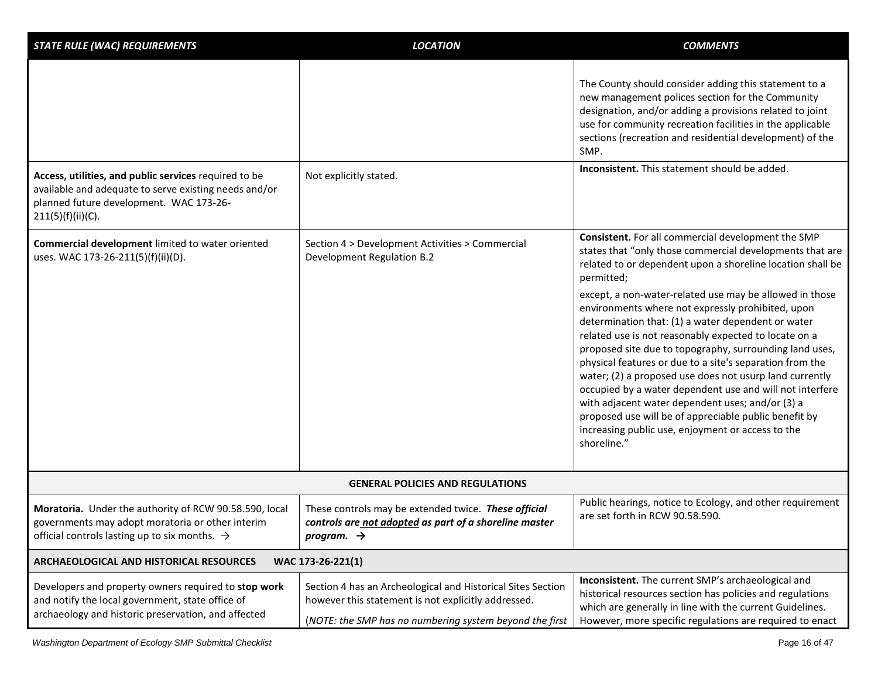| <b>STATE RULE (WAC) REQUIREMENTS</b>                                                                                                                                           | <b>LOCATION</b>                                                                                                                                                               | <b>COMMENTS</b>                                                                                                                                                                                                                                                                                                                                                                                                                                                                                                                                                                                                                                            |
|--------------------------------------------------------------------------------------------------------------------------------------------------------------------------------|-------------------------------------------------------------------------------------------------------------------------------------------------------------------------------|------------------------------------------------------------------------------------------------------------------------------------------------------------------------------------------------------------------------------------------------------------------------------------------------------------------------------------------------------------------------------------------------------------------------------------------------------------------------------------------------------------------------------------------------------------------------------------------------------------------------------------------------------------|
|                                                                                                                                                                                |                                                                                                                                                                               | The County should consider adding this statement to a<br>new management polices section for the Community<br>designation, and/or adding a provisions related to joint<br>use for community recreation facilities in the applicable<br>sections (recreation and residential development) of the<br>SMP.                                                                                                                                                                                                                                                                                                                                                     |
| Access, utilities, and public services required to be<br>available and adequate to serve existing needs and/or<br>planned future development. WAC 173-26-<br>211(5)(f)(ii)(C). | Not explicitly stated.                                                                                                                                                        | Inconsistent. This statement should be added.                                                                                                                                                                                                                                                                                                                                                                                                                                                                                                                                                                                                              |
| Commercial development limited to water oriented<br>uses. WAC 173-26-211(5)(f)(ii)(D).                                                                                         | Section 4 > Development Activities > Commercial<br>Development Regulation B.2                                                                                                 | Consistent. For all commercial development the SMP<br>states that "only those commercial developments that are<br>related to or dependent upon a shoreline location shall be<br>permitted;                                                                                                                                                                                                                                                                                                                                                                                                                                                                 |
|                                                                                                                                                                                |                                                                                                                                                                               | except, a non-water-related use may be allowed in those<br>environments where not expressly prohibited, upon<br>determination that: (1) a water dependent or water<br>related use is not reasonably expected to locate on a<br>proposed site due to topography, surrounding land uses,<br>physical features or due to a site's separation from the<br>water; (2) a proposed use does not usurp land currently<br>occupied by a water dependent use and will not interfere<br>with adjacent water dependent uses; and/or (3) a<br>proposed use will be of appreciable public benefit by<br>increasing public use, enjoyment or access to the<br>shoreline." |
|                                                                                                                                                                                | <b>GENERAL POLICIES AND REGULATIONS</b>                                                                                                                                       |                                                                                                                                                                                                                                                                                                                                                                                                                                                                                                                                                                                                                                                            |
| Moratoria. Under the authority of RCW 90.58.590, local<br>governments may adopt moratoria or other interim<br>official controls lasting up to six months. $\rightarrow$        | These controls may be extended twice. These official<br>controls are not adopted as part of a shoreline master<br>program. $\rightarrow$                                      | Public hearings, notice to Ecology, and other requirement<br>are set forth in RCW 90.58.590.                                                                                                                                                                                                                                                                                                                                                                                                                                                                                                                                                               |
| <b>ARCHAEOLOGICAL AND HISTORICAL RESOURCES</b>                                                                                                                                 | WAC 173-26-221(1)                                                                                                                                                             |                                                                                                                                                                                                                                                                                                                                                                                                                                                                                                                                                                                                                                                            |
| Developers and property owners required to stop work<br>and notify the local government, state office of<br>archaeology and historic preservation, and affected                | Section 4 has an Archeological and Historical Sites Section<br>however this statement is not explicitly addressed.<br>(NOTE: the SMP has no numbering system beyond the first | Inconsistent. The current SMP's archaeological and<br>historical resources section has policies and regulations<br>which are generally in line with the current Guidelines.<br>However, more specific regulations are required to enact                                                                                                                                                                                                                                                                                                                                                                                                                    |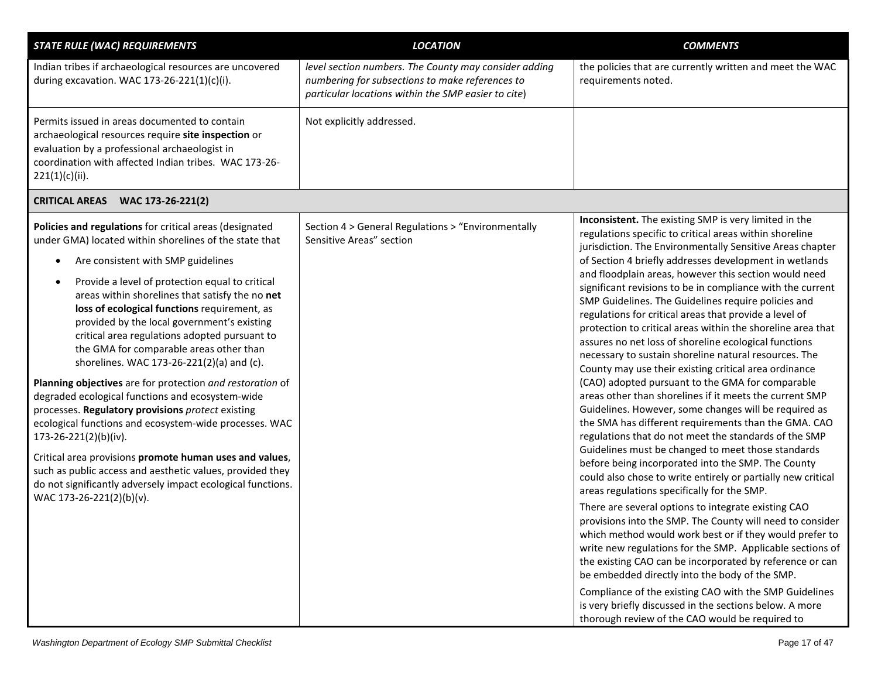| <b>STATE RULE (WAC) REQUIREMENTS</b>                                                                                                                                                                                                                                                                                                                                                                                                                                                                                                                                                                                                                                                                                                                                                                                                                                                                                                                                              | <b>LOCATION</b>                                                                                                                                                 | <b>COMMENTS</b>                                                                                                                                                                                                                                                                                                                                                                                                                                                                                                                                                                                                                                                                                                                                                                                                                                                                                                                                                                                                                                                                                                                                                                                                                                                                                                                                                                                                                                                                                                                                                                                                                                                                                                                                                                 |
|-----------------------------------------------------------------------------------------------------------------------------------------------------------------------------------------------------------------------------------------------------------------------------------------------------------------------------------------------------------------------------------------------------------------------------------------------------------------------------------------------------------------------------------------------------------------------------------------------------------------------------------------------------------------------------------------------------------------------------------------------------------------------------------------------------------------------------------------------------------------------------------------------------------------------------------------------------------------------------------|-----------------------------------------------------------------------------------------------------------------------------------------------------------------|---------------------------------------------------------------------------------------------------------------------------------------------------------------------------------------------------------------------------------------------------------------------------------------------------------------------------------------------------------------------------------------------------------------------------------------------------------------------------------------------------------------------------------------------------------------------------------------------------------------------------------------------------------------------------------------------------------------------------------------------------------------------------------------------------------------------------------------------------------------------------------------------------------------------------------------------------------------------------------------------------------------------------------------------------------------------------------------------------------------------------------------------------------------------------------------------------------------------------------------------------------------------------------------------------------------------------------------------------------------------------------------------------------------------------------------------------------------------------------------------------------------------------------------------------------------------------------------------------------------------------------------------------------------------------------------------------------------------------------------------------------------------------------|
| Indian tribes if archaeological resources are uncovered<br>during excavation. WAC 173-26-221(1)(c)(i).                                                                                                                                                                                                                                                                                                                                                                                                                                                                                                                                                                                                                                                                                                                                                                                                                                                                            | level section numbers. The County may consider adding<br>numbering for subsections to make references to<br>particular locations within the SMP easier to cite) | the policies that are currently written and meet the WAC<br>requirements noted.                                                                                                                                                                                                                                                                                                                                                                                                                                                                                                                                                                                                                                                                                                                                                                                                                                                                                                                                                                                                                                                                                                                                                                                                                                                                                                                                                                                                                                                                                                                                                                                                                                                                                                 |
| Permits issued in areas documented to contain<br>archaeological resources require site inspection or<br>evaluation by a professional archaeologist in<br>coordination with affected Indian tribes. WAC 173-26-<br>221(1)(c)(ii).                                                                                                                                                                                                                                                                                                                                                                                                                                                                                                                                                                                                                                                                                                                                                  | Not explicitly addressed.                                                                                                                                       |                                                                                                                                                                                                                                                                                                                                                                                                                                                                                                                                                                                                                                                                                                                                                                                                                                                                                                                                                                                                                                                                                                                                                                                                                                                                                                                                                                                                                                                                                                                                                                                                                                                                                                                                                                                 |
| <b>CRITICAL AREAS</b><br>WAC 173-26-221(2)                                                                                                                                                                                                                                                                                                                                                                                                                                                                                                                                                                                                                                                                                                                                                                                                                                                                                                                                        |                                                                                                                                                                 |                                                                                                                                                                                                                                                                                                                                                                                                                                                                                                                                                                                                                                                                                                                                                                                                                                                                                                                                                                                                                                                                                                                                                                                                                                                                                                                                                                                                                                                                                                                                                                                                                                                                                                                                                                                 |
| Policies and regulations for critical areas (designated<br>under GMA) located within shorelines of the state that<br>Are consistent with SMP guidelines<br>Provide a level of protection equal to critical<br>areas within shorelines that satisfy the no net<br>loss of ecological functions requirement, as<br>provided by the local government's existing<br>critical area regulations adopted pursuant to<br>the GMA for comparable areas other than<br>shorelines. WAC 173-26-221(2)(a) and (c).<br>Planning objectives are for protection and restoration of<br>degraded ecological functions and ecosystem-wide<br>processes. Regulatory provisions protect existing<br>ecological functions and ecosystem-wide processes. WAC<br>173-26-221(2)(b)(iv).<br>Critical area provisions promote human uses and values,<br>such as public access and aesthetic values, provided they<br>do not significantly adversely impact ecological functions.<br>WAC 173-26-221(2)(b)(v). | Section 4 > General Regulations > "Environmentally<br>Sensitive Areas" section                                                                                  | Inconsistent. The existing SMP is very limited in the<br>regulations specific to critical areas within shoreline<br>jurisdiction. The Environmentally Sensitive Areas chapter<br>of Section 4 briefly addresses development in wetlands<br>and floodplain areas, however this section would need<br>significant revisions to be in compliance with the current<br>SMP Guidelines. The Guidelines require policies and<br>regulations for critical areas that provide a level of<br>protection to critical areas within the shoreline area that<br>assures no net loss of shoreline ecological functions<br>necessary to sustain shoreline natural resources. The<br>County may use their existing critical area ordinance<br>(CAO) adopted pursuant to the GMA for comparable<br>areas other than shorelines if it meets the current SMP<br>Guidelines. However, some changes will be required as<br>the SMA has different requirements than the GMA. CAO<br>regulations that do not meet the standards of the SMP<br>Guidelines must be changed to meet those standards<br>before being incorporated into the SMP. The County<br>could also chose to write entirely or partially new critical<br>areas regulations specifically for the SMP.<br>There are several options to integrate existing CAO<br>provisions into the SMP. The County will need to consider<br>which method would work best or if they would prefer to<br>write new regulations for the SMP. Applicable sections of<br>the existing CAO can be incorporated by reference or can<br>be embedded directly into the body of the SMP.<br>Compliance of the existing CAO with the SMP Guidelines<br>is very briefly discussed in the sections below. A more<br>thorough review of the CAO would be required to |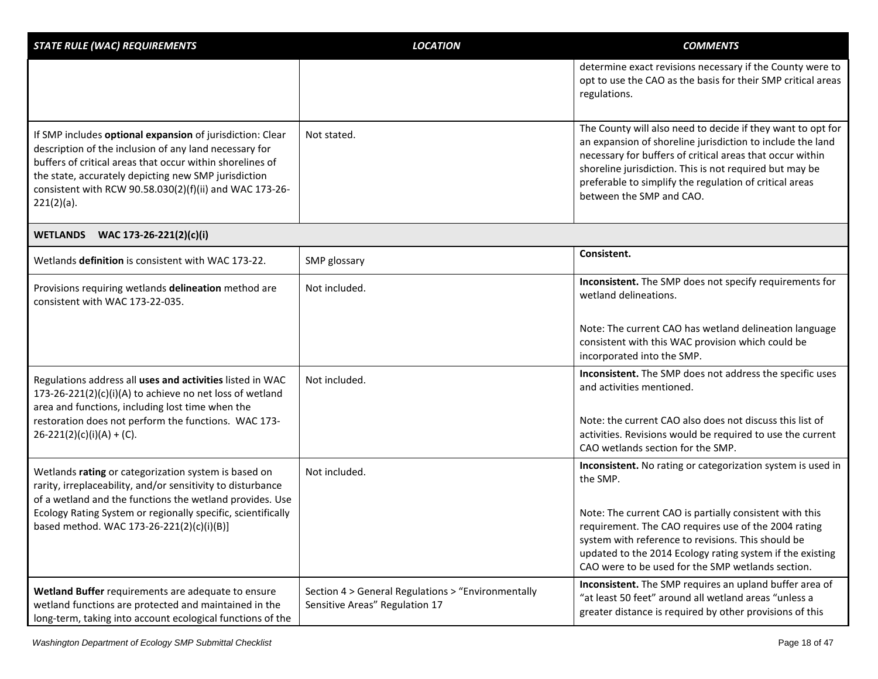| <b>STATE RULE (WAC) REQUIREMENTS</b>                                                                                                                                                                                                                                                                                 | <b>LOCATION</b>                                                                      | <b>COMMENTS</b>                                                                                                                                                                                                                                                                                                                          |
|----------------------------------------------------------------------------------------------------------------------------------------------------------------------------------------------------------------------------------------------------------------------------------------------------------------------|--------------------------------------------------------------------------------------|------------------------------------------------------------------------------------------------------------------------------------------------------------------------------------------------------------------------------------------------------------------------------------------------------------------------------------------|
|                                                                                                                                                                                                                                                                                                                      |                                                                                      | determine exact revisions necessary if the County were to<br>opt to use the CAO as the basis for their SMP critical areas<br>regulations.                                                                                                                                                                                                |
| If SMP includes optional expansion of jurisdiction: Clear<br>description of the inclusion of any land necessary for<br>buffers of critical areas that occur within shorelines of<br>the state, accurately depicting new SMP jurisdiction<br>consistent with RCW 90.58.030(2)(f)(ii) and WAC 173-26-<br>$221(2)(a)$ . | Not stated.                                                                          | The County will also need to decide if they want to opt for<br>an expansion of shoreline jurisdiction to include the land<br>necessary for buffers of critical areas that occur within<br>shoreline jurisdiction. This is not required but may be<br>preferable to simplify the regulation of critical areas<br>between the SMP and CAO. |
| WETLANDS WAC 173-26-221(2)(c)(i)                                                                                                                                                                                                                                                                                     |                                                                                      |                                                                                                                                                                                                                                                                                                                                          |
| Wetlands definition is consistent with WAC 173-22.                                                                                                                                                                                                                                                                   | SMP glossary                                                                         | Consistent.                                                                                                                                                                                                                                                                                                                              |
| Provisions requiring wetlands delineation method are<br>consistent with WAC 173-22-035.                                                                                                                                                                                                                              | Not included.                                                                        | Inconsistent. The SMP does not specify requirements for<br>wetland delineations.                                                                                                                                                                                                                                                         |
|                                                                                                                                                                                                                                                                                                                      |                                                                                      | Note: The current CAO has wetland delineation language<br>consistent with this WAC provision which could be<br>incorporated into the SMP.                                                                                                                                                                                                |
| Regulations address all uses and activities listed in WAC<br>173-26-221(2)(c)(i)(A) to achieve no net loss of wetland<br>area and functions, including lost time when the                                                                                                                                            | Not included.                                                                        | Inconsistent. The SMP does not address the specific uses<br>and activities mentioned.                                                                                                                                                                                                                                                    |
| restoration does not perform the functions. WAC 173-<br>$26-221(2)(c)(i)(A) + (C).$                                                                                                                                                                                                                                  |                                                                                      | Note: the current CAO also does not discuss this list of<br>activities. Revisions would be required to use the current<br>CAO wetlands section for the SMP.                                                                                                                                                                              |
| Wetlands rating or categorization system is based on<br>rarity, irreplaceability, and/or sensitivity to disturbance<br>of a wetland and the functions the wetland provides. Use                                                                                                                                      | Not included.                                                                        | Inconsistent. No rating or categorization system is used in<br>the SMP.                                                                                                                                                                                                                                                                  |
| Ecology Rating System or regionally specific, scientifically<br>based method. WAC 173-26-221(2)(c)(i)(B)]                                                                                                                                                                                                            |                                                                                      | Note: The current CAO is partially consistent with this<br>requirement. The CAO requires use of the 2004 rating<br>system with reference to revisions. This should be<br>updated to the 2014 Ecology rating system if the existing<br>CAO were to be used for the SMP wetlands section.                                                  |
| Wetland Buffer requirements are adequate to ensure<br>wetland functions are protected and maintained in the<br>long-term, taking into account ecological functions of the                                                                                                                                            | Section 4 > General Regulations > "Environmentally<br>Sensitive Areas" Regulation 17 | Inconsistent. The SMP requires an upland buffer area of<br>"at least 50 feet" around all wetland areas "unless a<br>greater distance is required by other provisions of this                                                                                                                                                             |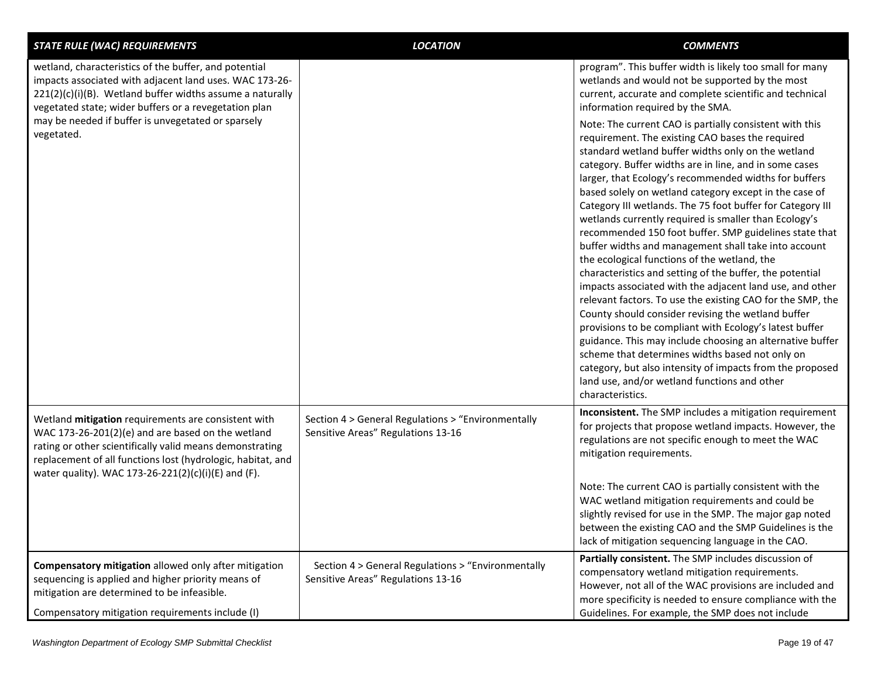| <b>STATE RULE (WAC) REQUIREMENTS</b>                                                                                                                                                                                                                                                                          | <b>LOCATION</b>                                                                          | <b>COMMENTS</b>                                                                                                                                                                                                                                                                                                                                                                                                                                                                                                                                                                                                                                                                                                                                                                                                                                                                                                                                                                                                                                                                                                                                                                                                                                                                                                                                                                                               |
|---------------------------------------------------------------------------------------------------------------------------------------------------------------------------------------------------------------------------------------------------------------------------------------------------------------|------------------------------------------------------------------------------------------|---------------------------------------------------------------------------------------------------------------------------------------------------------------------------------------------------------------------------------------------------------------------------------------------------------------------------------------------------------------------------------------------------------------------------------------------------------------------------------------------------------------------------------------------------------------------------------------------------------------------------------------------------------------------------------------------------------------------------------------------------------------------------------------------------------------------------------------------------------------------------------------------------------------------------------------------------------------------------------------------------------------------------------------------------------------------------------------------------------------------------------------------------------------------------------------------------------------------------------------------------------------------------------------------------------------------------------------------------------------------------------------------------------------|
| wetland, characteristics of the buffer, and potential<br>impacts associated with adjacent land uses. WAC 173-26-<br>$221(2)(c)(i)(B)$ . Wetland buffer widths assume a naturally<br>vegetated state; wider buffers or a revegetation plan<br>may be needed if buffer is unvegetated or sparsely<br>vegetated. |                                                                                          | program". This buffer width is likely too small for many<br>wetlands and would not be supported by the most<br>current, accurate and complete scientific and technical<br>information required by the SMA.<br>Note: The current CAO is partially consistent with this<br>requirement. The existing CAO bases the required<br>standard wetland buffer widths only on the wetland<br>category. Buffer widths are in line, and in some cases<br>larger, that Ecology's recommended widths for buffers<br>based solely on wetland category except in the case of<br>Category III wetlands. The 75 foot buffer for Category III<br>wetlands currently required is smaller than Ecology's<br>recommended 150 foot buffer. SMP guidelines state that<br>buffer widths and management shall take into account<br>the ecological functions of the wetland, the<br>characteristics and setting of the buffer, the potential<br>impacts associated with the adjacent land use, and other<br>relevant factors. To use the existing CAO for the SMP, the<br>County should consider revising the wetland buffer<br>provisions to be compliant with Ecology's latest buffer<br>guidance. This may include choosing an alternative buffer<br>scheme that determines widths based not only on<br>category, but also intensity of impacts from the proposed<br>land use, and/or wetland functions and other<br>characteristics. |
| Wetland mitigation requirements are consistent with<br>WAC 173-26-201(2)(e) and are based on the wetland<br>rating or other scientifically valid means demonstrating<br>replacement of all functions lost (hydrologic, habitat, and<br>water quality). WAC 173-26-221(2)(c)(i)(E) and (F).                    | Section 4 > General Regulations > "Environmentally<br>Sensitive Areas" Regulations 13-16 | Inconsistent. The SMP includes a mitigation requirement<br>for projects that propose wetland impacts. However, the<br>regulations are not specific enough to meet the WAC<br>mitigation requirements.<br>Note: The current CAO is partially consistent with the<br>WAC wetland mitigation requirements and could be<br>slightly revised for use in the SMP. The major gap noted<br>between the existing CAO and the SMP Guidelines is the<br>lack of mitigation sequencing language in the CAO.                                                                                                                                                                                                                                                                                                                                                                                                                                                                                                                                                                                                                                                                                                                                                                                                                                                                                                               |
| Compensatory mitigation allowed only after mitigation<br>sequencing is applied and higher priority means of<br>mitigation are determined to be infeasible.<br>Compensatory mitigation requirements include (I)                                                                                                | Section 4 > General Regulations > "Environmentally<br>Sensitive Areas" Regulations 13-16 | Partially consistent. The SMP includes discussion of<br>compensatory wetland mitigation requirements.<br>However, not all of the WAC provisions are included and<br>more specificity is needed to ensure compliance with the<br>Guidelines. For example, the SMP does not include                                                                                                                                                                                                                                                                                                                                                                                                                                                                                                                                                                                                                                                                                                                                                                                                                                                                                                                                                                                                                                                                                                                             |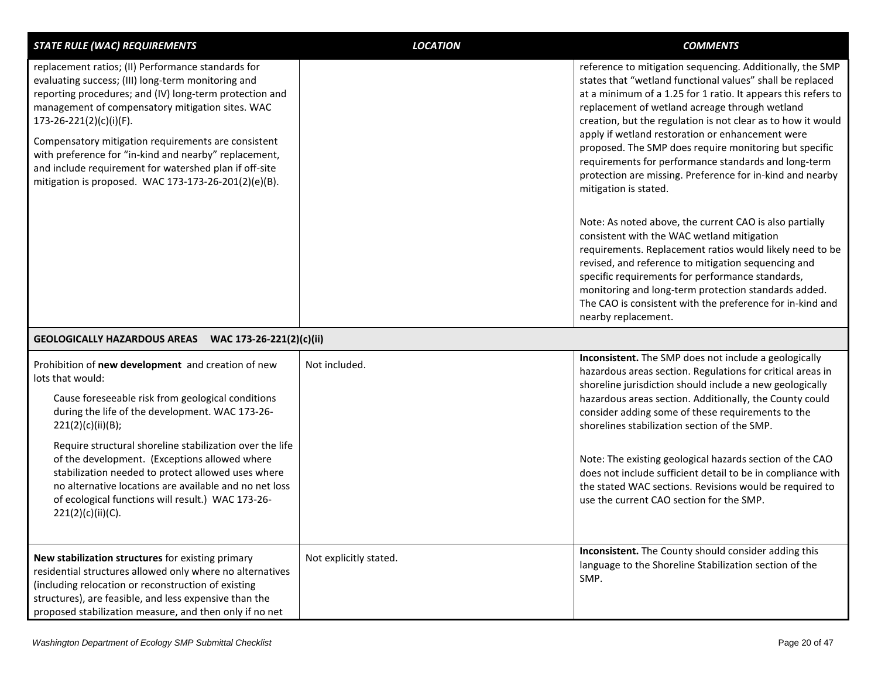| <b>STATE RULE (WAC) REQUIREMENTS</b>                                                                                                                                                                                                                                                                                                                                                                                                                                                                       | <b>LOCATION</b>        | <b>COMMENTS</b>                                                                                                                                                                                                                                                                                                                                                                                                                                                                                                                                                                   |
|------------------------------------------------------------------------------------------------------------------------------------------------------------------------------------------------------------------------------------------------------------------------------------------------------------------------------------------------------------------------------------------------------------------------------------------------------------------------------------------------------------|------------------------|-----------------------------------------------------------------------------------------------------------------------------------------------------------------------------------------------------------------------------------------------------------------------------------------------------------------------------------------------------------------------------------------------------------------------------------------------------------------------------------------------------------------------------------------------------------------------------------|
| replacement ratios; (II) Performance standards for<br>evaluating success; (III) long-term monitoring and<br>reporting procedures; and (IV) long-term protection and<br>management of compensatory mitigation sites. WAC<br>173-26-221(2)(c)(i)(F).<br>Compensatory mitigation requirements are consistent<br>with preference for "in-kind and nearby" replacement,<br>and include requirement for watershed plan if off-site<br>mitigation is proposed. WAC 173-173-26-201(2)(e)(B).                       |                        | reference to mitigation sequencing. Additionally, the SMP<br>states that "wetland functional values" shall be replaced<br>at a minimum of a 1.25 for 1 ratio. It appears this refers to<br>replacement of wetland acreage through wetland<br>creation, but the regulation is not clear as to how it would<br>apply if wetland restoration or enhancement were<br>proposed. The SMP does require monitoring but specific<br>requirements for performance standards and long-term<br>protection are missing. Preference for in-kind and nearby<br>mitigation is stated.             |
|                                                                                                                                                                                                                                                                                                                                                                                                                                                                                                            |                        | Note: As noted above, the current CAO is also partially<br>consistent with the WAC wetland mitigation<br>requirements. Replacement ratios would likely need to be<br>revised, and reference to mitigation sequencing and<br>specific requirements for performance standards,<br>monitoring and long-term protection standards added.<br>The CAO is consistent with the preference for in-kind and<br>nearby replacement.                                                                                                                                                          |
| GEOLOGICALLY HAZARDOUS AREAS WAC 173-26-221(2)(c)(ii)                                                                                                                                                                                                                                                                                                                                                                                                                                                      |                        |                                                                                                                                                                                                                                                                                                                                                                                                                                                                                                                                                                                   |
| Prohibition of new development and creation of new<br>lots that would:<br>Cause foreseeable risk from geological conditions<br>during the life of the development. WAC 173-26-<br>221(2)(c)(ii)(B);<br>Require structural shoreline stabilization over the life<br>of the development. (Exceptions allowed where<br>stabilization needed to protect allowed uses where<br>no alternative locations are available and no net loss<br>of ecological functions will result.) WAC 173-26-<br>221(2)(c)(ii)(C). | Not included.          | Inconsistent. The SMP does not include a geologically<br>hazardous areas section. Regulations for critical areas in<br>shoreline jurisdiction should include a new geologically<br>hazardous areas section. Additionally, the County could<br>consider adding some of these requirements to the<br>shorelines stabilization section of the SMP.<br>Note: The existing geological hazards section of the CAO<br>does not include sufficient detail to be in compliance with<br>the stated WAC sections. Revisions would be required to<br>use the current CAO section for the SMP. |
| New stabilization structures for existing primary<br>residential structures allowed only where no alternatives<br>(including relocation or reconstruction of existing<br>structures), are feasible, and less expensive than the<br>proposed stabilization measure, and then only if no net                                                                                                                                                                                                                 | Not explicitly stated. | Inconsistent. The County should consider adding this<br>language to the Shoreline Stabilization section of the<br>SMP.                                                                                                                                                                                                                                                                                                                                                                                                                                                            |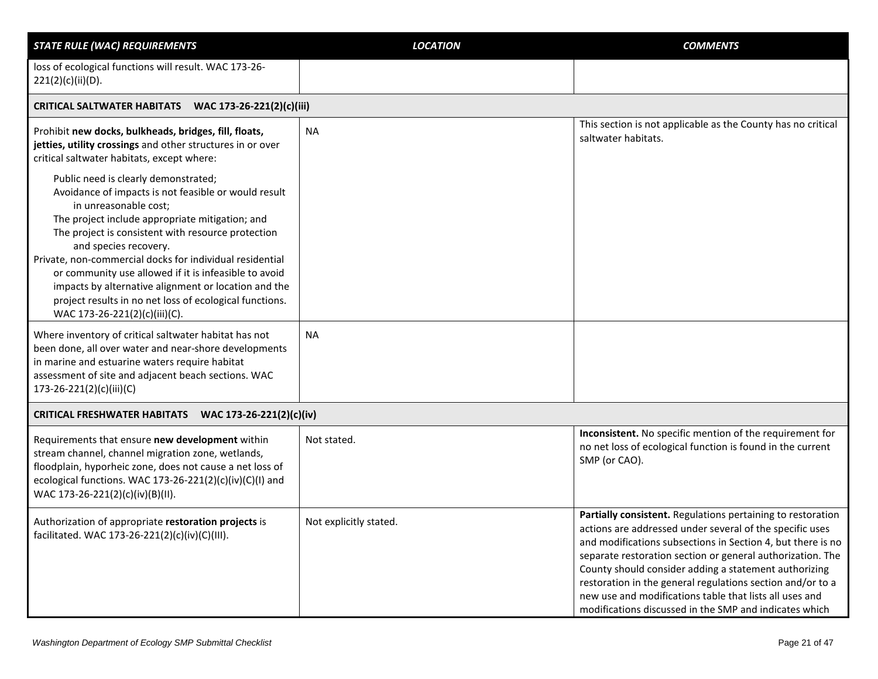| <b>STATE RULE (WAC) REQUIREMENTS</b>                                                                                                                                                                                                                                                                                                                                                                                                                                                                                             | <b>LOCATION</b>        | <b>COMMENTS</b>                                                                                                                                                                                                                                                                                                                                                                                                                                                                                  |
|----------------------------------------------------------------------------------------------------------------------------------------------------------------------------------------------------------------------------------------------------------------------------------------------------------------------------------------------------------------------------------------------------------------------------------------------------------------------------------------------------------------------------------|------------------------|--------------------------------------------------------------------------------------------------------------------------------------------------------------------------------------------------------------------------------------------------------------------------------------------------------------------------------------------------------------------------------------------------------------------------------------------------------------------------------------------------|
| loss of ecological functions will result. WAC 173-26-<br>221(2)(c)(ii)(D).                                                                                                                                                                                                                                                                                                                                                                                                                                                       |                        |                                                                                                                                                                                                                                                                                                                                                                                                                                                                                                  |
| CRITICAL SALTWATER HABITATS WAC 173-26-221(2)(c)(iii)                                                                                                                                                                                                                                                                                                                                                                                                                                                                            |                        |                                                                                                                                                                                                                                                                                                                                                                                                                                                                                                  |
| Prohibit new docks, bulkheads, bridges, fill, floats,<br>jetties, utility crossings and other structures in or over<br>critical saltwater habitats, except where:                                                                                                                                                                                                                                                                                                                                                                | <b>NA</b>              | This section is not applicable as the County has no critical<br>saltwater habitats.                                                                                                                                                                                                                                                                                                                                                                                                              |
| Public need is clearly demonstrated;<br>Avoidance of impacts is not feasible or would result<br>in unreasonable cost;<br>The project include appropriate mitigation; and<br>The project is consistent with resource protection<br>and species recovery.<br>Private, non-commercial docks for individual residential<br>or community use allowed if it is infeasible to avoid<br>impacts by alternative alignment or location and the<br>project results in no net loss of ecological functions.<br>WAC 173-26-221(2)(c)(iii)(C). |                        |                                                                                                                                                                                                                                                                                                                                                                                                                                                                                                  |
| Where inventory of critical saltwater habitat has not<br>been done, all over water and near-shore developments<br>in marine and estuarine waters require habitat<br>assessment of site and adjacent beach sections. WAC<br>173-26-221(2)(c)(iii)(C)                                                                                                                                                                                                                                                                              | <b>NA</b>              |                                                                                                                                                                                                                                                                                                                                                                                                                                                                                                  |
| CRITICAL FRESHWATER HABITATS WAC 173-26-221(2)(c)(iv)                                                                                                                                                                                                                                                                                                                                                                                                                                                                            |                        |                                                                                                                                                                                                                                                                                                                                                                                                                                                                                                  |
| Requirements that ensure new development within<br>stream channel, channel migration zone, wetlands,<br>floodplain, hyporheic zone, does not cause a net loss of<br>ecological functions. WAC 173-26-221(2)(c)(iv)(C)(I) and<br>WAC 173-26-221(2)(c)(iv)(B)(II).                                                                                                                                                                                                                                                                 | Not stated.            | Inconsistent. No specific mention of the requirement for<br>no net loss of ecological function is found in the current<br>SMP (or CAO).                                                                                                                                                                                                                                                                                                                                                          |
| Authorization of appropriate restoration projects is<br>facilitated. WAC 173-26-221(2)(c)(iv)(C)(III).                                                                                                                                                                                                                                                                                                                                                                                                                           | Not explicitly stated. | Partially consistent. Regulations pertaining to restoration<br>actions are addressed under several of the specific uses<br>and modifications subsections in Section 4, but there is no<br>separate restoration section or general authorization. The<br>County should consider adding a statement authorizing<br>restoration in the general regulations section and/or to a<br>new use and modifications table that lists all uses and<br>modifications discussed in the SMP and indicates which |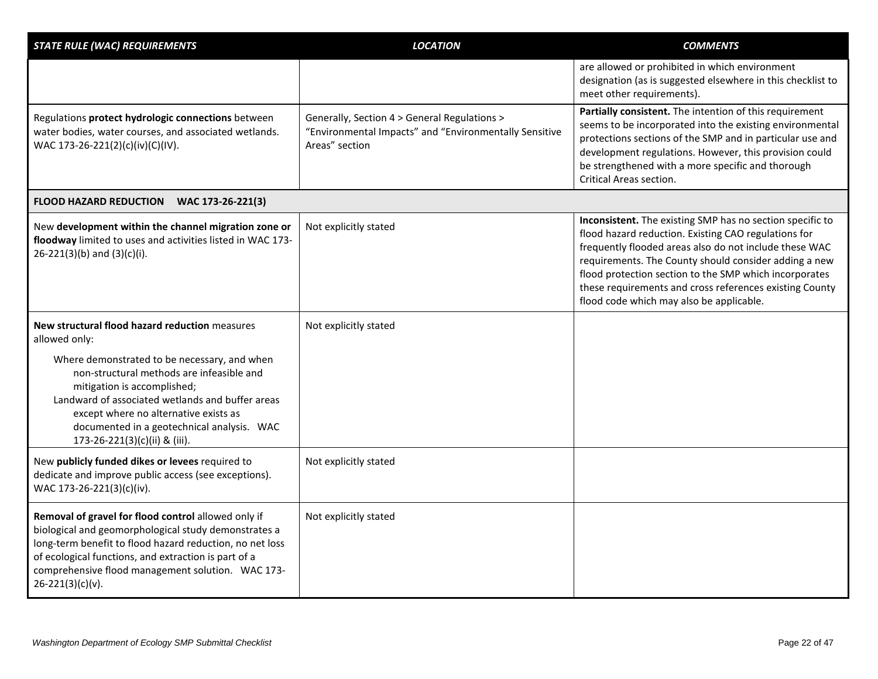| <b>STATE RULE (WAC) REQUIREMENTS</b>                                                                                                                                                                                                                                                                          | <b>LOCATION</b>                                                                                                          | <b>COMMENTS</b>                                                                                                                                                                                                                                                                                                                                                                                       |
|---------------------------------------------------------------------------------------------------------------------------------------------------------------------------------------------------------------------------------------------------------------------------------------------------------------|--------------------------------------------------------------------------------------------------------------------------|-------------------------------------------------------------------------------------------------------------------------------------------------------------------------------------------------------------------------------------------------------------------------------------------------------------------------------------------------------------------------------------------------------|
|                                                                                                                                                                                                                                                                                                               |                                                                                                                          | are allowed or prohibited in which environment<br>designation (as is suggested elsewhere in this checklist to<br>meet other requirements).                                                                                                                                                                                                                                                            |
| Regulations protect hydrologic connections between<br>water bodies, water courses, and associated wetlands.<br>WAC 173-26-221(2)(c)(iv)(C)(IV).                                                                                                                                                               | Generally, Section 4 > General Regulations ><br>"Environmental Impacts" and "Environmentally Sensitive<br>Areas" section | Partially consistent. The intention of this requirement<br>seems to be incorporated into the existing environmental<br>protections sections of the SMP and in particular use and<br>development regulations. However, this provision could<br>be strengthened with a more specific and thorough<br>Critical Areas section.                                                                            |
| FLOOD HAZARD REDUCTION WAC 173-26-221(3)                                                                                                                                                                                                                                                                      |                                                                                                                          |                                                                                                                                                                                                                                                                                                                                                                                                       |
| New development within the channel migration zone or<br>floodway limited to uses and activities listed in WAC 173-<br>$26-221(3)(b)$ and $(3)(c)(i)$ .                                                                                                                                                        | Not explicitly stated                                                                                                    | Inconsistent. The existing SMP has no section specific to<br>flood hazard reduction. Existing CAO regulations for<br>frequently flooded areas also do not include these WAC<br>requirements. The County should consider adding a new<br>flood protection section to the SMP which incorporates<br>these requirements and cross references existing County<br>flood code which may also be applicable. |
| New structural flood hazard reduction measures<br>allowed only:                                                                                                                                                                                                                                               | Not explicitly stated                                                                                                    |                                                                                                                                                                                                                                                                                                                                                                                                       |
| Where demonstrated to be necessary, and when<br>non-structural methods are infeasible and<br>mitigation is accomplished;<br>Landward of associated wetlands and buffer areas<br>except where no alternative exists as<br>documented in a geotechnical analysis. WAC<br>173-26-221(3)(c)(ii) & (iii).          |                                                                                                                          |                                                                                                                                                                                                                                                                                                                                                                                                       |
| New publicly funded dikes or levees required to<br>dedicate and improve public access (see exceptions).<br>WAC 173-26-221(3)(c)(iv).                                                                                                                                                                          | Not explicitly stated                                                                                                    |                                                                                                                                                                                                                                                                                                                                                                                                       |
| Removal of gravel for flood control allowed only if<br>biological and geomorphological study demonstrates a<br>long-term benefit to flood hazard reduction, no net loss<br>of ecological functions, and extraction is part of a<br>comprehensive flood management solution. WAC 173-<br>$26 - 221(3)(c)(v)$ . | Not explicitly stated                                                                                                    |                                                                                                                                                                                                                                                                                                                                                                                                       |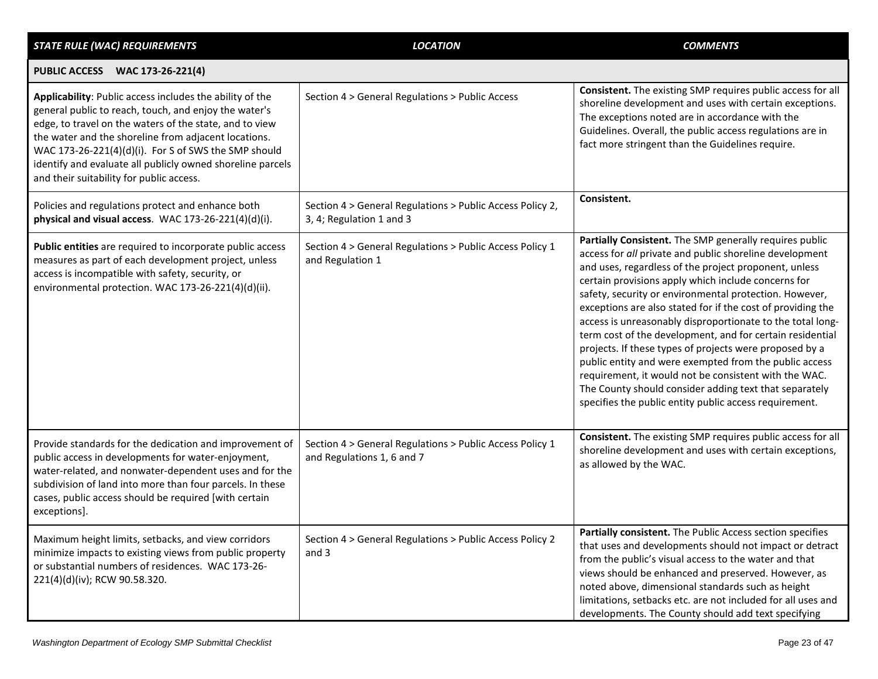| <b>STATE RULE (WAC) REQUIREMENTS</b>                                                                                                                                                                                                                                                                                                                                                                   | <b>LOCATION</b>                                                                        | <b>COMMENTS</b>                                                                                                                                                                                                                                                                                                                                                                                                                                                                                                                                                                                                                                                                                                                                                                          |
|--------------------------------------------------------------------------------------------------------------------------------------------------------------------------------------------------------------------------------------------------------------------------------------------------------------------------------------------------------------------------------------------------------|----------------------------------------------------------------------------------------|------------------------------------------------------------------------------------------------------------------------------------------------------------------------------------------------------------------------------------------------------------------------------------------------------------------------------------------------------------------------------------------------------------------------------------------------------------------------------------------------------------------------------------------------------------------------------------------------------------------------------------------------------------------------------------------------------------------------------------------------------------------------------------------|
| PUBLIC ACCESS WAC 173-26-221(4)                                                                                                                                                                                                                                                                                                                                                                        |                                                                                        |                                                                                                                                                                                                                                                                                                                                                                                                                                                                                                                                                                                                                                                                                                                                                                                          |
| Applicability: Public access includes the ability of the<br>general public to reach, touch, and enjoy the water's<br>edge, to travel on the waters of the state, and to view<br>the water and the shoreline from adjacent locations.<br>WAC 173-26-221(4)(d)(i). For S of SWS the SMP should<br>identify and evaluate all publicly owned shoreline parcels<br>and their suitability for public access. | Section 4 > General Regulations > Public Access                                        | Consistent. The existing SMP requires public access for all<br>shoreline development and uses with certain exceptions.<br>The exceptions noted are in accordance with the<br>Guidelines. Overall, the public access regulations are in<br>fact more stringent than the Guidelines require.                                                                                                                                                                                                                                                                                                                                                                                                                                                                                               |
| Policies and regulations protect and enhance both<br>physical and visual access. WAC 173-26-221(4)(d)(i).                                                                                                                                                                                                                                                                                              | Section 4 > General Regulations > Public Access Policy 2,<br>3, 4; Regulation 1 and 3  | Consistent.                                                                                                                                                                                                                                                                                                                                                                                                                                                                                                                                                                                                                                                                                                                                                                              |
| Public entities are required to incorporate public access<br>measures as part of each development project, unless<br>access is incompatible with safety, security, or<br>environmental protection. WAC 173-26-221(4)(d)(ii).                                                                                                                                                                           | Section 4 > General Regulations > Public Access Policy 1<br>and Regulation 1           | Partially Consistent. The SMP generally requires public<br>access for all private and public shoreline development<br>and uses, regardless of the project proponent, unless<br>certain provisions apply which include concerns for<br>safety, security or environmental protection. However,<br>exceptions are also stated for if the cost of providing the<br>access is unreasonably disproportionate to the total long-<br>term cost of the development, and for certain residential<br>projects. If these types of projects were proposed by a<br>public entity and were exempted from the public access<br>requirement, it would not be consistent with the WAC.<br>The County should consider adding text that separately<br>specifies the public entity public access requirement. |
| Provide standards for the dedication and improvement of<br>public access in developments for water-enjoyment,<br>water-related, and nonwater-dependent uses and for the<br>subdivision of land into more than four parcels. In these<br>cases, public access should be required [with certain<br>exceptions].                                                                                          | Section 4 > General Regulations > Public Access Policy 1<br>and Regulations 1, 6 and 7 | Consistent. The existing SMP requires public access for all<br>shoreline development and uses with certain exceptions,<br>as allowed by the WAC.                                                                                                                                                                                                                                                                                                                                                                                                                                                                                                                                                                                                                                         |
| Maximum height limits, setbacks, and view corridors<br>minimize impacts to existing views from public property<br>or substantial numbers of residences. WAC 173-26-<br>221(4)(d)(iv); RCW 90.58.320.                                                                                                                                                                                                   | Section 4 > General Regulations > Public Access Policy 2<br>and 3                      | <b>Partially consistent.</b> The Public Access section specifies<br>that uses and developments should not impact or detract<br>from the public's visual access to the water and that<br>views should be enhanced and preserved. However, as<br>noted above, dimensional standards such as height<br>limitations, setbacks etc. are not included for all uses and<br>developments. The County should add text specifying                                                                                                                                                                                                                                                                                                                                                                  |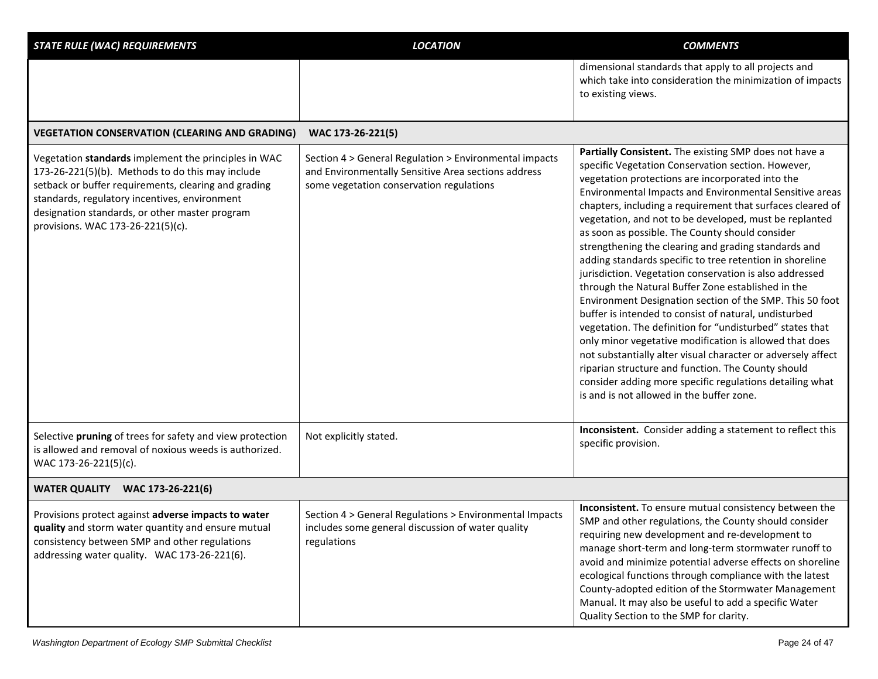| <b>STATE RULE (WAC) REQUIREMENTS</b>                                                                                                                                                                                                                                                                     | <b>LOCATION</b>                                                                                                                                           | <b>COMMENTS</b>                                                                                                                                                                                                                                                                                                                                                                                                                                                                                                                                                                                                                                                                                                                                                                                                                                                                                                                                                                                                                                                                                                        |
|----------------------------------------------------------------------------------------------------------------------------------------------------------------------------------------------------------------------------------------------------------------------------------------------------------|-----------------------------------------------------------------------------------------------------------------------------------------------------------|------------------------------------------------------------------------------------------------------------------------------------------------------------------------------------------------------------------------------------------------------------------------------------------------------------------------------------------------------------------------------------------------------------------------------------------------------------------------------------------------------------------------------------------------------------------------------------------------------------------------------------------------------------------------------------------------------------------------------------------------------------------------------------------------------------------------------------------------------------------------------------------------------------------------------------------------------------------------------------------------------------------------------------------------------------------------------------------------------------------------|
|                                                                                                                                                                                                                                                                                                          |                                                                                                                                                           | dimensional standards that apply to all projects and<br>which take into consideration the minimization of impacts<br>to existing views.                                                                                                                                                                                                                                                                                                                                                                                                                                                                                                                                                                                                                                                                                                                                                                                                                                                                                                                                                                                |
| <b>VEGETATION CONSERVATION (CLEARING AND GRADING)</b>                                                                                                                                                                                                                                                    | WAC 173-26-221(5)                                                                                                                                         |                                                                                                                                                                                                                                                                                                                                                                                                                                                                                                                                                                                                                                                                                                                                                                                                                                                                                                                                                                                                                                                                                                                        |
| Vegetation standards implement the principles in WAC<br>173-26-221(5)(b). Methods to do this may include<br>setback or buffer requirements, clearing and grading<br>standards, regulatory incentives, environment<br>designation standards, or other master program<br>provisions. WAC 173-26-221(5)(c). | Section 4 > General Regulation > Environmental impacts<br>and Environmentally Sensitive Area sections address<br>some vegetation conservation regulations | Partially Consistent. The existing SMP does not have a<br>specific Vegetation Conservation section. However,<br>vegetation protections are incorporated into the<br>Environmental Impacts and Environmental Sensitive areas<br>chapters, including a requirement that surfaces cleared of<br>vegetation, and not to be developed, must be replanted<br>as soon as possible. The County should consider<br>strengthening the clearing and grading standards and<br>adding standards specific to tree retention in shoreline<br>jurisdiction. Vegetation conservation is also addressed<br>through the Natural Buffer Zone established in the<br>Environment Designation section of the SMP. This 50 foot<br>buffer is intended to consist of natural, undisturbed<br>vegetation. The definition for "undisturbed" states that<br>only minor vegetative modification is allowed that does<br>not substantially alter visual character or adversely affect<br>riparian structure and function. The County should<br>consider adding more specific regulations detailing what<br>is and is not allowed in the buffer zone. |
| Selective pruning of trees for safety and view protection<br>is allowed and removal of noxious weeds is authorized.<br>WAC 173-26-221(5)(c).                                                                                                                                                             | Not explicitly stated.                                                                                                                                    | Inconsistent. Consider adding a statement to reflect this<br>specific provision.                                                                                                                                                                                                                                                                                                                                                                                                                                                                                                                                                                                                                                                                                                                                                                                                                                                                                                                                                                                                                                       |
| <b>WATER QUALITY WAC 173-26-221(6)</b>                                                                                                                                                                                                                                                                   |                                                                                                                                                           |                                                                                                                                                                                                                                                                                                                                                                                                                                                                                                                                                                                                                                                                                                                                                                                                                                                                                                                                                                                                                                                                                                                        |
| Provisions protect against adverse impacts to water<br>quality and storm water quantity and ensure mutual<br>consistency between SMP and other regulations<br>addressing water quality. WAC 173-26-221(6).                                                                                               | Section 4 > General Regulations > Environmental Impacts<br>includes some general discussion of water quality<br>regulations                               | Inconsistent. To ensure mutual consistency between the<br>SMP and other regulations, the County should consider<br>requiring new development and re-development to<br>manage short-term and long-term stormwater runoff to<br>avoid and minimize potential adverse effects on shoreline<br>ecological functions through compliance with the latest<br>County-adopted edition of the Stormwater Management<br>Manual. It may also be useful to add a specific Water<br>Quality Section to the SMP for clarity.                                                                                                                                                                                                                                                                                                                                                                                                                                                                                                                                                                                                          |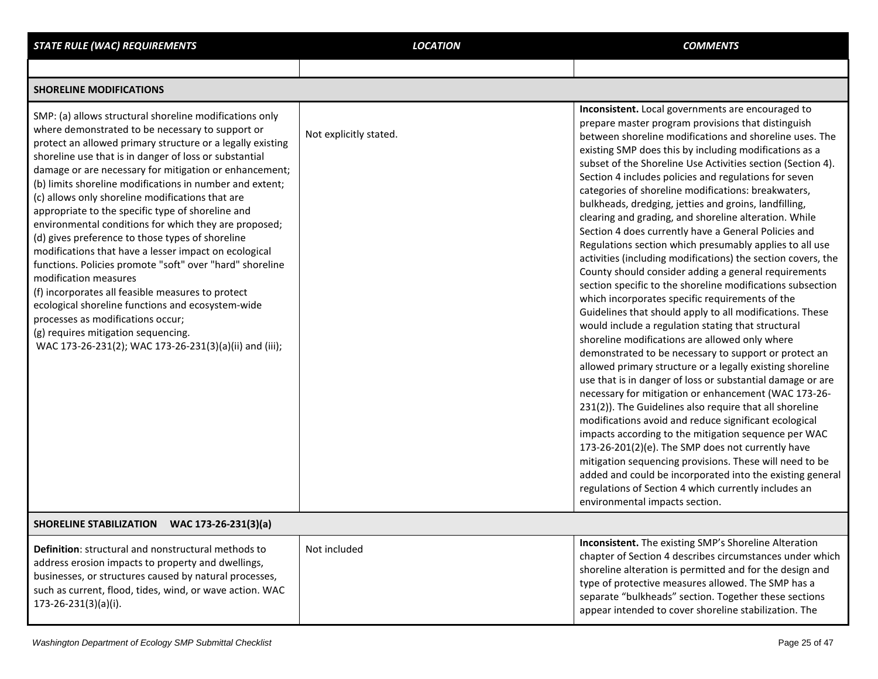| <b>STATE RULE (WAC) REQUIREMENTS</b>                                                                                                                                                                                                                                                                                                                                                                                                                                                                                                                                                                                                                                                                                                                                                                                                                                                                                                                                          | <b>LOCATION</b>        | <b>COMMENTS</b>                                                                                                                                                                                                                                                                                                                                                                                                                                                                                                                                                                                                                                                                                                                                                                                                                                                                                                                                                                                                                                                                                                                                                                                                                                                                                                                                                                                                                                                                                                                                                                                                                                                                                                                                              |
|-------------------------------------------------------------------------------------------------------------------------------------------------------------------------------------------------------------------------------------------------------------------------------------------------------------------------------------------------------------------------------------------------------------------------------------------------------------------------------------------------------------------------------------------------------------------------------------------------------------------------------------------------------------------------------------------------------------------------------------------------------------------------------------------------------------------------------------------------------------------------------------------------------------------------------------------------------------------------------|------------------------|--------------------------------------------------------------------------------------------------------------------------------------------------------------------------------------------------------------------------------------------------------------------------------------------------------------------------------------------------------------------------------------------------------------------------------------------------------------------------------------------------------------------------------------------------------------------------------------------------------------------------------------------------------------------------------------------------------------------------------------------------------------------------------------------------------------------------------------------------------------------------------------------------------------------------------------------------------------------------------------------------------------------------------------------------------------------------------------------------------------------------------------------------------------------------------------------------------------------------------------------------------------------------------------------------------------------------------------------------------------------------------------------------------------------------------------------------------------------------------------------------------------------------------------------------------------------------------------------------------------------------------------------------------------------------------------------------------------------------------------------------------------|
|                                                                                                                                                                                                                                                                                                                                                                                                                                                                                                                                                                                                                                                                                                                                                                                                                                                                                                                                                                               |                        |                                                                                                                                                                                                                                                                                                                                                                                                                                                                                                                                                                                                                                                                                                                                                                                                                                                                                                                                                                                                                                                                                                                                                                                                                                                                                                                                                                                                                                                                                                                                                                                                                                                                                                                                                              |
| <b>SHORELINE MODIFICATIONS</b>                                                                                                                                                                                                                                                                                                                                                                                                                                                                                                                                                                                                                                                                                                                                                                                                                                                                                                                                                |                        |                                                                                                                                                                                                                                                                                                                                                                                                                                                                                                                                                                                                                                                                                                                                                                                                                                                                                                                                                                                                                                                                                                                                                                                                                                                                                                                                                                                                                                                                                                                                                                                                                                                                                                                                                              |
| SMP: (a) allows structural shoreline modifications only<br>where demonstrated to be necessary to support or<br>protect an allowed primary structure or a legally existing<br>shoreline use that is in danger of loss or substantial<br>damage or are necessary for mitigation or enhancement;<br>(b) limits shoreline modifications in number and extent;<br>(c) allows only shoreline modifications that are<br>appropriate to the specific type of shoreline and<br>environmental conditions for which they are proposed;<br>(d) gives preference to those types of shoreline<br>modifications that have a lesser impact on ecological<br>functions. Policies promote "soft" over "hard" shoreline<br>modification measures<br>(f) incorporates all feasible measures to protect<br>ecological shoreline functions and ecosystem-wide<br>processes as modifications occur;<br>(g) requires mitigation sequencing.<br>WAC 173-26-231(2); WAC 173-26-231(3)(a)(ii) and (iii); | Not explicitly stated. | Inconsistent. Local governments are encouraged to<br>prepare master program provisions that distinguish<br>between shoreline modifications and shoreline uses. The<br>existing SMP does this by including modifications as a<br>subset of the Shoreline Use Activities section (Section 4).<br>Section 4 includes policies and regulations for seven<br>categories of shoreline modifications: breakwaters,<br>bulkheads, dredging, jetties and groins, landfilling,<br>clearing and grading, and shoreline alteration. While<br>Section 4 does currently have a General Policies and<br>Regulations section which presumably applies to all use<br>activities (including modifications) the section covers, the<br>County should consider adding a general requirements<br>section specific to the shoreline modifications subsection<br>which incorporates specific requirements of the<br>Guidelines that should apply to all modifications. These<br>would include a regulation stating that structural<br>shoreline modifications are allowed only where<br>demonstrated to be necessary to support or protect an<br>allowed primary structure or a legally existing shoreline<br>use that is in danger of loss or substantial damage or are<br>necessary for mitigation or enhancement (WAC 173-26-<br>231(2)). The Guidelines also require that all shoreline<br>modifications avoid and reduce significant ecological<br>impacts according to the mitigation sequence per WAC<br>173-26-201(2)(e). The SMP does not currently have<br>mitigation sequencing provisions. These will need to be<br>added and could be incorporated into the existing general<br>regulations of Section 4 which currently includes an<br>environmental impacts section. |
| SHORELINE STABILIZATION WAC 173-26-231(3)(a)                                                                                                                                                                                                                                                                                                                                                                                                                                                                                                                                                                                                                                                                                                                                                                                                                                                                                                                                  |                        |                                                                                                                                                                                                                                                                                                                                                                                                                                                                                                                                                                                                                                                                                                                                                                                                                                                                                                                                                                                                                                                                                                                                                                                                                                                                                                                                                                                                                                                                                                                                                                                                                                                                                                                                                              |
| <b>Definition:</b> structural and nonstructural methods to<br>address erosion impacts to property and dwellings,<br>businesses, or structures caused by natural processes,<br>such as current, flood, tides, wind, or wave action. WAC<br>$173 - 26 - 231(3)(a)(i).$                                                                                                                                                                                                                                                                                                                                                                                                                                                                                                                                                                                                                                                                                                          | Not included           | <b>Inconsistent.</b> The existing SMP's Shoreline Alteration<br>chapter of Section 4 describes circumstances under which<br>shoreline alteration is permitted and for the design and<br>type of protective measures allowed. The SMP has a<br>separate "bulkheads" section. Together these sections<br>appear intended to cover shoreline stabilization. The                                                                                                                                                                                                                                                                                                                                                                                                                                                                                                                                                                                                                                                                                                                                                                                                                                                                                                                                                                                                                                                                                                                                                                                                                                                                                                                                                                                                 |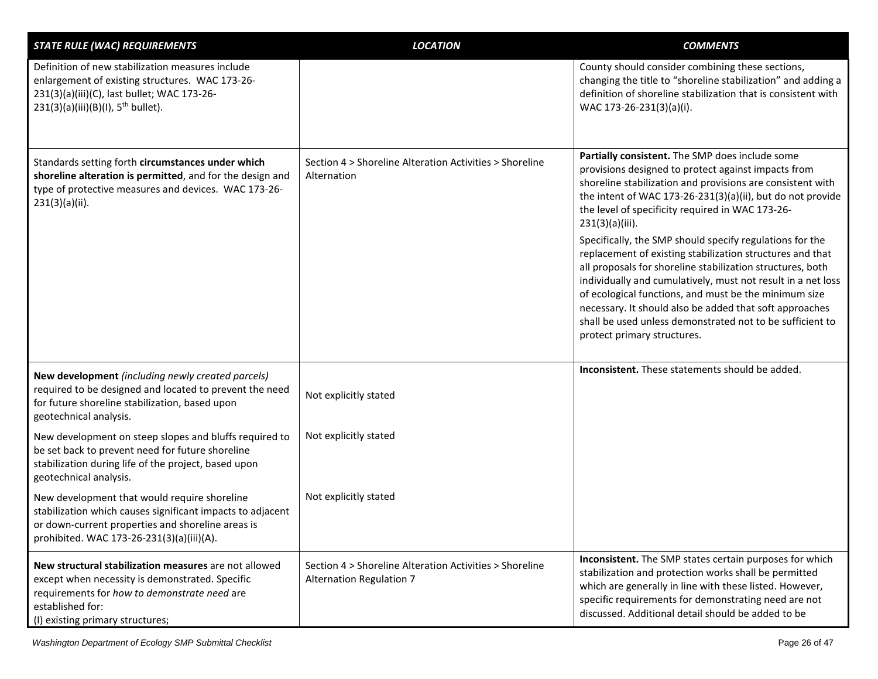| <b>STATE RULE (WAC) REQUIREMENTS</b>                                                                                                                                                                             | <b>LOCATION</b>                                                                     | <b>COMMENTS</b>                                                                                                                                                                                                                                                                                                                                                                                                                                                                                                                                                                                                                                                                                                                                                                     |
|------------------------------------------------------------------------------------------------------------------------------------------------------------------------------------------------------------------|-------------------------------------------------------------------------------------|-------------------------------------------------------------------------------------------------------------------------------------------------------------------------------------------------------------------------------------------------------------------------------------------------------------------------------------------------------------------------------------------------------------------------------------------------------------------------------------------------------------------------------------------------------------------------------------------------------------------------------------------------------------------------------------------------------------------------------------------------------------------------------------|
| Definition of new stabilization measures include<br>enlargement of existing structures. WAC 173-26-<br>231(3)(a)(iii)(C), last bullet; WAC 173-26-<br>$231(3)(a)(iii)(B)(I), 5th bullet).$                       |                                                                                     | County should consider combining these sections,<br>changing the title to "shoreline stabilization" and adding a<br>definition of shoreline stabilization that is consistent with<br>WAC 173-26-231(3)(a)(i).                                                                                                                                                                                                                                                                                                                                                                                                                                                                                                                                                                       |
| Standards setting forth circumstances under which<br>shoreline alteration is permitted, and for the design and<br>type of protective measures and devices. WAC 173-26-<br>231(3)(a)(ii).                         | Section 4 > Shoreline Alteration Activities > Shoreline<br>Alternation              | Partially consistent. The SMP does include some<br>provisions designed to protect against impacts from<br>shoreline stabilization and provisions are consistent with<br>the intent of WAC 173-26-231(3)(a)(ii), but do not provide<br>the level of specificity required in WAC 173-26-<br>$231(3)(a)(iii)$ .<br>Specifically, the SMP should specify regulations for the<br>replacement of existing stabilization structures and that<br>all proposals for shoreline stabilization structures, both<br>individually and cumulatively, must not result in a net loss<br>of ecological functions, and must be the minimum size<br>necessary. It should also be added that soft approaches<br>shall be used unless demonstrated not to be sufficient to<br>protect primary structures. |
| New development (including newly created parcels)<br>required to be designed and located to prevent the need<br>for future shoreline stabilization, based upon<br>geotechnical analysis.                         | Not explicitly stated                                                               | <b>Inconsistent.</b> These statements should be added.                                                                                                                                                                                                                                                                                                                                                                                                                                                                                                                                                                                                                                                                                                                              |
| New development on steep slopes and bluffs required to<br>be set back to prevent need for future shoreline<br>stabilization during life of the project, based upon<br>geotechnical analysis.                     | Not explicitly stated                                                               |                                                                                                                                                                                                                                                                                                                                                                                                                                                                                                                                                                                                                                                                                                                                                                                     |
| New development that would require shoreline<br>stabilization which causes significant impacts to adjacent<br>or down-current properties and shoreline areas is<br>prohibited. WAC 173-26-231(3)(a)(iii)(A).     | Not explicitly stated                                                               |                                                                                                                                                                                                                                                                                                                                                                                                                                                                                                                                                                                                                                                                                                                                                                                     |
| New structural stabilization measures are not allowed<br>except when necessity is demonstrated. Specific<br>requirements for how to demonstrate need are<br>established for:<br>(I) existing primary structures; | Section 4 > Shoreline Alteration Activities > Shoreline<br>Alternation Regulation 7 | Inconsistent. The SMP states certain purposes for which<br>stabilization and protection works shall be permitted<br>which are generally in line with these listed. However,<br>specific requirements for demonstrating need are not<br>discussed. Additional detail should be added to be                                                                                                                                                                                                                                                                                                                                                                                                                                                                                           |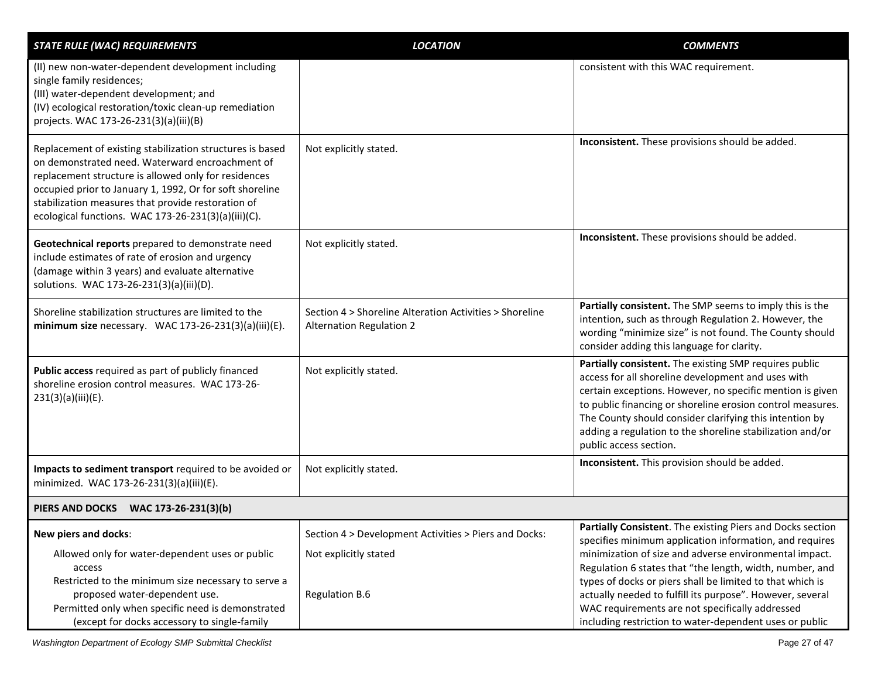| <b>STATE RULE (WAC) REQUIREMENTS</b>                                                                                                                                                                                                                                                                                                          | <b>LOCATION</b>                                                                                  | <b>COMMENTS</b>                                                                                                                                                                                                                                                                                                                                                                           |
|-----------------------------------------------------------------------------------------------------------------------------------------------------------------------------------------------------------------------------------------------------------------------------------------------------------------------------------------------|--------------------------------------------------------------------------------------------------|-------------------------------------------------------------------------------------------------------------------------------------------------------------------------------------------------------------------------------------------------------------------------------------------------------------------------------------------------------------------------------------------|
| (II) new non-water-dependent development including<br>single family residences;<br>(III) water-dependent development; and<br>(IV) ecological restoration/toxic clean-up remediation<br>projects. WAC 173-26-231(3)(a)(iii)(B)                                                                                                                 |                                                                                                  | consistent with this WAC requirement.                                                                                                                                                                                                                                                                                                                                                     |
| Replacement of existing stabilization structures is based<br>on demonstrated need. Waterward encroachment of<br>replacement structure is allowed only for residences<br>occupied prior to January 1, 1992, Or for soft shoreline<br>stabilization measures that provide restoration of<br>ecological functions. WAC 173-26-231(3)(a)(iii)(C). | Not explicitly stated.                                                                           | Inconsistent. These provisions should be added.                                                                                                                                                                                                                                                                                                                                           |
| Geotechnical reports prepared to demonstrate need<br>include estimates of rate of erosion and urgency<br>(damage within 3 years) and evaluate alternative<br>solutions. WAC 173-26-231(3)(a)(iii)(D).                                                                                                                                         | Not explicitly stated.                                                                           | Inconsistent. These provisions should be added.                                                                                                                                                                                                                                                                                                                                           |
| Shoreline stabilization structures are limited to the<br>minimum size necessary. WAC 173-26-231(3)(a)(iii)(E).                                                                                                                                                                                                                                | Section 4 > Shoreline Alteration Activities > Shoreline<br><b>Alternation Regulation 2</b>       | Partially consistent. The SMP seems to imply this is the<br>intention, such as through Regulation 2. However, the<br>wording "minimize size" is not found. The County should<br>consider adding this language for clarity.                                                                                                                                                                |
| Public access required as part of publicly financed<br>shoreline erosion control measures. WAC 173-26-<br>231(3)(a)(iii)(E).                                                                                                                                                                                                                  | Not explicitly stated.                                                                           | Partially consistent. The existing SMP requires public<br>access for all shoreline development and uses with<br>certain exceptions. However, no specific mention is given<br>to public financing or shoreline erosion control measures.<br>The County should consider clarifying this intention by<br>adding a regulation to the shoreline stabilization and/or<br>public access section. |
| Impacts to sediment transport required to be avoided or<br>minimized. WAC 173-26-231(3)(a)(iii)(E).                                                                                                                                                                                                                                           | Not explicitly stated.                                                                           | Inconsistent. This provision should be added.                                                                                                                                                                                                                                                                                                                                             |
| PIERS AND DOCKS WAC 173-26-231(3)(b)                                                                                                                                                                                                                                                                                                          |                                                                                                  |                                                                                                                                                                                                                                                                                                                                                                                           |
| New piers and docks:<br>Allowed only for water-dependent uses or public<br>access<br>Restricted to the minimum size necessary to serve a<br>proposed water-dependent use.                                                                                                                                                                     | Section 4 > Development Activities > Piers and Docks:<br>Not explicitly stated<br>Regulation B.6 | Partially Consistent. The existing Piers and Docks section<br>specifies minimum application information, and requires<br>minimization of size and adverse environmental impact.<br>Regulation 6 states that "the length, width, number, and<br>types of docks or piers shall be limited to that which is<br>actually needed to fulfill its purpose". However, several                     |
| Permitted only when specific need is demonstrated<br>(except for docks accessory to single-family                                                                                                                                                                                                                                             |                                                                                                  | WAC requirements are not specifically addressed<br>including restriction to water-dependent uses or public                                                                                                                                                                                                                                                                                |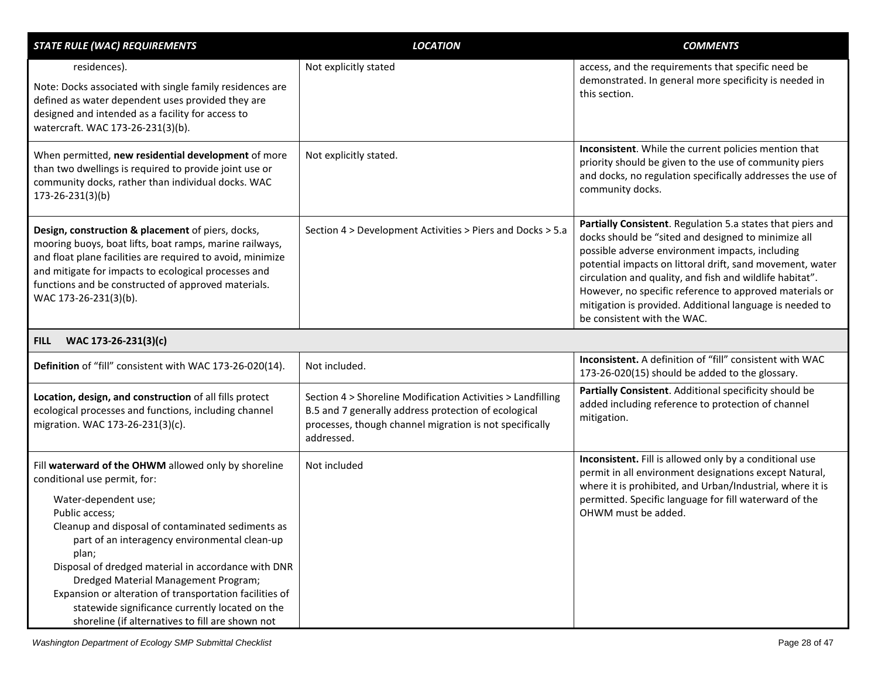| <b>STATE RULE (WAC) REQUIREMENTS</b>                                                                                                                                                                                                                                                                                                                                                                                                                                                                           | <b>LOCATION</b>                                                                                                                                                                              | <b>COMMENTS</b>                                                                                                                                                                                                                                                                                                                                                                                                                                     |
|----------------------------------------------------------------------------------------------------------------------------------------------------------------------------------------------------------------------------------------------------------------------------------------------------------------------------------------------------------------------------------------------------------------------------------------------------------------------------------------------------------------|----------------------------------------------------------------------------------------------------------------------------------------------------------------------------------------------|-----------------------------------------------------------------------------------------------------------------------------------------------------------------------------------------------------------------------------------------------------------------------------------------------------------------------------------------------------------------------------------------------------------------------------------------------------|
| residences).<br>Note: Docks associated with single family residences are<br>defined as water dependent uses provided they are<br>designed and intended as a facility for access to<br>watercraft. WAC 173-26-231(3)(b).                                                                                                                                                                                                                                                                                        | Not explicitly stated                                                                                                                                                                        | access, and the requirements that specific need be<br>demonstrated. In general more specificity is needed in<br>this section.                                                                                                                                                                                                                                                                                                                       |
| When permitted, new residential development of more<br>than two dwellings is required to provide joint use or<br>community docks, rather than individual docks. WAC<br>$173 - 26 - 231(3)(b)$                                                                                                                                                                                                                                                                                                                  | Not explicitly stated.                                                                                                                                                                       | Inconsistent. While the current policies mention that<br>priority should be given to the use of community piers<br>and docks, no regulation specifically addresses the use of<br>community docks.                                                                                                                                                                                                                                                   |
| Design, construction & placement of piers, docks,<br>mooring buoys, boat lifts, boat ramps, marine railways,<br>and float plane facilities are required to avoid, minimize<br>and mitigate for impacts to ecological processes and<br>functions and be constructed of approved materials.<br>WAC 173-26-231(3)(b).                                                                                                                                                                                             | Section 4 > Development Activities > Piers and Docks > 5.a                                                                                                                                   | Partially Consistent. Regulation 5.a states that piers and<br>docks should be "sited and designed to minimize all<br>possible adverse environment impacts, including<br>potential impacts on littoral drift, sand movement, water<br>circulation and quality, and fish and wildlife habitat".<br>However, no specific reference to approved materials or<br>mitigation is provided. Additional language is needed to<br>be consistent with the WAC. |
| WAC 173-26-231(3)(c)<br><b>FILL</b>                                                                                                                                                                                                                                                                                                                                                                                                                                                                            |                                                                                                                                                                                              |                                                                                                                                                                                                                                                                                                                                                                                                                                                     |
| Definition of "fill" consistent with WAC 173-26-020(14).                                                                                                                                                                                                                                                                                                                                                                                                                                                       | Not included.                                                                                                                                                                                | Inconsistent. A definition of "fill" consistent with WAC<br>173-26-020(15) should be added to the glossary.                                                                                                                                                                                                                                                                                                                                         |
| Location, design, and construction of all fills protect<br>ecological processes and functions, including channel<br>migration. WAC 173-26-231(3)(c).                                                                                                                                                                                                                                                                                                                                                           | Section 4 > Shoreline Modification Activities > Landfilling<br>B.5 and 7 generally address protection of ecological<br>processes, though channel migration is not specifically<br>addressed. | Partially Consistent. Additional specificity should be<br>added including reference to protection of channel<br>mitigation.                                                                                                                                                                                                                                                                                                                         |
| Fill waterward of the OHWM allowed only by shoreline<br>conditional use permit, for:<br>Water-dependent use;<br>Public access;<br>Cleanup and disposal of contaminated sediments as<br>part of an interagency environmental clean-up<br>plan;<br>Disposal of dredged material in accordance with DNR<br>Dredged Material Management Program;<br>Expansion or alteration of transportation facilities of<br>statewide significance currently located on the<br>shoreline (if alternatives to fill are shown not | Not included                                                                                                                                                                                 | Inconsistent. Fill is allowed only by a conditional use<br>permit in all environment designations except Natural,<br>where it is prohibited, and Urban/Industrial, where it is<br>permitted. Specific language for fill waterward of the<br>OHWM must be added.                                                                                                                                                                                     |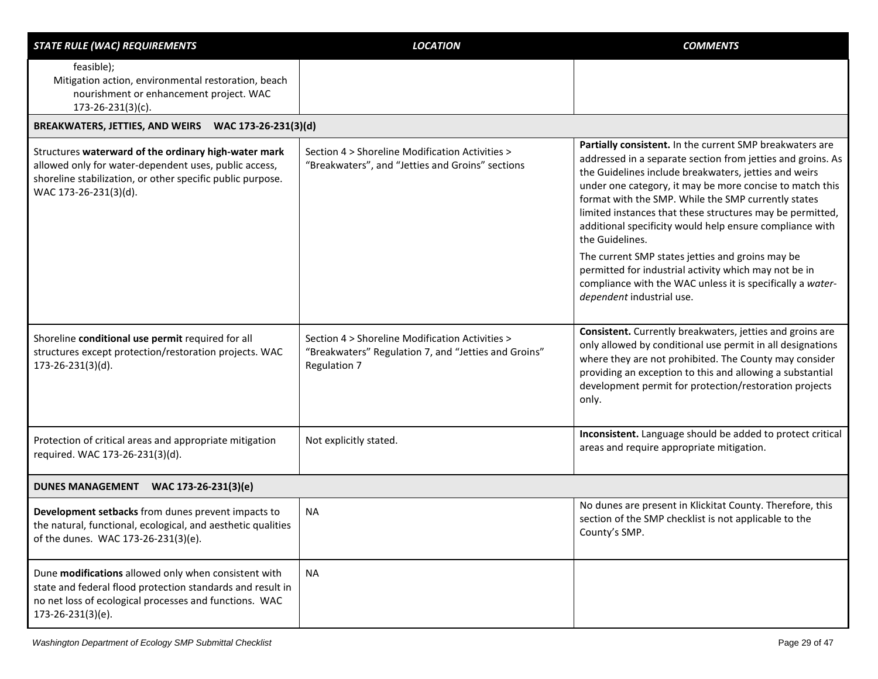| <b>STATE RULE (WAC) REQUIREMENTS</b>                                                                                                                                                                 | <b>LOCATION</b>                                                                                                         | <b>COMMENTS</b>                                                                                                                                                                                                                                                                                                                                                                                                                                 |
|------------------------------------------------------------------------------------------------------------------------------------------------------------------------------------------------------|-------------------------------------------------------------------------------------------------------------------------|-------------------------------------------------------------------------------------------------------------------------------------------------------------------------------------------------------------------------------------------------------------------------------------------------------------------------------------------------------------------------------------------------------------------------------------------------|
| feasible);<br>Mitigation action, environmental restoration, beach<br>nourishment or enhancement project. WAC<br>$173 - 26 - 231(3)(c)$ .                                                             |                                                                                                                         |                                                                                                                                                                                                                                                                                                                                                                                                                                                 |
| BREAKWATERS, JETTIES, AND WEIRS WAC 173-26-231(3)(d)                                                                                                                                                 |                                                                                                                         |                                                                                                                                                                                                                                                                                                                                                                                                                                                 |
| Structures waterward of the ordinary high-water mark<br>allowed only for water-dependent uses, public access,<br>shoreline stabilization, or other specific public purpose.<br>WAC 173-26-231(3)(d). | Section 4 > Shoreline Modification Activities ><br>"Breakwaters", and "Jetties and Groins" sections                     | Partially consistent. In the current SMP breakwaters are<br>addressed in a separate section from jetties and groins. As<br>the Guidelines include breakwaters, jetties and weirs<br>under one category, it may be more concise to match this<br>format with the SMP. While the SMP currently states<br>limited instances that these structures may be permitted,<br>additional specificity would help ensure compliance with<br>the Guidelines. |
|                                                                                                                                                                                                      |                                                                                                                         | The current SMP states jetties and groins may be<br>permitted for industrial activity which may not be in<br>compliance with the WAC unless it is specifically a water-<br>dependent industrial use.                                                                                                                                                                                                                                            |
| Shoreline conditional use permit required for all<br>structures except protection/restoration projects. WAC<br>173-26-231(3)(d).                                                                     | Section 4 > Shoreline Modification Activities ><br>"Breakwaters" Regulation 7, and "Jetties and Groins"<br>Regulation 7 | Consistent. Currently breakwaters, jetties and groins are<br>only allowed by conditional use permit in all designations<br>where they are not prohibited. The County may consider<br>providing an exception to this and allowing a substantial<br>development permit for protection/restoration projects<br>only.                                                                                                                               |
| Protection of critical areas and appropriate mitigation<br>required. WAC 173-26-231(3)(d).                                                                                                           | Not explicitly stated.                                                                                                  | Inconsistent. Language should be added to protect critical<br>areas and require appropriate mitigation.                                                                                                                                                                                                                                                                                                                                         |
| DUNES MANAGEMENT WAC 173-26-231(3)(e)                                                                                                                                                                |                                                                                                                         |                                                                                                                                                                                                                                                                                                                                                                                                                                                 |
| Development setbacks from dunes prevent impacts to<br>the natural, functional, ecological, and aesthetic qualities<br>of the dunes. WAC 173-26-231(3)(e).                                            | <b>NA</b>                                                                                                               | No dunes are present in Klickitat County. Therefore, this<br>section of the SMP checklist is not applicable to the<br>County's SMP.                                                                                                                                                                                                                                                                                                             |
| Dune modifications allowed only when consistent with<br>state and federal flood protection standards and result in<br>no net loss of ecological processes and functions. WAC<br>173-26-231(3)(e).    | <b>NA</b>                                                                                                               |                                                                                                                                                                                                                                                                                                                                                                                                                                                 |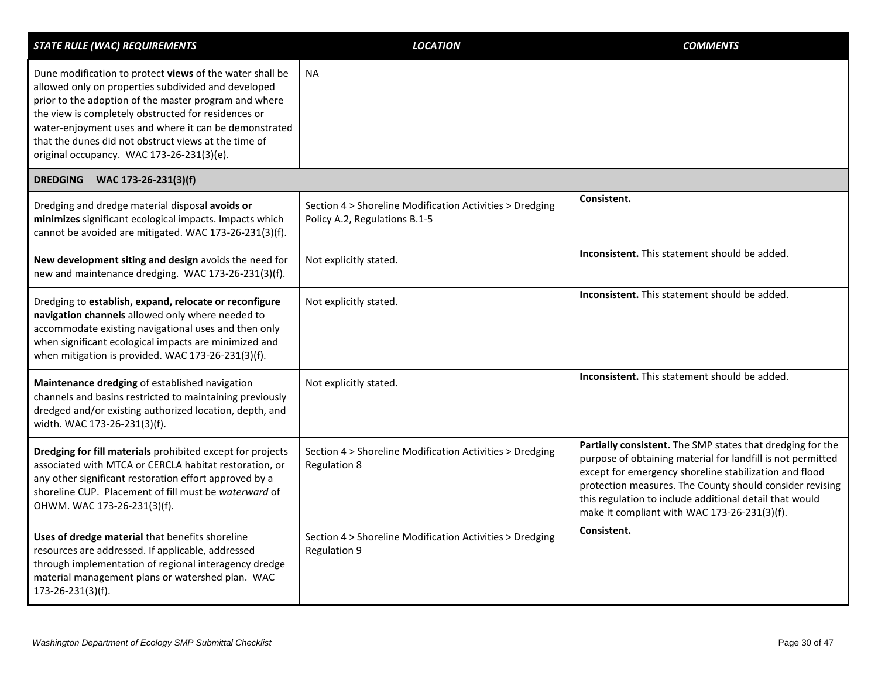| <b>STATE RULE (WAC) REQUIREMENTS</b>                                                                                                                                                                                                                                                                                                                                                          | <b>LOCATION</b>                                                                           | <b>COMMENTS</b>                                                                                                                                                                                                                                                                                                                                            |
|-----------------------------------------------------------------------------------------------------------------------------------------------------------------------------------------------------------------------------------------------------------------------------------------------------------------------------------------------------------------------------------------------|-------------------------------------------------------------------------------------------|------------------------------------------------------------------------------------------------------------------------------------------------------------------------------------------------------------------------------------------------------------------------------------------------------------------------------------------------------------|
| Dune modification to protect views of the water shall be<br>allowed only on properties subdivided and developed<br>prior to the adoption of the master program and where<br>the view is completely obstructed for residences or<br>water-enjoyment uses and where it can be demonstrated<br>that the dunes did not obstruct views at the time of<br>original occupancy. WAC 173-26-231(3)(e). | NA                                                                                        |                                                                                                                                                                                                                                                                                                                                                            |
| DREDGING WAC 173-26-231(3)(f)                                                                                                                                                                                                                                                                                                                                                                 |                                                                                           |                                                                                                                                                                                                                                                                                                                                                            |
| Dredging and dredge material disposal avoids or<br>minimizes significant ecological impacts. Impacts which<br>cannot be avoided are mitigated. WAC 173-26-231(3)(f).                                                                                                                                                                                                                          | Section 4 > Shoreline Modification Activities > Dredging<br>Policy A.2, Regulations B.1-5 | Consistent.                                                                                                                                                                                                                                                                                                                                                |
| New development siting and design avoids the need for<br>new and maintenance dredging. WAC 173-26-231(3)(f).                                                                                                                                                                                                                                                                                  | Not explicitly stated.                                                                    | Inconsistent. This statement should be added.                                                                                                                                                                                                                                                                                                              |
| Dredging to establish, expand, relocate or reconfigure<br>navigation channels allowed only where needed to<br>accommodate existing navigational uses and then only<br>when significant ecological impacts are minimized and<br>when mitigation is provided. WAC 173-26-231(3)(f).                                                                                                             | Not explicitly stated.                                                                    | Inconsistent. This statement should be added.                                                                                                                                                                                                                                                                                                              |
| Maintenance dredging of established navigation<br>channels and basins restricted to maintaining previously<br>dredged and/or existing authorized location, depth, and<br>width. WAC 173-26-231(3)(f).                                                                                                                                                                                         | Not explicitly stated.                                                                    | <b>Inconsistent.</b> This statement should be added.                                                                                                                                                                                                                                                                                                       |
| Dredging for fill materials prohibited except for projects<br>associated with MTCA or CERCLA habitat restoration, or<br>any other significant restoration effort approved by a<br>shoreline CUP. Placement of fill must be waterward of<br>OHWM. WAC 173-26-231(3)(f).                                                                                                                        | Section 4 > Shoreline Modification Activities > Dredging<br><b>Regulation 8</b>           | Partially consistent. The SMP states that dredging for the<br>purpose of obtaining material for landfill is not permitted<br>except for emergency shoreline stabilization and flood<br>protection measures. The County should consider revising<br>this regulation to include additional detail that would<br>make it compliant with WAC 173-26-231(3)(f). |
| Uses of dredge material that benefits shoreline<br>resources are addressed. If applicable, addressed<br>through implementation of regional interagency dredge<br>material management plans or watershed plan. WAC<br>173-26-231(3)(f).                                                                                                                                                        | Section 4 > Shoreline Modification Activities > Dredging<br><b>Regulation 9</b>           | Consistent.                                                                                                                                                                                                                                                                                                                                                |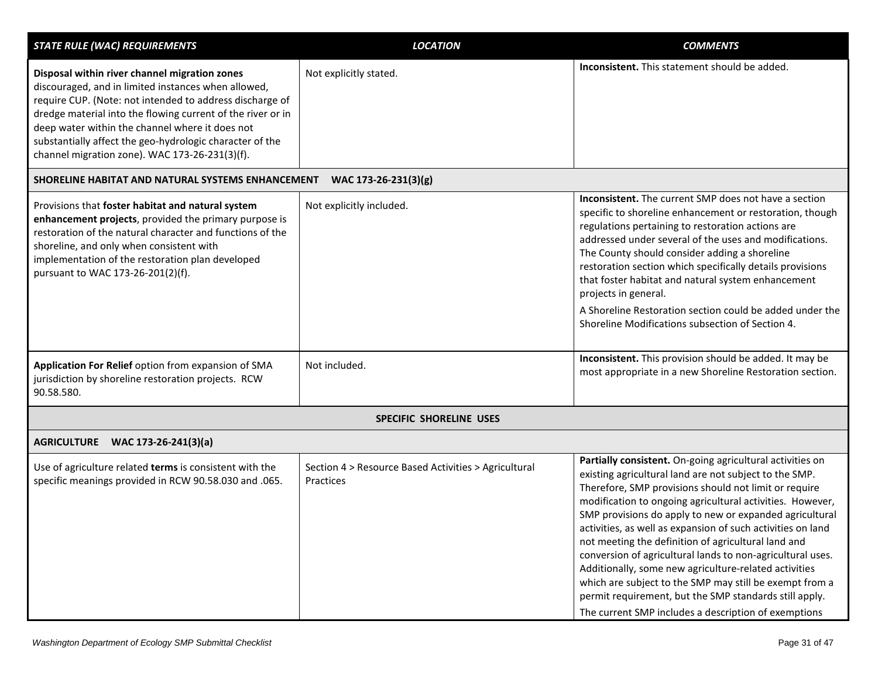| <b>STATE RULE (WAC) REQUIREMENTS</b>                                                                                                                                                                                                                                                                                                                                                             | <b>LOCATION</b>                                                   | <b>COMMENTS</b>                                                                                                                                                                                                                                                                                                                                                                                                                                                                                                                                                                                                                                                                                                                |
|--------------------------------------------------------------------------------------------------------------------------------------------------------------------------------------------------------------------------------------------------------------------------------------------------------------------------------------------------------------------------------------------------|-------------------------------------------------------------------|--------------------------------------------------------------------------------------------------------------------------------------------------------------------------------------------------------------------------------------------------------------------------------------------------------------------------------------------------------------------------------------------------------------------------------------------------------------------------------------------------------------------------------------------------------------------------------------------------------------------------------------------------------------------------------------------------------------------------------|
| Disposal within river channel migration zones<br>discouraged, and in limited instances when allowed,<br>require CUP. (Note: not intended to address discharge of<br>dredge material into the flowing current of the river or in<br>deep water within the channel where it does not<br>substantially affect the geo-hydrologic character of the<br>channel migration zone). WAC 173-26-231(3)(f). | Not explicitly stated.                                            | Inconsistent. This statement should be added.                                                                                                                                                                                                                                                                                                                                                                                                                                                                                                                                                                                                                                                                                  |
| SHORELINE HABITAT AND NATURAL SYSTEMS ENHANCEMENT                                                                                                                                                                                                                                                                                                                                                | WAC 173-26-231(3)(g)                                              |                                                                                                                                                                                                                                                                                                                                                                                                                                                                                                                                                                                                                                                                                                                                |
| Provisions that foster habitat and natural system<br>enhancement projects, provided the primary purpose is<br>restoration of the natural character and functions of the<br>shoreline, and only when consistent with<br>implementation of the restoration plan developed<br>pursuant to WAC 173-26-201(2)(f).                                                                                     | Not explicitly included.                                          | <b>Inconsistent.</b> The current SMP does not have a section<br>specific to shoreline enhancement or restoration, though<br>regulations pertaining to restoration actions are<br>addressed under several of the uses and modifications.<br>The County should consider adding a shoreline<br>restoration section which specifically details provisions<br>that foster habitat and natural system enhancement<br>projects in general.<br>A Shoreline Restoration section could be added under the<br>Shoreline Modifications subsection of Section 4.                                                                                                                                                                            |
| Application For Relief option from expansion of SMA<br>jurisdiction by shoreline restoration projects. RCW<br>90.58.580.                                                                                                                                                                                                                                                                         | Not included.                                                     | Inconsistent. This provision should be added. It may be<br>most appropriate in a new Shoreline Restoration section.                                                                                                                                                                                                                                                                                                                                                                                                                                                                                                                                                                                                            |
|                                                                                                                                                                                                                                                                                                                                                                                                  | <b>SPECIFIC SHORELINE USES</b>                                    |                                                                                                                                                                                                                                                                                                                                                                                                                                                                                                                                                                                                                                                                                                                                |
| AGRICULTURE WAC 173-26-241(3)(a)                                                                                                                                                                                                                                                                                                                                                                 |                                                                   |                                                                                                                                                                                                                                                                                                                                                                                                                                                                                                                                                                                                                                                                                                                                |
| Use of agriculture related terms is consistent with the<br>specific meanings provided in RCW 90.58.030 and .065.                                                                                                                                                                                                                                                                                 | Section 4 > Resource Based Activities > Agricultural<br>Practices | Partially consistent. On-going agricultural activities on<br>existing agricultural land are not subject to the SMP.<br>Therefore, SMP provisions should not limit or require<br>modification to ongoing agricultural activities. However,<br>SMP provisions do apply to new or expanded agricultural<br>activities, as well as expansion of such activities on land<br>not meeting the definition of agricultural land and<br>conversion of agricultural lands to non-agricultural uses.<br>Additionally, some new agriculture-related activities<br>which are subject to the SMP may still be exempt from a<br>permit requirement, but the SMP standards still apply.<br>The current SMP includes a description of exemptions |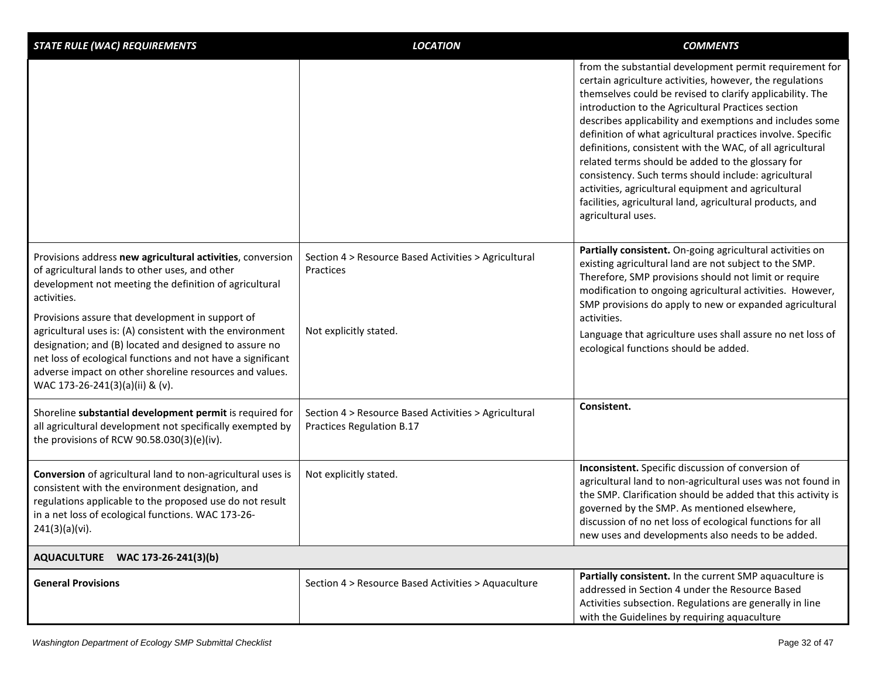| <b>STATE RULE (WAC) REQUIREMENTS</b>                                                                                                                                                                                                                                                                                                 | <b>LOCATION</b>                                                                   | <b>COMMENTS</b>                                                                                                                                                                                                                                                                                                                                                                                                                                                                                                                                                                                                                                                                       |
|--------------------------------------------------------------------------------------------------------------------------------------------------------------------------------------------------------------------------------------------------------------------------------------------------------------------------------------|-----------------------------------------------------------------------------------|---------------------------------------------------------------------------------------------------------------------------------------------------------------------------------------------------------------------------------------------------------------------------------------------------------------------------------------------------------------------------------------------------------------------------------------------------------------------------------------------------------------------------------------------------------------------------------------------------------------------------------------------------------------------------------------|
|                                                                                                                                                                                                                                                                                                                                      |                                                                                   | from the substantial development permit requirement for<br>certain agriculture activities, however, the regulations<br>themselves could be revised to clarify applicability. The<br>introduction to the Agricultural Practices section<br>describes applicability and exemptions and includes some<br>definition of what agricultural practices involve. Specific<br>definitions, consistent with the WAC, of all agricultural<br>related terms should be added to the glossary for<br>consistency. Such terms should include: agricultural<br>activities, agricultural equipment and agricultural<br>facilities, agricultural land, agricultural products, and<br>agricultural uses. |
| Provisions address new agricultural activities, conversion<br>of agricultural lands to other uses, and other<br>development not meeting the definition of agricultural<br>activities.                                                                                                                                                | Section 4 > Resource Based Activities > Agricultural<br>Practices                 | Partially consistent. On-going agricultural activities on<br>existing agricultural land are not subject to the SMP.<br>Therefore, SMP provisions should not limit or require<br>modification to ongoing agricultural activities. However,<br>SMP provisions do apply to new or expanded agricultural                                                                                                                                                                                                                                                                                                                                                                                  |
| Provisions assure that development in support of<br>agricultural uses is: (A) consistent with the environment<br>designation; and (B) located and designed to assure no<br>net loss of ecological functions and not have a significant<br>adverse impact on other shoreline resources and values.<br>WAC 173-26-241(3)(a)(ii) & (v). | Not explicitly stated.                                                            | activities.<br>Language that agriculture uses shall assure no net loss of<br>ecological functions should be added.                                                                                                                                                                                                                                                                                                                                                                                                                                                                                                                                                                    |
| Shoreline substantial development permit is required for<br>all agricultural development not specifically exempted by<br>the provisions of RCW 90.58.030(3)(e)(iv).                                                                                                                                                                  | Section 4 > Resource Based Activities > Agricultural<br>Practices Regulation B.17 | Consistent.                                                                                                                                                                                                                                                                                                                                                                                                                                                                                                                                                                                                                                                                           |
| Conversion of agricultural land to non-agricultural uses is<br>consistent with the environment designation, and<br>regulations applicable to the proposed use do not result<br>in a net loss of ecological functions. WAC 173-26-<br>241(3)(a)(vi).                                                                                  | Not explicitly stated.                                                            | Inconsistent. Specific discussion of conversion of<br>agricultural land to non-agricultural uses was not found in<br>the SMP. Clarification should be added that this activity is<br>governed by the SMP. As mentioned elsewhere,<br>discussion of no net loss of ecological functions for all<br>new uses and developments also needs to be added.                                                                                                                                                                                                                                                                                                                                   |
| AQUACULTURE WAC 173-26-241(3)(b)                                                                                                                                                                                                                                                                                                     |                                                                                   |                                                                                                                                                                                                                                                                                                                                                                                                                                                                                                                                                                                                                                                                                       |
| <b>General Provisions</b>                                                                                                                                                                                                                                                                                                            | Section 4 > Resource Based Activities > Aquaculture                               | Partially consistent. In the current SMP aquaculture is<br>addressed in Section 4 under the Resource Based<br>Activities subsection. Regulations are generally in line<br>with the Guidelines by requiring aquaculture                                                                                                                                                                                                                                                                                                                                                                                                                                                                |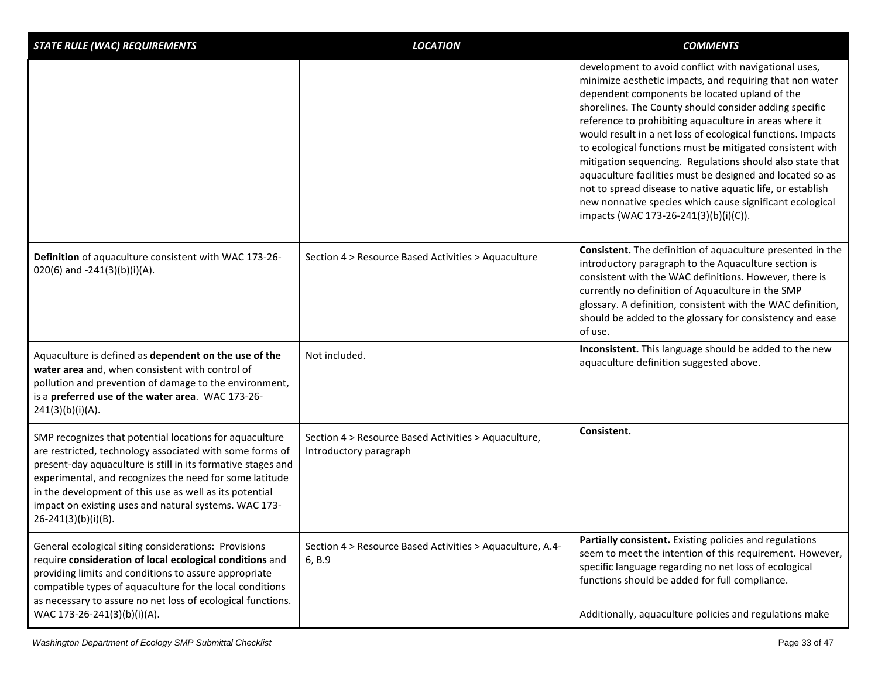| <b>STATE RULE (WAC) REQUIREMENTS</b>                                                                                                                                                                                                                                                                                                                                                           | <b>LOCATION</b>                                                                | <b>COMMENTS</b>                                                                                                                                                                                                                                                                                                                                                                                                                                                                                                                                                                                                                                                                                                 |
|------------------------------------------------------------------------------------------------------------------------------------------------------------------------------------------------------------------------------------------------------------------------------------------------------------------------------------------------------------------------------------------------|--------------------------------------------------------------------------------|-----------------------------------------------------------------------------------------------------------------------------------------------------------------------------------------------------------------------------------------------------------------------------------------------------------------------------------------------------------------------------------------------------------------------------------------------------------------------------------------------------------------------------------------------------------------------------------------------------------------------------------------------------------------------------------------------------------------|
|                                                                                                                                                                                                                                                                                                                                                                                                |                                                                                | development to avoid conflict with navigational uses,<br>minimize aesthetic impacts, and requiring that non water<br>dependent components be located upland of the<br>shorelines. The County should consider adding specific<br>reference to prohibiting aquaculture in areas where it<br>would result in a net loss of ecological functions. Impacts<br>to ecological functions must be mitigated consistent with<br>mitigation sequencing. Regulations should also state that<br>aquaculture facilities must be designed and located so as<br>not to spread disease to native aquatic life, or establish<br>new nonnative species which cause significant ecological<br>impacts (WAC 173-26-241(3)(b)(i)(C)). |
| Definition of aquaculture consistent with WAC 173-26-<br>020(6) and -241(3)(b)(i)(A).                                                                                                                                                                                                                                                                                                          | Section 4 > Resource Based Activities > Aquaculture                            | Consistent. The definition of aquaculture presented in the<br>introductory paragraph to the Aquaculture section is<br>consistent with the WAC definitions. However, there is<br>currently no definition of Aquaculture in the SMP<br>glossary. A definition, consistent with the WAC definition,<br>should be added to the glossary for consistency and ease<br>of use.                                                                                                                                                                                                                                                                                                                                         |
| Aquaculture is defined as dependent on the use of the<br>water area and, when consistent with control of<br>pollution and prevention of damage to the environment,<br>is a preferred use of the water area. WAC 173-26-<br>241(3)(b)(i)(A).                                                                                                                                                    | Not included.                                                                  | Inconsistent. This language should be added to the new<br>aquaculture definition suggested above.                                                                                                                                                                                                                                                                                                                                                                                                                                                                                                                                                                                                               |
| SMP recognizes that potential locations for aquaculture<br>are restricted, technology associated with some forms of<br>present-day aquaculture is still in its formative stages and<br>experimental, and recognizes the need for some latitude<br>in the development of this use as well as its potential<br>impact on existing uses and natural systems. WAC 173-<br>$26 - 241(3)(b)(i)(B)$ . | Section 4 > Resource Based Activities > Aquaculture,<br>Introductory paragraph | Consistent.                                                                                                                                                                                                                                                                                                                                                                                                                                                                                                                                                                                                                                                                                                     |
| General ecological siting considerations: Provisions<br>require consideration of local ecological conditions and<br>providing limits and conditions to assure appropriate<br>compatible types of aquaculture for the local conditions<br>as necessary to assure no net loss of ecological functions.<br>WAC 173-26-241(3)(b)(i)(A).                                                            | Section 4 > Resource Based Activities > Aquaculture, A.4-<br>6, B.9            | Partially consistent. Existing policies and regulations<br>seem to meet the intention of this requirement. However,<br>specific language regarding no net loss of ecological<br>functions should be added for full compliance.<br>Additionally, aquaculture policies and regulations make                                                                                                                                                                                                                                                                                                                                                                                                                       |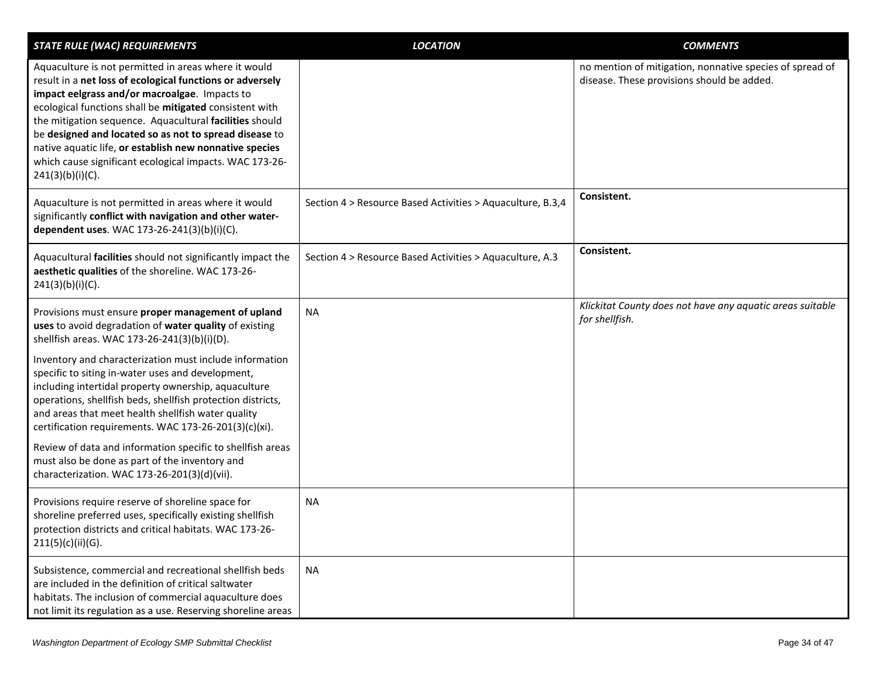| <b>STATE RULE (WAC) REQUIREMENTS</b>                                                                                                                                                                                                                                                                                                                                                                                                                                                            | <b>LOCATION</b>                                            | <b>COMMENTS</b>                                                                                        |
|-------------------------------------------------------------------------------------------------------------------------------------------------------------------------------------------------------------------------------------------------------------------------------------------------------------------------------------------------------------------------------------------------------------------------------------------------------------------------------------------------|------------------------------------------------------------|--------------------------------------------------------------------------------------------------------|
| Aquaculture is not permitted in areas where it would<br>result in a net loss of ecological functions or adversely<br>impact eelgrass and/or macroalgae. Impacts to<br>ecological functions shall be mitigated consistent with<br>the mitigation sequence. Aquacultural facilities should<br>be designed and located so as not to spread disease to<br>native aquatic life, or establish new nonnative species<br>which cause significant ecological impacts. WAC 173-26-<br>$241(3)(b)(i)(C)$ . |                                                            | no mention of mitigation, nonnative species of spread of<br>disease. These provisions should be added. |
| Aquaculture is not permitted in areas where it would<br>significantly conflict with navigation and other water-<br>dependent uses. WAC 173-26-241(3)(b)(i)(C).                                                                                                                                                                                                                                                                                                                                  | Section 4 > Resource Based Activities > Aquaculture, B.3,4 | Consistent.                                                                                            |
| Aquacultural facilities should not significantly impact the<br>aesthetic qualities of the shoreline. WAC 173-26-<br>$241(3)(b)(i)(C)$ .                                                                                                                                                                                                                                                                                                                                                         | Section 4 > Resource Based Activities > Aquaculture, A.3   | Consistent.                                                                                            |
| Provisions must ensure proper management of upland<br>uses to avoid degradation of water quality of existing<br>shellfish areas. WAC 173-26-241(3)(b)(i)(D).                                                                                                                                                                                                                                                                                                                                    | <b>NA</b>                                                  | Klickitat County does not have any aquatic areas suitable<br>for shellfish.                            |
| Inventory and characterization must include information<br>specific to siting in-water uses and development,<br>including intertidal property ownership, aquaculture<br>operations, shellfish beds, shellfish protection districts,<br>and areas that meet health shellfish water quality<br>certification requirements. WAC 173-26-201(3)(c)(xi).                                                                                                                                              |                                                            |                                                                                                        |
| Review of data and information specific to shellfish areas<br>must also be done as part of the inventory and<br>characterization. WAC 173-26-201(3)(d)(vii).                                                                                                                                                                                                                                                                                                                                    |                                                            |                                                                                                        |
| Provisions require reserve of shoreline space for<br>shoreline preferred uses, specifically existing shellfish<br>protection districts and critical habitats. WAC 173-26-<br>211(5)(c)(ii)(G).                                                                                                                                                                                                                                                                                                  | NA.                                                        |                                                                                                        |
| Subsistence, commercial and recreational shellfish beds<br>are included in the definition of critical saltwater<br>habitats. The inclusion of commercial aquaculture does<br>not limit its regulation as a use. Reserving shoreline areas                                                                                                                                                                                                                                                       | <b>NA</b>                                                  |                                                                                                        |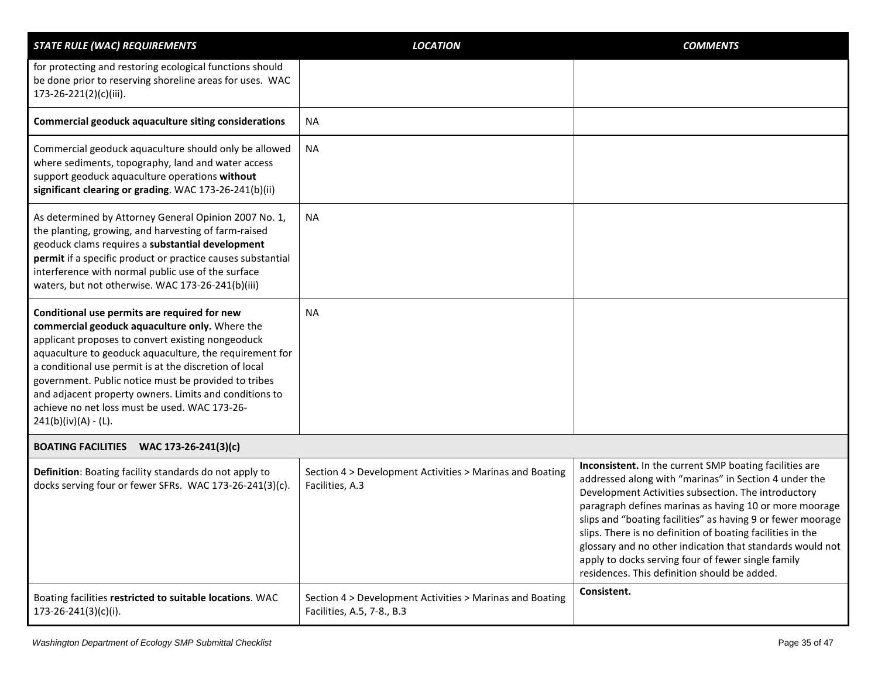| <b>STATE RULE (WAC) REQUIREMENTS</b>                                                                                                                                                                                                                                                                                                                                                                                                                                   | <b>LOCATION</b>                                                                        | <b>COMMENTS</b>                                                                                                                                                                                                                                                                                                                                                                                                                                                                                                                   |
|------------------------------------------------------------------------------------------------------------------------------------------------------------------------------------------------------------------------------------------------------------------------------------------------------------------------------------------------------------------------------------------------------------------------------------------------------------------------|----------------------------------------------------------------------------------------|-----------------------------------------------------------------------------------------------------------------------------------------------------------------------------------------------------------------------------------------------------------------------------------------------------------------------------------------------------------------------------------------------------------------------------------------------------------------------------------------------------------------------------------|
| for protecting and restoring ecological functions should<br>be done prior to reserving shoreline areas for uses. WAC<br>173-26-221(2)(c)(iii).                                                                                                                                                                                                                                                                                                                         |                                                                                        |                                                                                                                                                                                                                                                                                                                                                                                                                                                                                                                                   |
| <b>Commercial geoduck aquaculture siting considerations</b>                                                                                                                                                                                                                                                                                                                                                                                                            | <b>NA</b>                                                                              |                                                                                                                                                                                                                                                                                                                                                                                                                                                                                                                                   |
| Commercial geoduck aquaculture should only be allowed<br>where sediments, topography, land and water access<br>support geoduck aquaculture operations without<br>significant clearing or grading. WAC 173-26-241(b)(ii)                                                                                                                                                                                                                                                | <b>NA</b>                                                                              |                                                                                                                                                                                                                                                                                                                                                                                                                                                                                                                                   |
| As determined by Attorney General Opinion 2007 No. 1,<br>the planting, growing, and harvesting of farm-raised<br>geoduck clams requires a substantial development<br>permit if a specific product or practice causes substantial<br>interference with normal public use of the surface<br>waters, but not otherwise. WAC 173-26-241(b)(iii)                                                                                                                            | <b>NA</b>                                                                              |                                                                                                                                                                                                                                                                                                                                                                                                                                                                                                                                   |
| Conditional use permits are required for new<br>commercial geoduck aquaculture only. Where the<br>applicant proposes to convert existing nongeoduck<br>aquaculture to geoduck aquaculture, the requirement for<br>a conditional use permit is at the discretion of local<br>government. Public notice must be provided to tribes<br>and adjacent property owners. Limits and conditions to<br>achieve no net loss must be used. WAC 173-26-<br>$241(b)(iv)(A) - (L)$ . | <b>NA</b>                                                                              |                                                                                                                                                                                                                                                                                                                                                                                                                                                                                                                                   |
| BOATING FACILITIES WAC 173-26-241(3)(c)                                                                                                                                                                                                                                                                                                                                                                                                                                |                                                                                        |                                                                                                                                                                                                                                                                                                                                                                                                                                                                                                                                   |
| Definition: Boating facility standards do not apply to<br>docks serving four or fewer SFRs. WAC 173-26-241(3)(c).                                                                                                                                                                                                                                                                                                                                                      | Section 4 > Development Activities > Marinas and Boating<br>Facilities, A.3            | Inconsistent. In the current SMP boating facilities are<br>addressed along with "marinas" in Section 4 under the<br>Development Activities subsection. The introductory<br>paragraph defines marinas as having 10 or more moorage<br>slips and "boating facilities" as having 9 or fewer moorage<br>slips. There is no definition of boating facilities in the<br>glossary and no other indication that standards would not<br>apply to docks serving four of fewer single family<br>residences. This definition should be added. |
| Boating facilities restricted to suitable locations. WAC<br>$173 - 26 - 241(3)(c)(i).$                                                                                                                                                                                                                                                                                                                                                                                 | Section 4 > Development Activities > Marinas and Boating<br>Facilities, A.5, 7-8., B.3 | Consistent.                                                                                                                                                                                                                                                                                                                                                                                                                                                                                                                       |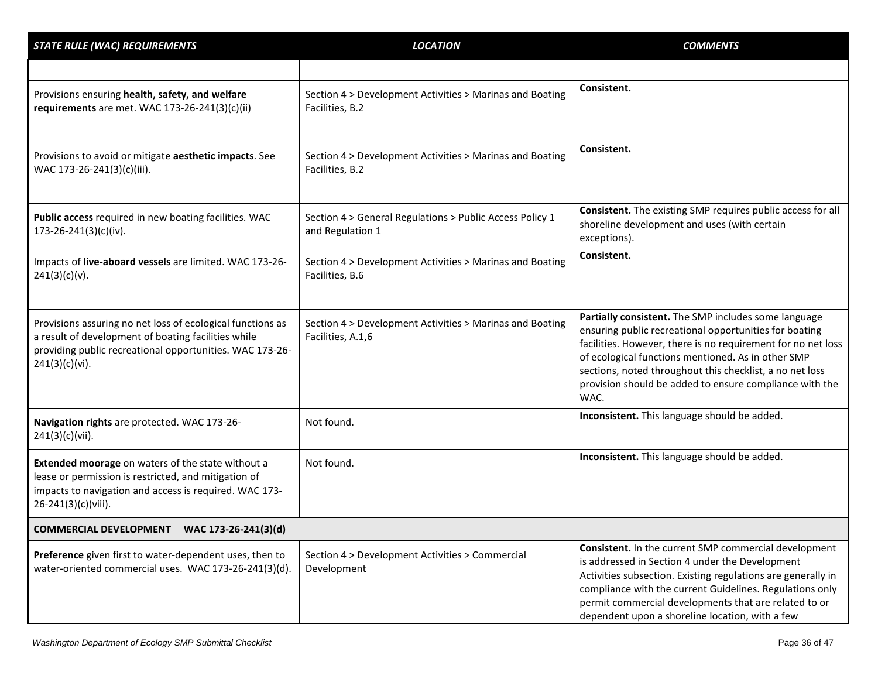| <b>STATE RULE (WAC) REQUIREMENTS</b>                                                                                                                                                            | <b>LOCATION</b>                                                               | <b>COMMENTS</b>                                                                                                                                                                                                                                                                                                                                                     |
|-------------------------------------------------------------------------------------------------------------------------------------------------------------------------------------------------|-------------------------------------------------------------------------------|---------------------------------------------------------------------------------------------------------------------------------------------------------------------------------------------------------------------------------------------------------------------------------------------------------------------------------------------------------------------|
|                                                                                                                                                                                                 |                                                                               |                                                                                                                                                                                                                                                                                                                                                                     |
| Provisions ensuring health, safety, and welfare<br>requirements are met. WAC 173-26-241(3)(c)(ii)                                                                                               | Section 4 > Development Activities > Marinas and Boating<br>Facilities, B.2   | Consistent.                                                                                                                                                                                                                                                                                                                                                         |
| Provisions to avoid or mitigate aesthetic impacts. See<br>WAC 173-26-241(3)(c)(iii).                                                                                                            | Section 4 > Development Activities > Marinas and Boating<br>Facilities, B.2   | Consistent.                                                                                                                                                                                                                                                                                                                                                         |
| Public access required in new boating facilities. WAC<br>$173 - 26 - 241(3)(c)(iv).$                                                                                                            | Section 4 > General Regulations > Public Access Policy 1<br>and Regulation 1  | Consistent. The existing SMP requires public access for all<br>shoreline development and uses (with certain<br>exceptions).                                                                                                                                                                                                                                         |
| Impacts of live-aboard vessels are limited. WAC 173-26-<br>241(3)(c)(v).                                                                                                                        | Section 4 > Development Activities > Marinas and Boating<br>Facilities, B.6   | Consistent.                                                                                                                                                                                                                                                                                                                                                         |
| Provisions assuring no net loss of ecological functions as<br>a result of development of boating facilities while<br>providing public recreational opportunities. WAC 173-26-<br>241(3)(c)(vi). | Section 4 > Development Activities > Marinas and Boating<br>Facilities, A.1,6 | Partially consistent. The SMP includes some language<br>ensuring public recreational opportunities for boating<br>facilities. However, there is no requirement for no net loss<br>of ecological functions mentioned. As in other SMP<br>sections, noted throughout this checklist, a no net loss<br>provision should be added to ensure compliance with the<br>WAC. |
| Navigation rights are protected. WAC 173-26-<br>241(3)(c)(vii).                                                                                                                                 | Not found.                                                                    | Inconsistent. This language should be added.                                                                                                                                                                                                                                                                                                                        |
| Extended moorage on waters of the state without a<br>lease or permission is restricted, and mitigation of<br>impacts to navigation and access is required. WAC 173-<br>26-241(3)(c)(viii).      | Not found.                                                                    | Inconsistent. This language should be added.                                                                                                                                                                                                                                                                                                                        |
| COMMERCIAL DEVELOPMENT WAC 173-26-241(3)(d)                                                                                                                                                     |                                                                               |                                                                                                                                                                                                                                                                                                                                                                     |
| Preference given first to water-dependent uses, then to<br>water-oriented commercial uses. WAC 173-26-241(3)(d).                                                                                | Section 4 > Development Activities > Commercial<br>Development                | Consistent. In the current SMP commercial development<br>is addressed in Section 4 under the Development<br>Activities subsection. Existing regulations are generally in<br>compliance with the current Guidelines. Regulations only<br>permit commercial developments that are related to or<br>dependent upon a shoreline location, with a few                    |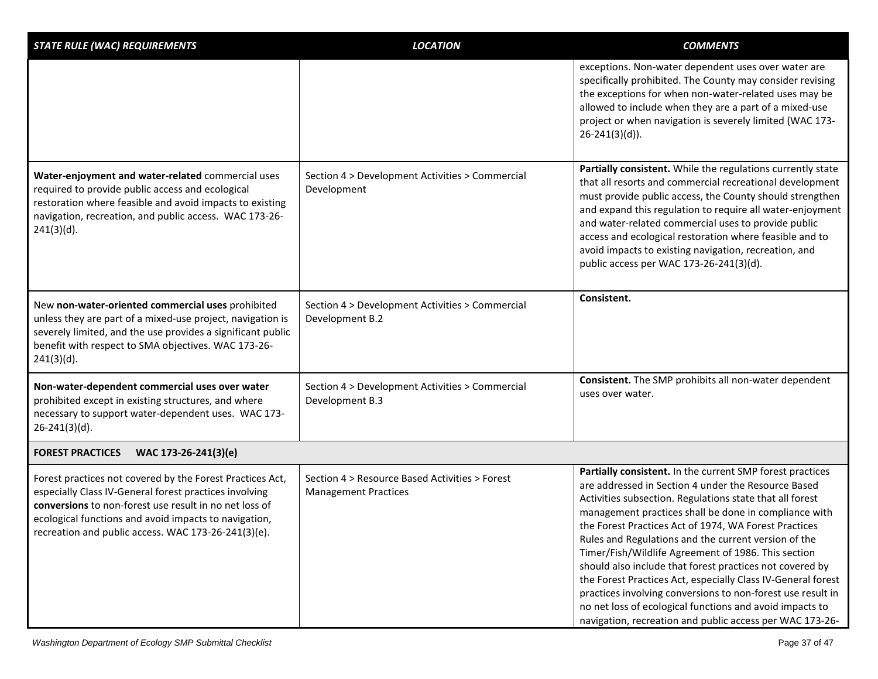| <b>STATE RULE (WAC) REQUIREMENTS</b>                                                                                                                                                                                                                                                          | <b>LOCATION</b>                                                               | <b>COMMENTS</b>                                                                                                                                                                                                                                                                                                                                                                                                                                                                                                                                                                                                                                                                                                                  |
|-----------------------------------------------------------------------------------------------------------------------------------------------------------------------------------------------------------------------------------------------------------------------------------------------|-------------------------------------------------------------------------------|----------------------------------------------------------------------------------------------------------------------------------------------------------------------------------------------------------------------------------------------------------------------------------------------------------------------------------------------------------------------------------------------------------------------------------------------------------------------------------------------------------------------------------------------------------------------------------------------------------------------------------------------------------------------------------------------------------------------------------|
|                                                                                                                                                                                                                                                                                               |                                                                               | exceptions. Non-water dependent uses over water are<br>specifically prohibited. The County may consider revising<br>the exceptions for when non-water-related uses may be<br>allowed to include when they are a part of a mixed-use<br>project or when navigation is severely limited (WAC 173-<br>$26 - 241(3)(d)$ ).                                                                                                                                                                                                                                                                                                                                                                                                           |
| Water-enjoyment and water-related commercial uses<br>required to provide public access and ecological<br>restoration where feasible and avoid impacts to existing<br>navigation, recreation, and public access. WAC 173-26-<br>$241(3)(d)$ .                                                  | Section 4 > Development Activities > Commercial<br>Development                | Partially consistent. While the regulations currently state<br>that all resorts and commercial recreational development<br>must provide public access, the County should strengthen<br>and expand this regulation to require all water-enjoyment<br>and water-related commercial uses to provide public<br>access and ecological restoration where feasible and to<br>avoid impacts to existing navigation, recreation, and<br>public access per WAC 173-26-241(3)(d).                                                                                                                                                                                                                                                           |
| New non-water-oriented commercial uses prohibited<br>unless they are part of a mixed-use project, navigation is<br>severely limited, and the use provides a significant public<br>benefit with respect to SMA objectives. WAC 173-26-<br>$241(3)(d)$ .                                        | Section 4 > Development Activities > Commercial<br>Development B.2            | Consistent.                                                                                                                                                                                                                                                                                                                                                                                                                                                                                                                                                                                                                                                                                                                      |
| Non-water-dependent commercial uses over water<br>prohibited except in existing structures, and where<br>necessary to support water-dependent uses. WAC 173-<br>$26 - 241(3)(d)$ .                                                                                                            | Section 4 > Development Activities > Commercial<br>Development B.3            | Consistent. The SMP prohibits all non-water dependent<br>uses over water.                                                                                                                                                                                                                                                                                                                                                                                                                                                                                                                                                                                                                                                        |
| <b>FOREST PRACTICES</b><br>WAC 173-26-241(3)(e)                                                                                                                                                                                                                                               |                                                                               |                                                                                                                                                                                                                                                                                                                                                                                                                                                                                                                                                                                                                                                                                                                                  |
| Forest practices not covered by the Forest Practices Act,<br>especially Class IV-General forest practices involving<br>conversions to non-forest use result in no net loss of<br>ecological functions and avoid impacts to navigation,<br>recreation and public access. WAC 173-26-241(3)(e). | Section 4 > Resource Based Activities > Forest<br><b>Management Practices</b> | Partially consistent. In the current SMP forest practices<br>are addressed in Section 4 under the Resource Based<br>Activities subsection. Regulations state that all forest<br>management practices shall be done in compliance with<br>the Forest Practices Act of 1974, WA Forest Practices<br>Rules and Regulations and the current version of the<br>Timer/Fish/Wildlife Agreement of 1986. This section<br>should also include that forest practices not covered by<br>the Forest Practices Act, especially Class IV-General forest<br>practices involving conversions to non-forest use result in<br>no net loss of ecological functions and avoid impacts to<br>navigation, recreation and public access per WAC 173-26- |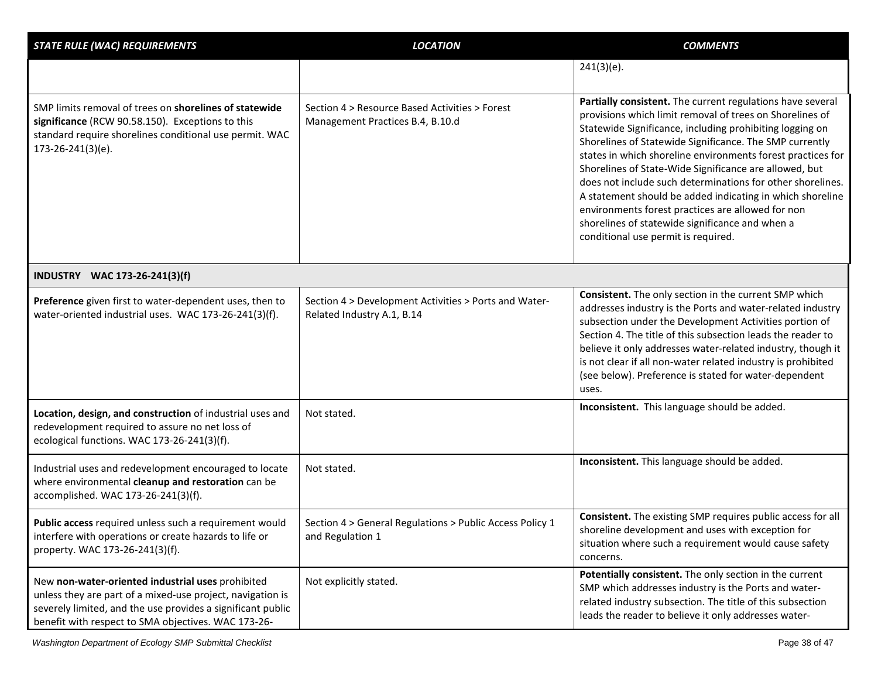| <b>STATE RULE (WAC) REQUIREMENTS</b>                                                                                                                                                                                                  | <b>LOCATION</b>                                                                     | <b>COMMENTS</b>                                                                                                                                                                                                                                                                                                                                                                                                                                                                                                                                                                                                                                  |
|---------------------------------------------------------------------------------------------------------------------------------------------------------------------------------------------------------------------------------------|-------------------------------------------------------------------------------------|--------------------------------------------------------------------------------------------------------------------------------------------------------------------------------------------------------------------------------------------------------------------------------------------------------------------------------------------------------------------------------------------------------------------------------------------------------------------------------------------------------------------------------------------------------------------------------------------------------------------------------------------------|
|                                                                                                                                                                                                                                       |                                                                                     | $241(3)(e)$ .                                                                                                                                                                                                                                                                                                                                                                                                                                                                                                                                                                                                                                    |
| SMP limits removal of trees on shorelines of statewide<br>significance (RCW 90.58.150). Exceptions to this<br>standard require shorelines conditional use permit. WAC<br>173-26-241(3)(e).                                            | Section 4 > Resource Based Activities > Forest<br>Management Practices B.4, B.10.d  | Partially consistent. The current regulations have several<br>provisions which limit removal of trees on Shorelines of<br>Statewide Significance, including prohibiting logging on<br>Shorelines of Statewide Significance. The SMP currently<br>states in which shoreline environments forest practices for<br>Shorelines of State-Wide Significance are allowed, but<br>does not include such determinations for other shorelines.<br>A statement should be added indicating in which shoreline<br>environments forest practices are allowed for non<br>shorelines of statewide significance and when a<br>conditional use permit is required. |
| INDUSTRY WAC 173-26-241(3)(f)                                                                                                                                                                                                         |                                                                                     |                                                                                                                                                                                                                                                                                                                                                                                                                                                                                                                                                                                                                                                  |
| Preference given first to water-dependent uses, then to<br>water-oriented industrial uses. WAC 173-26-241(3)(f).                                                                                                                      | Section 4 > Development Activities > Ports and Water-<br>Related Industry A.1, B.14 | Consistent. The only section in the current SMP which<br>addresses industry is the Ports and water-related industry<br>subsection under the Development Activities portion of<br>Section 4. The title of this subsection leads the reader to<br>believe it only addresses water-related industry, though it<br>is not clear if all non-water related industry is prohibited<br>(see below). Preference is stated for water-dependent<br>uses.                                                                                                                                                                                                    |
| Location, design, and construction of industrial uses and<br>redevelopment required to assure no net loss of<br>ecological functions. WAC 173-26-241(3)(f).                                                                           | Not stated.                                                                         | Inconsistent. This language should be added.                                                                                                                                                                                                                                                                                                                                                                                                                                                                                                                                                                                                     |
| Industrial uses and redevelopment encouraged to locate<br>where environmental cleanup and restoration can be<br>accomplished. WAC 173-26-241(3)(f).                                                                                   | Not stated.                                                                         | Inconsistent. This language should be added.                                                                                                                                                                                                                                                                                                                                                                                                                                                                                                                                                                                                     |
| Public access required unless such a requirement would<br>interfere with operations or create hazards to life or<br>property. WAC 173-26-241(3)(f).                                                                                   | Section 4 > General Regulations > Public Access Policy 1<br>and Regulation 1        | Consistent. The existing SMP requires public access for all<br>shoreline development and uses with exception for<br>situation where such a requirement would cause safety<br>concerns.                                                                                                                                                                                                                                                                                                                                                                                                                                                           |
| New non-water-oriented industrial uses prohibited<br>unless they are part of a mixed-use project, navigation is<br>severely limited, and the use provides a significant public<br>benefit with respect to SMA objectives. WAC 173-26- | Not explicitly stated.                                                              | Potentially consistent. The only section in the current<br>SMP which addresses industry is the Ports and water-<br>related industry subsection. The title of this subsection<br>leads the reader to believe it only addresses water-                                                                                                                                                                                                                                                                                                                                                                                                             |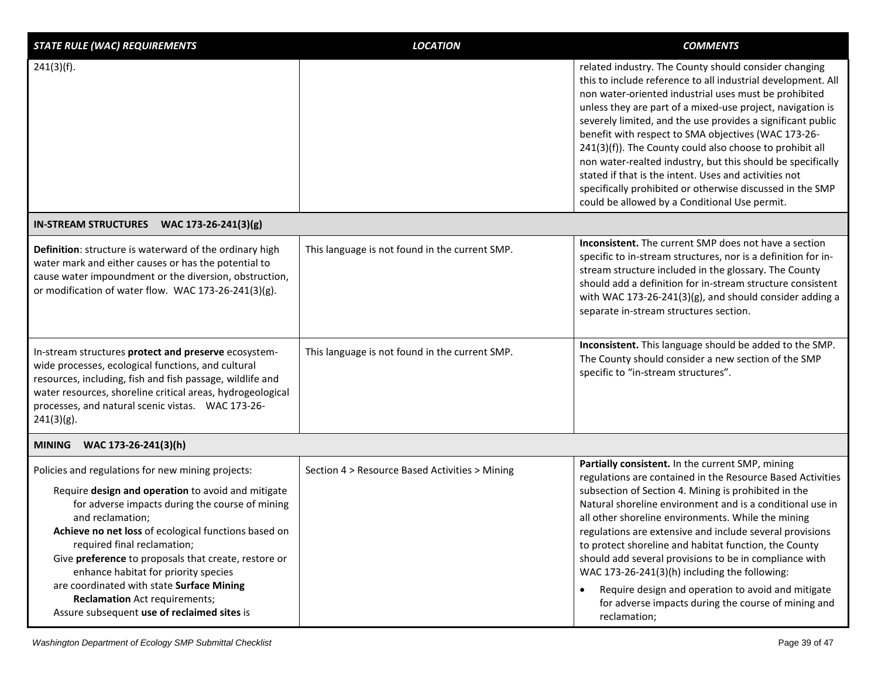| <b>STATE RULE (WAC) REQUIREMENTS</b>                                                                                                                                                                                                                                                                                                                                                                                                                                                                      | <b>LOCATION</b>                                | <b>COMMENTS</b>                                                                                                                                                                                                                                                                                                                                                                                                                                                                                                                                                                                                                                                      |
|-----------------------------------------------------------------------------------------------------------------------------------------------------------------------------------------------------------------------------------------------------------------------------------------------------------------------------------------------------------------------------------------------------------------------------------------------------------------------------------------------------------|------------------------------------------------|----------------------------------------------------------------------------------------------------------------------------------------------------------------------------------------------------------------------------------------------------------------------------------------------------------------------------------------------------------------------------------------------------------------------------------------------------------------------------------------------------------------------------------------------------------------------------------------------------------------------------------------------------------------------|
| 241(3)(f).                                                                                                                                                                                                                                                                                                                                                                                                                                                                                                |                                                | related industry. The County should consider changing<br>this to include reference to all industrial development. All<br>non water-oriented industrial uses must be prohibited<br>unless they are part of a mixed-use project, navigation is<br>severely limited, and the use provides a significant public<br>benefit with respect to SMA objectives (WAC 173-26-<br>241(3)(f)). The County could also choose to prohibit all<br>non water-realted industry, but this should be specifically<br>stated if that is the intent. Uses and activities not<br>specifically prohibited or otherwise discussed in the SMP<br>could be allowed by a Conditional Use permit. |
| IN-STREAM STRUCTURES WAC 173-26-241(3)(g)                                                                                                                                                                                                                                                                                                                                                                                                                                                                 |                                                |                                                                                                                                                                                                                                                                                                                                                                                                                                                                                                                                                                                                                                                                      |
| Definition: structure is waterward of the ordinary high<br>water mark and either causes or has the potential to<br>cause water impoundment or the diversion, obstruction,<br>or modification of water flow. WAC 173-26-241(3)(g).                                                                                                                                                                                                                                                                         | This language is not found in the current SMP. | Inconsistent. The current SMP does not have a section<br>specific to in-stream structures, nor is a definition for in-<br>stream structure included in the glossary. The County<br>should add a definition for in-stream structure consistent<br>with WAC 173-26-241(3)(g), and should consider adding a<br>separate in-stream structures section.                                                                                                                                                                                                                                                                                                                   |
| In-stream structures protect and preserve ecosystem-<br>wide processes, ecological functions, and cultural<br>resources, including, fish and fish passage, wildlife and<br>water resources, shoreline critical areas, hydrogeological<br>processes, and natural scenic vistas. WAC 173-26-<br>$241(3)(g)$ .                                                                                                                                                                                               | This language is not found in the current SMP. | Inconsistent. This language should be added to the SMP.<br>The County should consider a new section of the SMP<br>specific to "in-stream structures".                                                                                                                                                                                                                                                                                                                                                                                                                                                                                                                |
| WAC 173-26-241(3)(h)<br><b>MINING</b>                                                                                                                                                                                                                                                                                                                                                                                                                                                                     |                                                |                                                                                                                                                                                                                                                                                                                                                                                                                                                                                                                                                                                                                                                                      |
| Policies and regulations for new mining projects:<br>Require design and operation to avoid and mitigate<br>for adverse impacts during the course of mining<br>and reclamation;<br>Achieve no net loss of ecological functions based on<br>required final reclamation;<br>Give preference to proposals that create, restore or<br>enhance habitat for priority species<br>are coordinated with state Surface Mining<br><b>Reclamation</b> Act requirements;<br>Assure subsequent use of reclaimed sites is | Section 4 > Resource Based Activities > Mining | Partially consistent. In the current SMP, mining<br>regulations are contained in the Resource Based Activities<br>subsection of Section 4. Mining is prohibited in the<br>Natural shoreline environment and is a conditional use in<br>all other shoreline environments. While the mining<br>regulations are extensive and include several provisions<br>to protect shoreline and habitat function, the County<br>should add several provisions to be in compliance with<br>WAC 173-26-241(3)(h) including the following:<br>Require design and operation to avoid and mitigate<br>$\bullet$<br>for adverse impacts during the course of mining and<br>reclamation;  |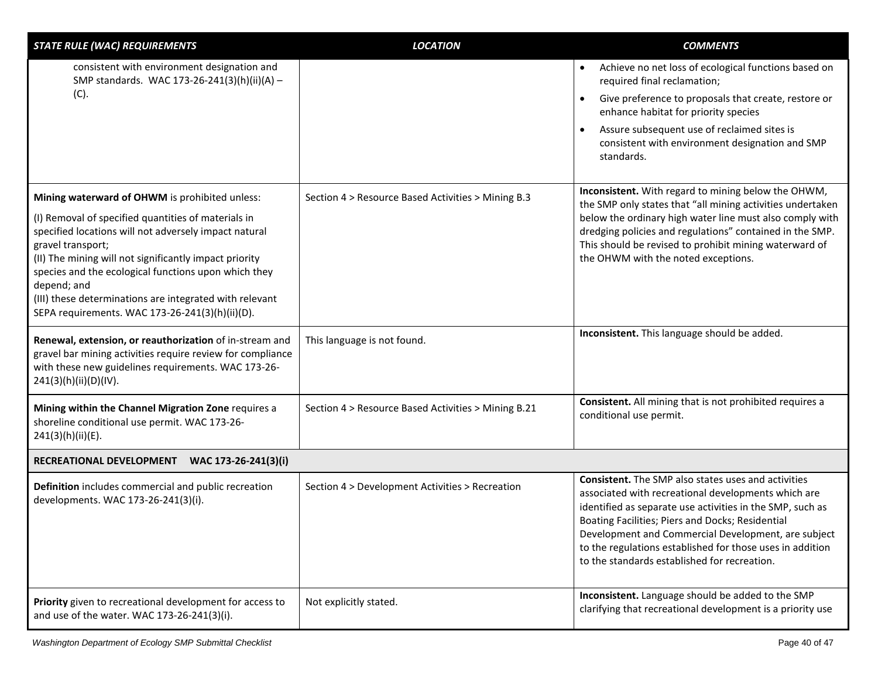| <b>STATE RULE (WAC) REQUIREMENTS</b>                                                                                                                                                                                                                                                                                                                                                                                               | <b>LOCATION</b>                                     | <b>COMMENTS</b>                                                                                                                                                                                                                                                                                                                                                                                        |
|------------------------------------------------------------------------------------------------------------------------------------------------------------------------------------------------------------------------------------------------------------------------------------------------------------------------------------------------------------------------------------------------------------------------------------|-----------------------------------------------------|--------------------------------------------------------------------------------------------------------------------------------------------------------------------------------------------------------------------------------------------------------------------------------------------------------------------------------------------------------------------------------------------------------|
| consistent with environment designation and<br>SMP standards. WAC 173-26-241(3)(h)(ii)(A) -<br>(C).                                                                                                                                                                                                                                                                                                                                |                                                     | Achieve no net loss of ecological functions based on<br>$\bullet$<br>required final reclamation;<br>Give preference to proposals that create, restore or<br>$\bullet$<br>enhance habitat for priority species                                                                                                                                                                                          |
|                                                                                                                                                                                                                                                                                                                                                                                                                                    |                                                     | Assure subsequent use of reclaimed sites is<br>$\bullet$<br>consistent with environment designation and SMP<br>standards.                                                                                                                                                                                                                                                                              |
| Mining waterward of OHWM is prohibited unless:<br>(I) Removal of specified quantities of materials in<br>specified locations will not adversely impact natural<br>gravel transport;<br>(II) The mining will not significantly impact priority<br>species and the ecological functions upon which they<br>depend; and<br>(III) these determinations are integrated with relevant<br>SEPA requirements. WAC 173-26-241(3)(h)(ii)(D). | Section 4 > Resource Based Activities > Mining B.3  | Inconsistent. With regard to mining below the OHWM,<br>the SMP only states that "all mining activities undertaken<br>below the ordinary high water line must also comply with<br>dredging policies and regulations" contained in the SMP.<br>This should be revised to prohibit mining waterward of<br>the OHWM with the noted exceptions.                                                             |
| Renewal, extension, or reauthorization of in-stream and<br>gravel bar mining activities require review for compliance<br>with these new guidelines requirements. WAC 173-26-<br>241(3)(h)(ii)(D)(IV).                                                                                                                                                                                                                              | This language is not found.                         | Inconsistent. This language should be added.                                                                                                                                                                                                                                                                                                                                                           |
| Mining within the Channel Migration Zone requires a<br>shoreline conditional use permit. WAC 173-26-<br>241(3)(h)(ii)(E).                                                                                                                                                                                                                                                                                                          | Section 4 > Resource Based Activities > Mining B.21 | Consistent. All mining that is not prohibited requires a<br>conditional use permit.                                                                                                                                                                                                                                                                                                                    |
| RECREATIONAL DEVELOPMENT<br>WAC 173-26-241(3)(i)                                                                                                                                                                                                                                                                                                                                                                                   |                                                     |                                                                                                                                                                                                                                                                                                                                                                                                        |
| Definition includes commercial and public recreation<br>developments. WAC 173-26-241(3)(i).                                                                                                                                                                                                                                                                                                                                        | Section 4 > Development Activities > Recreation     | <b>Consistent.</b> The SMP also states uses and activities<br>associated with recreational developments which are<br>identified as separate use activities in the SMP, such as<br>Boating Facilities; Piers and Docks; Residential<br>Development and Commercial Development, are subject<br>to the regulations established for those uses in addition<br>to the standards established for recreation. |
| Priority given to recreational development for access to<br>and use of the water. WAC 173-26-241(3)(i).                                                                                                                                                                                                                                                                                                                            | Not explicitly stated.                              | Inconsistent. Language should be added to the SMP<br>clarifying that recreational development is a priority use                                                                                                                                                                                                                                                                                        |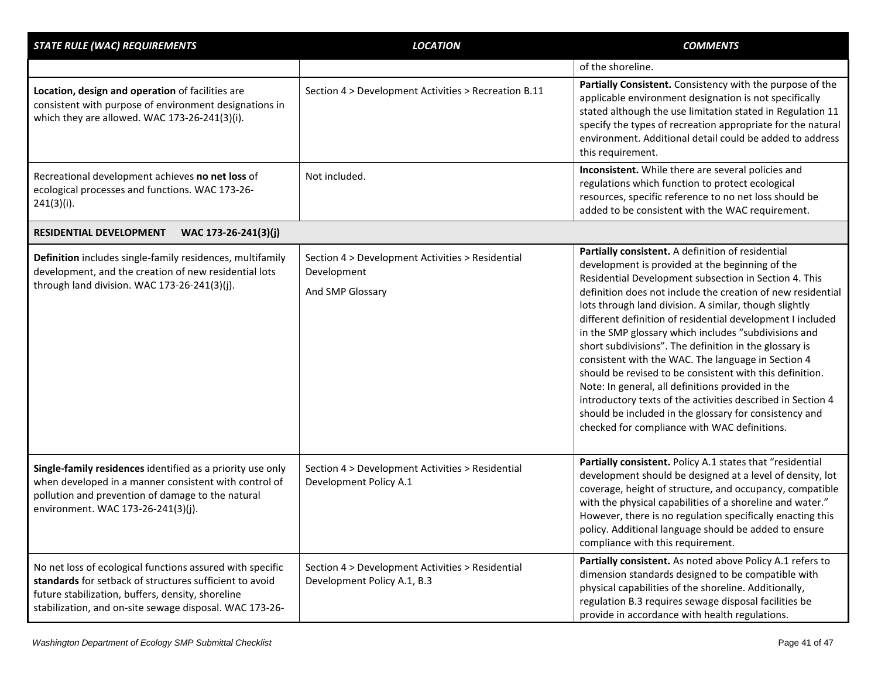| <b>STATE RULE (WAC) REQUIREMENTS</b>                                                                                                                                                                                                 | <b>LOCATION</b>                                                                     | <b>COMMENTS</b>                                                                                                                                                                                                                                                                                                                                                                                                                                                                                                                                                                                                                                                                                                                                                                                                        |
|--------------------------------------------------------------------------------------------------------------------------------------------------------------------------------------------------------------------------------------|-------------------------------------------------------------------------------------|------------------------------------------------------------------------------------------------------------------------------------------------------------------------------------------------------------------------------------------------------------------------------------------------------------------------------------------------------------------------------------------------------------------------------------------------------------------------------------------------------------------------------------------------------------------------------------------------------------------------------------------------------------------------------------------------------------------------------------------------------------------------------------------------------------------------|
|                                                                                                                                                                                                                                      |                                                                                     | of the shoreline.                                                                                                                                                                                                                                                                                                                                                                                                                                                                                                                                                                                                                                                                                                                                                                                                      |
| Location, design and operation of facilities are<br>consistent with purpose of environment designations in<br>which they are allowed. WAC 173-26-241(3)(i).                                                                          | Section 4 > Development Activities > Recreation B.11                                | Partially Consistent. Consistency with the purpose of the<br>applicable environment designation is not specifically<br>stated although the use limitation stated in Regulation 11<br>specify the types of recreation appropriate for the natural<br>environment. Additional detail could be added to address<br>this requirement.                                                                                                                                                                                                                                                                                                                                                                                                                                                                                      |
| Recreational development achieves no net loss of<br>ecological processes and functions. WAC 173-26-<br>$241(3)(i)$ .                                                                                                                 | Not included.                                                                       | Inconsistent. While there are several policies and<br>regulations which function to protect ecological<br>resources, specific reference to no net loss should be<br>added to be consistent with the WAC requirement.                                                                                                                                                                                                                                                                                                                                                                                                                                                                                                                                                                                                   |
| WAC 173-26-241(3)(j)<br>RESIDENTIAL DEVELOPMENT                                                                                                                                                                                      |                                                                                     |                                                                                                                                                                                                                                                                                                                                                                                                                                                                                                                                                                                                                                                                                                                                                                                                                        |
| Definition includes single-family residences, multifamily<br>development, and the creation of new residential lots<br>through land division. WAC 173-26-241(3)(j).                                                                   | Section 4 > Development Activities > Residential<br>Development<br>And SMP Glossary | Partially consistent. A definition of residential<br>development is provided at the beginning of the<br>Residential Development subsection in Section 4. This<br>definition does not include the creation of new residential<br>lots through land division. A similar, though slightly<br>different definition of residential development I included<br>in the SMP glossary which includes "subdivisions and<br>short subdivisions". The definition in the glossary is<br>consistent with the WAC. The language in Section 4<br>should be revised to be consistent with this definition.<br>Note: In general, all definitions provided in the<br>introductory texts of the activities described in Section 4<br>should be included in the glossary for consistency and<br>checked for compliance with WAC definitions. |
| Single-family residences identified as a priority use only<br>when developed in a manner consistent with control of<br>pollution and prevention of damage to the natural<br>environment. WAC 173-26-241(3)(j).                       | Section 4 > Development Activities > Residential<br>Development Policy A.1          | Partially consistent. Policy A.1 states that "residential<br>development should be designed at a level of density, lot<br>coverage, height of structure, and occupancy, compatible<br>with the physical capabilities of a shoreline and water."<br>However, there is no regulation specifically enacting this<br>policy. Additional language should be added to ensure<br>compliance with this requirement.                                                                                                                                                                                                                                                                                                                                                                                                            |
| No net loss of ecological functions assured with specific<br>standards for setback of structures sufficient to avoid<br>future stabilization, buffers, density, shoreline<br>stabilization, and on-site sewage disposal. WAC 173-26- | Section 4 > Development Activities > Residential<br>Development Policy A.1, B.3     | Partially consistent. As noted above Policy A.1 refers to<br>dimension standards designed to be compatible with<br>physical capabilities of the shoreline. Additionally,<br>regulation B.3 requires sewage disposal facilities be<br>provide in accordance with health regulations.                                                                                                                                                                                                                                                                                                                                                                                                                                                                                                                                    |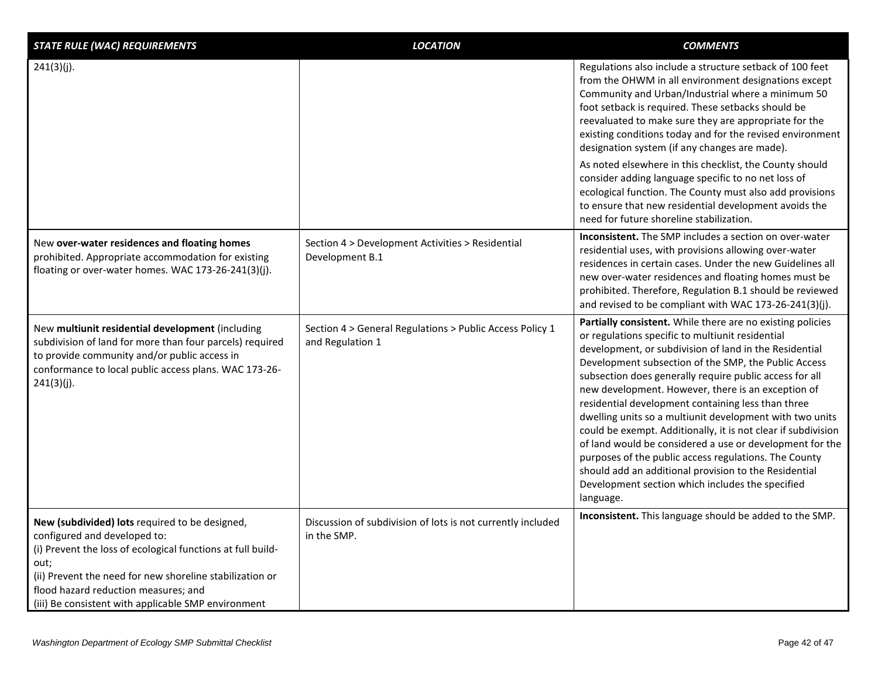| <b>STATE RULE (WAC) REQUIREMENTS</b>                                                                                                                                                                                                                                                                             | <b>LOCATION</b>                                                              | <b>COMMENTS</b>                                                                                                                                                                                                                                                                                                                                                                                                                                                                                                                                                                                                                                                                                                                                                                     |
|------------------------------------------------------------------------------------------------------------------------------------------------------------------------------------------------------------------------------------------------------------------------------------------------------------------|------------------------------------------------------------------------------|-------------------------------------------------------------------------------------------------------------------------------------------------------------------------------------------------------------------------------------------------------------------------------------------------------------------------------------------------------------------------------------------------------------------------------------------------------------------------------------------------------------------------------------------------------------------------------------------------------------------------------------------------------------------------------------------------------------------------------------------------------------------------------------|
| 241(3)(j).                                                                                                                                                                                                                                                                                                       |                                                                              | Regulations also include a structure setback of 100 feet<br>from the OHWM in all environment designations except<br>Community and Urban/Industrial where a minimum 50<br>foot setback is required. These setbacks should be<br>reevaluated to make sure they are appropriate for the<br>existing conditions today and for the revised environment<br>designation system (if any changes are made).                                                                                                                                                                                                                                                                                                                                                                                  |
|                                                                                                                                                                                                                                                                                                                  |                                                                              | As noted elsewhere in this checklist, the County should<br>consider adding language specific to no net loss of<br>ecological function. The County must also add provisions<br>to ensure that new residential development avoids the<br>need for future shoreline stabilization.                                                                                                                                                                                                                                                                                                                                                                                                                                                                                                     |
| New over-water residences and floating homes<br>prohibited. Appropriate accommodation for existing<br>floating or over-water homes. WAC 173-26-241(3)(j).                                                                                                                                                        | Section 4 > Development Activities > Residential<br>Development B.1          | <b>Inconsistent.</b> The SMP includes a section on over-water<br>residential uses, with provisions allowing over-water<br>residences in certain cases. Under the new Guidelines all<br>new over-water residences and floating homes must be<br>prohibited. Therefore, Regulation B.1 should be reviewed<br>and revised to be compliant with WAC 173-26-241(3)(j).                                                                                                                                                                                                                                                                                                                                                                                                                   |
| New multiunit residential development (including<br>subdivision of land for more than four parcels) required<br>to provide community and/or public access in<br>conformance to local public access plans. WAC 173-26-<br>241(3)(j).                                                                              | Section 4 > General Regulations > Public Access Policy 1<br>and Regulation 1 | Partially consistent. While there are no existing policies<br>or regulations specific to multiunit residential<br>development, or subdivision of land in the Residential<br>Development subsection of the SMP, the Public Access<br>subsection does generally require public access for all<br>new development. However, there is an exception of<br>residential development containing less than three<br>dwelling units so a multiunit development with two units<br>could be exempt. Additionally, it is not clear if subdivision<br>of land would be considered a use or development for the<br>purposes of the public access regulations. The County<br>should add an additional provision to the Residential<br>Development section which includes the specified<br>language. |
| New (subdivided) lots required to be designed,<br>configured and developed to:<br>(i) Prevent the loss of ecological functions at full build-<br>out;<br>(ii) Prevent the need for new shoreline stabilization or<br>flood hazard reduction measures; and<br>(iii) Be consistent with applicable SMP environment | Discussion of subdivision of lots is not currently included<br>in the SMP.   | Inconsistent. This language should be added to the SMP.                                                                                                                                                                                                                                                                                                                                                                                                                                                                                                                                                                                                                                                                                                                             |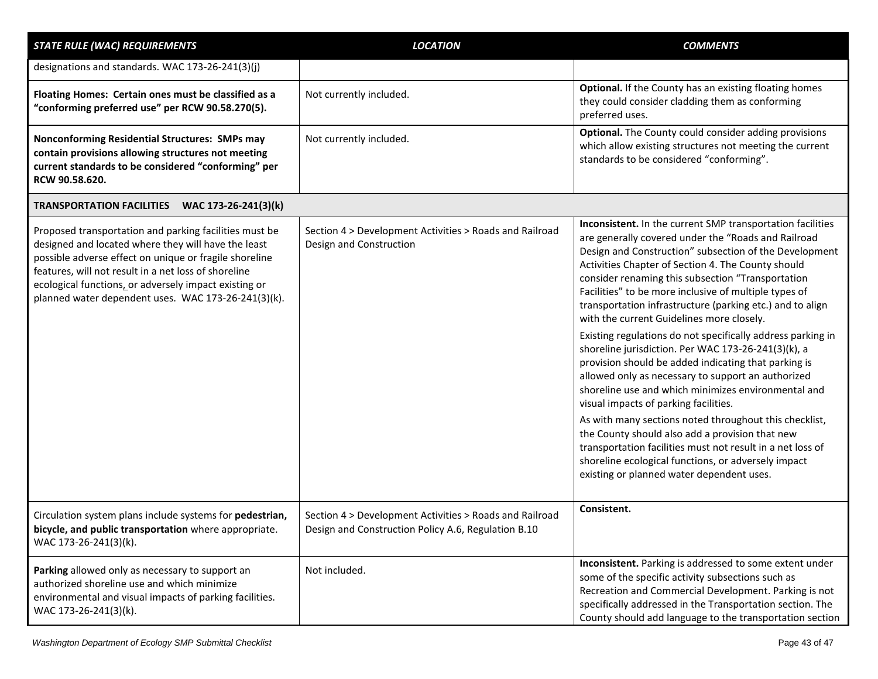| <b>STATE RULE (WAC) REQUIREMENTS</b>                                                                                                                                                                                                                                                                                                            | <b>LOCATION</b>                                                                                                | <b>COMMENTS</b>                                                                                                                                                                                                                                                                                                                                                                                                                                                                                                                                                                                                                                                                                                                                                                                                                                                                                                                                                                                                                                                              |
|-------------------------------------------------------------------------------------------------------------------------------------------------------------------------------------------------------------------------------------------------------------------------------------------------------------------------------------------------|----------------------------------------------------------------------------------------------------------------|------------------------------------------------------------------------------------------------------------------------------------------------------------------------------------------------------------------------------------------------------------------------------------------------------------------------------------------------------------------------------------------------------------------------------------------------------------------------------------------------------------------------------------------------------------------------------------------------------------------------------------------------------------------------------------------------------------------------------------------------------------------------------------------------------------------------------------------------------------------------------------------------------------------------------------------------------------------------------------------------------------------------------------------------------------------------------|
| designations and standards. WAC 173-26-241(3)(j)                                                                                                                                                                                                                                                                                                |                                                                                                                |                                                                                                                                                                                                                                                                                                                                                                                                                                                                                                                                                                                                                                                                                                                                                                                                                                                                                                                                                                                                                                                                              |
| Floating Homes: Certain ones must be classified as a<br>"conforming preferred use" per RCW 90.58.270(5).                                                                                                                                                                                                                                        | Not currently included.                                                                                        | Optional. If the County has an existing floating homes<br>they could consider cladding them as conforming<br>preferred uses.                                                                                                                                                                                                                                                                                                                                                                                                                                                                                                                                                                                                                                                                                                                                                                                                                                                                                                                                                 |
| Nonconforming Residential Structures: SMPs may<br>contain provisions allowing structures not meeting<br>current standards to be considered "conforming" per<br>RCW 90.58.620.                                                                                                                                                                   | Not currently included.                                                                                        | Optional. The County could consider adding provisions<br>which allow existing structures not meeting the current<br>standards to be considered "conforming".                                                                                                                                                                                                                                                                                                                                                                                                                                                                                                                                                                                                                                                                                                                                                                                                                                                                                                                 |
| TRANSPORTATION FACILITIES WAC 173-26-241(3)(k)                                                                                                                                                                                                                                                                                                  |                                                                                                                |                                                                                                                                                                                                                                                                                                                                                                                                                                                                                                                                                                                                                                                                                                                                                                                                                                                                                                                                                                                                                                                                              |
| Proposed transportation and parking facilities must be<br>designed and located where they will have the least<br>possible adverse effect on unique or fragile shoreline<br>features, will not result in a net loss of shoreline<br>ecological functions, or adversely impact existing or<br>planned water dependent uses. WAC 173-26-241(3)(k). | Section 4 > Development Activities > Roads and Railroad<br>Design and Construction                             | Inconsistent. In the current SMP transportation facilities<br>are generally covered under the "Roads and Railroad<br>Design and Construction" subsection of the Development<br>Activities Chapter of Section 4. The County should<br>consider renaming this subsection "Transportation<br>Facilities" to be more inclusive of multiple types of<br>transportation infrastructure (parking etc.) and to align<br>with the current Guidelines more closely.<br>Existing regulations do not specifically address parking in<br>shoreline jurisdiction. Per WAC 173-26-241(3)(k), a<br>provision should be added indicating that parking is<br>allowed only as necessary to support an authorized<br>shoreline use and which minimizes environmental and<br>visual impacts of parking facilities.<br>As with many sections noted throughout this checklist,<br>the County should also add a provision that new<br>transportation facilities must not result in a net loss of<br>shoreline ecological functions, or adversely impact<br>existing or planned water dependent uses. |
| Circulation system plans include systems for pedestrian,<br>bicycle, and public transportation where appropriate.<br>WAC 173-26-241(3)(k).                                                                                                                                                                                                      | Section 4 > Development Activities > Roads and Railroad<br>Design and Construction Policy A.6, Regulation B.10 | Consistent.                                                                                                                                                                                                                                                                                                                                                                                                                                                                                                                                                                                                                                                                                                                                                                                                                                                                                                                                                                                                                                                                  |
| Parking allowed only as necessary to support an<br>authorized shoreline use and which minimize<br>environmental and visual impacts of parking facilities.<br>WAC 173-26-241(3)(k).                                                                                                                                                              | Not included.                                                                                                  | Inconsistent. Parking is addressed to some extent under<br>some of the specific activity subsections such as<br>Recreation and Commercial Development. Parking is not<br>specifically addressed in the Transportation section. The<br>County should add language to the transportation section                                                                                                                                                                                                                                                                                                                                                                                                                                                                                                                                                                                                                                                                                                                                                                               |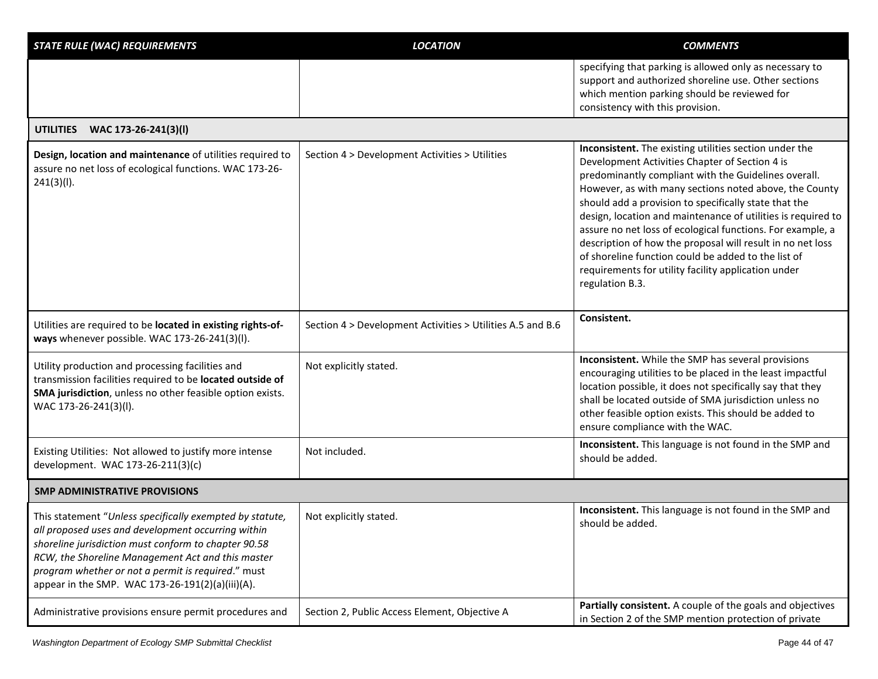| <b>STATE RULE (WAC) REQUIREMENTS</b>                                                                                                                                                                                                                                                                                                  | <b>LOCATION</b>                                            | <b>COMMENTS</b>                                                                                                                                                                                                                                                                                                                                                                                                                                                                                                                                                                                                  |
|---------------------------------------------------------------------------------------------------------------------------------------------------------------------------------------------------------------------------------------------------------------------------------------------------------------------------------------|------------------------------------------------------------|------------------------------------------------------------------------------------------------------------------------------------------------------------------------------------------------------------------------------------------------------------------------------------------------------------------------------------------------------------------------------------------------------------------------------------------------------------------------------------------------------------------------------------------------------------------------------------------------------------------|
|                                                                                                                                                                                                                                                                                                                                       |                                                            | specifying that parking is allowed only as necessary to<br>support and authorized shoreline use. Other sections<br>which mention parking should be reviewed for<br>consistency with this provision.                                                                                                                                                                                                                                                                                                                                                                                                              |
| <b>UTILITIES</b><br>WAC 173-26-241(3)(I)                                                                                                                                                                                                                                                                                              |                                                            |                                                                                                                                                                                                                                                                                                                                                                                                                                                                                                                                                                                                                  |
| Design, location and maintenance of utilities required to<br>assure no net loss of ecological functions. WAC 173-26-<br>241(3)(I).                                                                                                                                                                                                    | Section 4 > Development Activities > Utilities             | Inconsistent. The existing utilities section under the<br>Development Activities Chapter of Section 4 is<br>predominantly compliant with the Guidelines overall.<br>However, as with many sections noted above, the County<br>should add a provision to specifically state that the<br>design, location and maintenance of utilities is required to<br>assure no net loss of ecological functions. For example, a<br>description of how the proposal will result in no net loss<br>of shoreline function could be added to the list of<br>requirements for utility facility application under<br>regulation B.3. |
| Utilities are required to be located in existing rights-of-<br>ways whenever possible. WAC 173-26-241(3)(I).                                                                                                                                                                                                                          | Section 4 > Development Activities > Utilities A.5 and B.6 | Consistent.                                                                                                                                                                                                                                                                                                                                                                                                                                                                                                                                                                                                      |
| Utility production and processing facilities and<br>transmission facilities required to be located outside of<br>SMA jurisdiction, unless no other feasible option exists.<br>WAC 173-26-241(3)(l).                                                                                                                                   | Not explicitly stated.                                     | Inconsistent. While the SMP has several provisions<br>encouraging utilities to be placed in the least impactful<br>location possible, it does not specifically say that they<br>shall be located outside of SMA jurisdiction unless no<br>other feasible option exists. This should be added to<br>ensure compliance with the WAC.                                                                                                                                                                                                                                                                               |
| Existing Utilities: Not allowed to justify more intense<br>development. WAC 173-26-211(3)(c)                                                                                                                                                                                                                                          | Not included.                                              | Inconsistent. This language is not found in the SMP and<br>should be added.                                                                                                                                                                                                                                                                                                                                                                                                                                                                                                                                      |
| <b>SMP ADMINISTRATIVE PROVISIONS</b>                                                                                                                                                                                                                                                                                                  |                                                            |                                                                                                                                                                                                                                                                                                                                                                                                                                                                                                                                                                                                                  |
| This statement "Unless specifically exempted by statute,<br>all proposed uses and development occurring within<br>shoreline jurisdiction must conform to chapter 90.58<br>RCW, the Shoreline Management Act and this master<br>program whether or not a permit is required." must<br>appear in the SMP. WAC 173-26-191(2)(a)(iii)(A). | Not explicitly stated.                                     | Inconsistent. This language is not found in the SMP and<br>should be added.                                                                                                                                                                                                                                                                                                                                                                                                                                                                                                                                      |
| Administrative provisions ensure permit procedures and                                                                                                                                                                                                                                                                                | Section 2, Public Access Element, Objective A              | Partially consistent. A couple of the goals and objectives<br>in Section 2 of the SMP mention protection of private                                                                                                                                                                                                                                                                                                                                                                                                                                                                                              |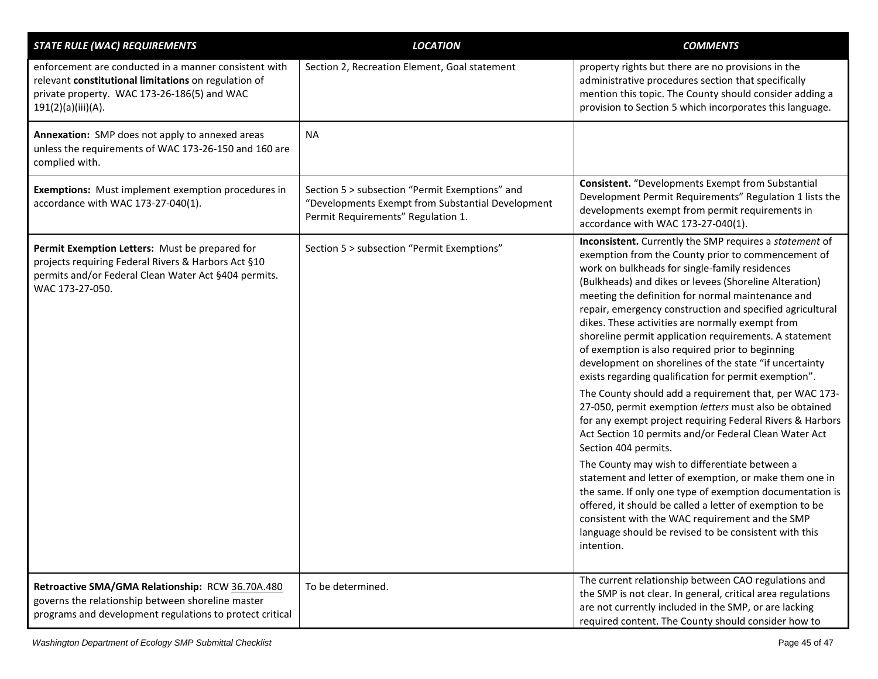| <b>STATE RULE (WAC) REQUIREMENTS</b>                                                                                                                                               | <b>LOCATION</b>                                                                                                                           | <b>COMMENTS</b>                                                                                                                                                                                                                                                                                                                                                                                                                                                                                                                                                                                                                                                                                                                                                                                                                                                                                                                                                                                                                                                                                                                                                                                                                                                  |
|------------------------------------------------------------------------------------------------------------------------------------------------------------------------------------|-------------------------------------------------------------------------------------------------------------------------------------------|------------------------------------------------------------------------------------------------------------------------------------------------------------------------------------------------------------------------------------------------------------------------------------------------------------------------------------------------------------------------------------------------------------------------------------------------------------------------------------------------------------------------------------------------------------------------------------------------------------------------------------------------------------------------------------------------------------------------------------------------------------------------------------------------------------------------------------------------------------------------------------------------------------------------------------------------------------------------------------------------------------------------------------------------------------------------------------------------------------------------------------------------------------------------------------------------------------------------------------------------------------------|
| enforcement are conducted in a manner consistent with<br>relevant constitutional limitations on regulation of<br>private property. WAC 173-26-186(5) and WAC<br>191(2)(a)(iii)(A). | Section 2, Recreation Element, Goal statement                                                                                             | property rights but there are no provisions in the<br>administrative procedures section that specifically<br>mention this topic. The County should consider adding a<br>provision to Section 5 which incorporates this language.                                                                                                                                                                                                                                                                                                                                                                                                                                                                                                                                                                                                                                                                                                                                                                                                                                                                                                                                                                                                                                 |
| Annexation: SMP does not apply to annexed areas<br>unless the requirements of WAC 173-26-150 and 160 are<br>complied with.                                                         | <b>NA</b>                                                                                                                                 |                                                                                                                                                                                                                                                                                                                                                                                                                                                                                                                                                                                                                                                                                                                                                                                                                                                                                                                                                                                                                                                                                                                                                                                                                                                                  |
| <b>Exemptions:</b> Must implement exemption procedures in<br>accordance with WAC 173-27-040(1).                                                                                    | Section 5 > subsection "Permit Exemptions" and<br>"Developments Exempt from Substantial Development<br>Permit Requirements" Regulation 1. | <b>Consistent.</b> "Developments Exempt from Substantial<br>Development Permit Requirements" Regulation 1 lists the<br>developments exempt from permit requirements in<br>accordance with WAC 173-27-040(1).                                                                                                                                                                                                                                                                                                                                                                                                                                                                                                                                                                                                                                                                                                                                                                                                                                                                                                                                                                                                                                                     |
| Permit Exemption Letters: Must be prepared for<br>projects requiring Federal Rivers & Harbors Act §10<br>permits and/or Federal Clean Water Act §404 permits.<br>WAC 173-27-050.   | Section 5 > subsection "Permit Exemptions"                                                                                                | Inconsistent. Currently the SMP requires a statement of<br>exemption from the County prior to commencement of<br>work on bulkheads for single-family residences<br>(Bulkheads) and dikes or levees (Shoreline Alteration)<br>meeting the definition for normal maintenance and<br>repair, emergency construction and specified agricultural<br>dikes. These activities are normally exempt from<br>shoreline permit application requirements. A statement<br>of exemption is also required prior to beginning<br>development on shorelines of the state "if uncertainty<br>exists regarding qualification for permit exemption".<br>The County should add a requirement that, per WAC 173-<br>27-050, permit exemption letters must also be obtained<br>for any exempt project requiring Federal Rivers & Harbors<br>Act Section 10 permits and/or Federal Clean Water Act<br>Section 404 permits.<br>The County may wish to differentiate between a<br>statement and letter of exemption, or make them one in<br>the same. If only one type of exemption documentation is<br>offered, it should be called a letter of exemption to be<br>consistent with the WAC requirement and the SMP<br>language should be revised to be consistent with this<br>intention. |
| Retroactive SMA/GMA Relationship: RCW 36.70A.480<br>governs the relationship between shoreline master<br>programs and development regulations to protect critical                  | To be determined.                                                                                                                         | The current relationship between CAO regulations and<br>the SMP is not clear. In general, critical area regulations<br>are not currently included in the SMP, or are lacking<br>required content. The County should consider how to                                                                                                                                                                                                                                                                                                                                                                                                                                                                                                                                                                                                                                                                                                                                                                                                                                                                                                                                                                                                                              |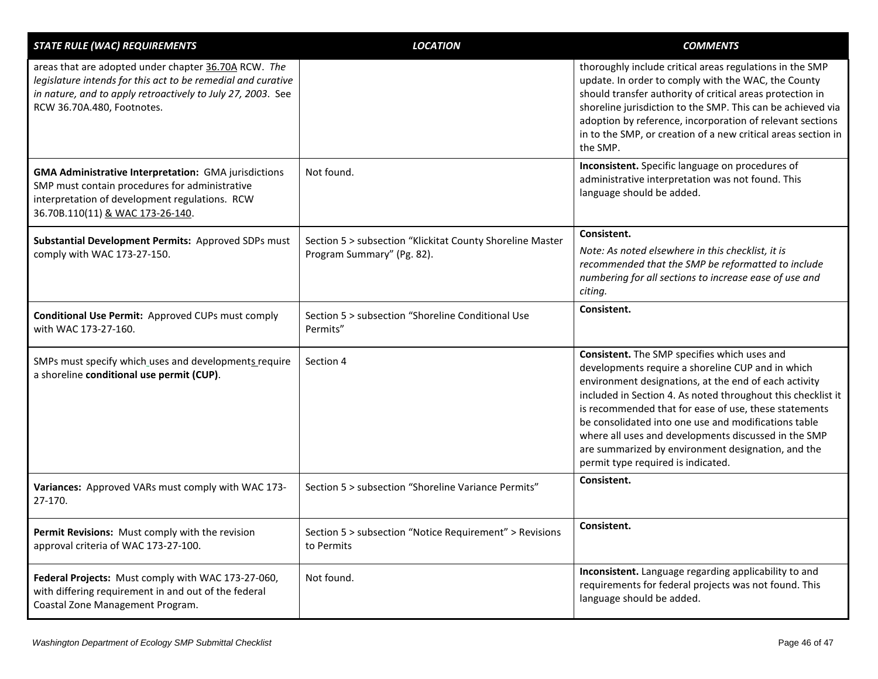| <b>STATE RULE (WAC) REQUIREMENTS</b>                                                                                                                                                                              | <b>LOCATION</b>                                                                         | <b>COMMENTS</b>                                                                                                                                                                                                                                                                                                                                                                                                                                                                                 |
|-------------------------------------------------------------------------------------------------------------------------------------------------------------------------------------------------------------------|-----------------------------------------------------------------------------------------|-------------------------------------------------------------------------------------------------------------------------------------------------------------------------------------------------------------------------------------------------------------------------------------------------------------------------------------------------------------------------------------------------------------------------------------------------------------------------------------------------|
| areas that are adopted under chapter 36.70A RCW. The<br>legislature intends for this act to be remedial and curative<br>in nature, and to apply retroactively to July 27, 2003. See<br>RCW 36.70A.480, Footnotes. |                                                                                         | thoroughly include critical areas regulations in the SMP<br>update. In order to comply with the WAC, the County<br>should transfer authority of critical areas protection in<br>shoreline jurisdiction to the SMP. This can be achieved via<br>adoption by reference, incorporation of relevant sections<br>in to the SMP, or creation of a new critical areas section in<br>the SMP.                                                                                                           |
| <b>GMA Administrative Interpretation: GMA jurisdictions</b><br>SMP must contain procedures for administrative<br>interpretation of development regulations. RCW<br>36.70B.110(11) & WAC 173-26-140.               | Not found.                                                                              | Inconsistent. Specific language on procedures of<br>administrative interpretation was not found. This<br>language should be added.                                                                                                                                                                                                                                                                                                                                                              |
| Substantial Development Permits: Approved SDPs must<br>comply with WAC 173-27-150.                                                                                                                                | Section 5 > subsection "Klickitat County Shoreline Master<br>Program Summary" (Pg. 82). | Consistent.<br>Note: As noted elsewhere in this checklist, it is<br>recommended that the SMP be reformatted to include<br>numbering for all sections to increase ease of use and<br>citing.                                                                                                                                                                                                                                                                                                     |
| Conditional Use Permit: Approved CUPs must comply<br>with WAC 173-27-160.                                                                                                                                         | Section 5 > subsection "Shoreline Conditional Use<br>Permits"                           | Consistent.                                                                                                                                                                                                                                                                                                                                                                                                                                                                                     |
| SMPs must specify which uses and developments require<br>a shoreline conditional use permit (CUP).                                                                                                                | Section 4                                                                               | Consistent. The SMP specifies which uses and<br>developments require a shoreline CUP and in which<br>environment designations, at the end of each activity<br>included in Section 4. As noted throughout this checklist it<br>is recommended that for ease of use, these statements<br>be consolidated into one use and modifications table<br>where all uses and developments discussed in the SMP<br>are summarized by environment designation, and the<br>permit type required is indicated. |
| Variances: Approved VARs must comply with WAC 173-<br>27-170.                                                                                                                                                     | Section 5 > subsection "Shoreline Variance Permits"                                     | Consistent.                                                                                                                                                                                                                                                                                                                                                                                                                                                                                     |
| Permit Revisions: Must comply with the revision<br>approval criteria of WAC 173-27-100.                                                                                                                           | Section 5 > subsection "Notice Requirement" > Revisions<br>to Permits                   | Consistent.                                                                                                                                                                                                                                                                                                                                                                                                                                                                                     |
| Federal Projects: Must comply with WAC 173-27-060,<br>with differing requirement in and out of the federal<br>Coastal Zone Management Program.                                                                    | Not found.                                                                              | Inconsistent. Language regarding applicability to and<br>requirements for federal projects was not found. This<br>language should be added.                                                                                                                                                                                                                                                                                                                                                     |